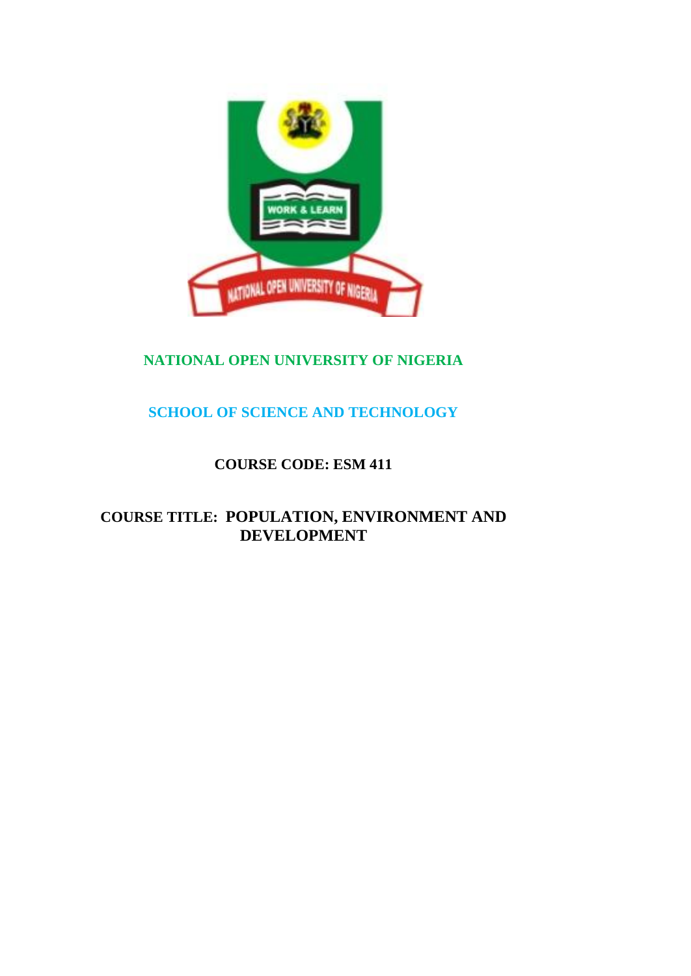

# **NATIONAL OPEN UNIVERSITY OF NIGERIA**

## **SCHOOL OF SCIENCE AND TECHNOLOGY**

## **COURSE CODE: ESM 411**

# **COURSE TITLE: POPULATION, ENVIRONMENT AND DEVELOPMENT**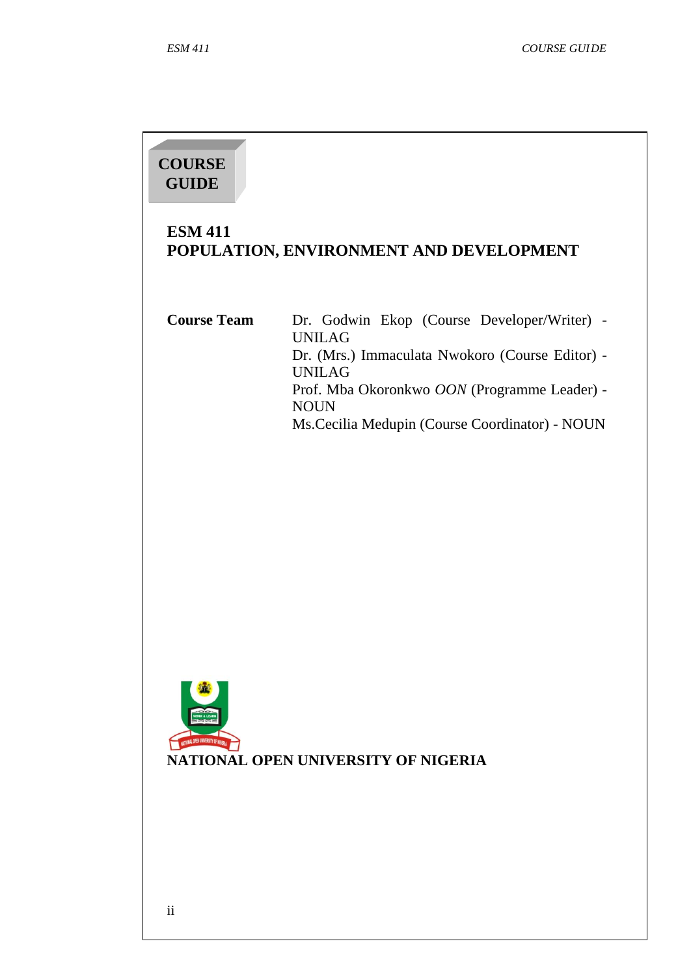# **COURSE GUIDE**

## **ESM 411 POPULATION, ENVIRONMENT AND DEVELOPMENT**

**Course Team** Dr. Godwin Ekop (Course Developer/Writer) - UNILAG Dr. (Mrs.) Immaculata Nwokoro (Course Editor) - UNILAG Prof. Mba Okoronkwo *OON* (Programme Leader) - NOUN Ms.Cecilia Medupin (Course Coordinator) - NOUN



ii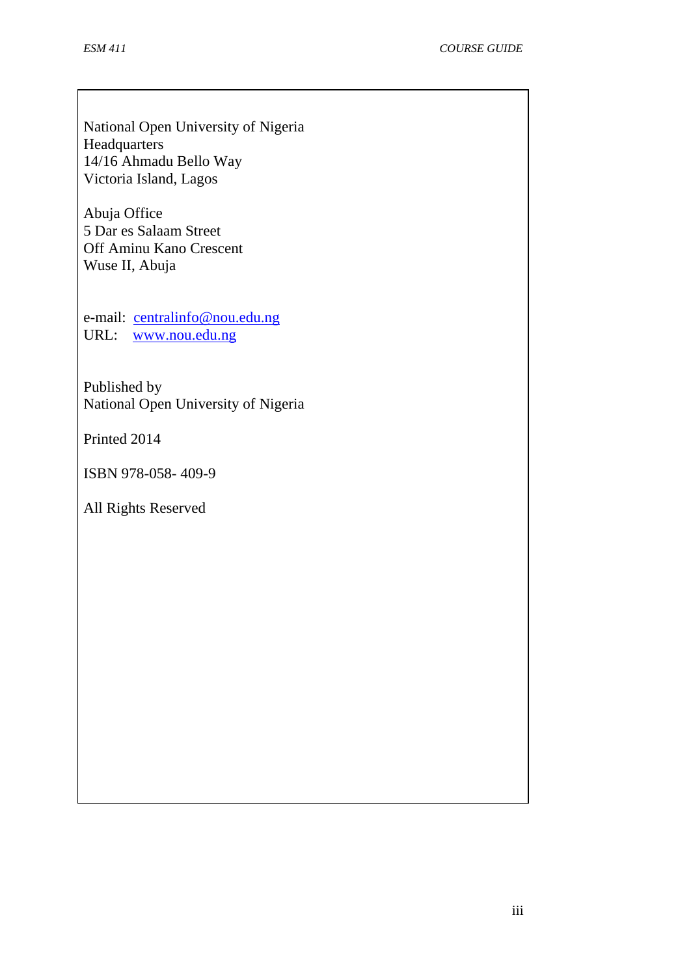National Open University of Nigeria Headquarters 14/16 Ahmadu Bello Way Victoria Island, Lagos

Abuja Office 5 Dar es Salaam Street Off Aminu Kano Crescent Wuse II, Abuja

e-mail: [centralinfo@nou.edu.ng](mailto:centralinfo@nou.edu.ng) URL: [www.nou.edu.ng](http://www.nou.edu.ng/)

Published by National Open University of Nigeria

Printed 2014

ISBN 978-058- 409-9

All Rights Reserved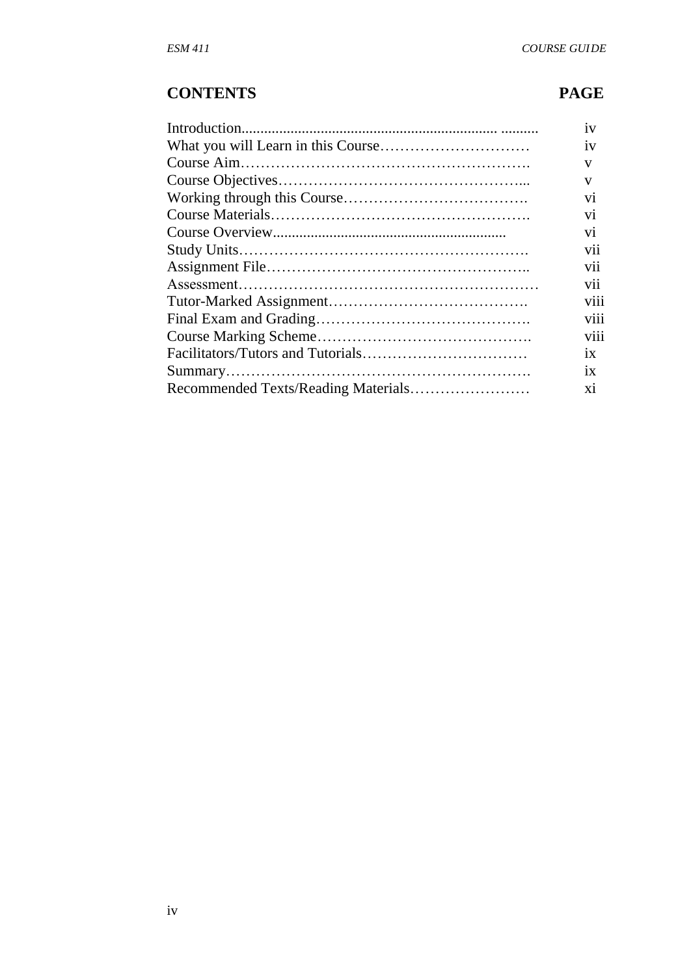# **CONTENTS PAGE**

| 1V             |
|----------------|
| 1V             |
| V              |
| V              |
| V <sub>1</sub> |
| V <sub>1</sub> |
| V1             |
| <b>V11</b>     |
| <b>V11</b>     |
| V11            |
| viii           |
| viii           |
| V111           |
| 1X             |
| 1X             |
| X1             |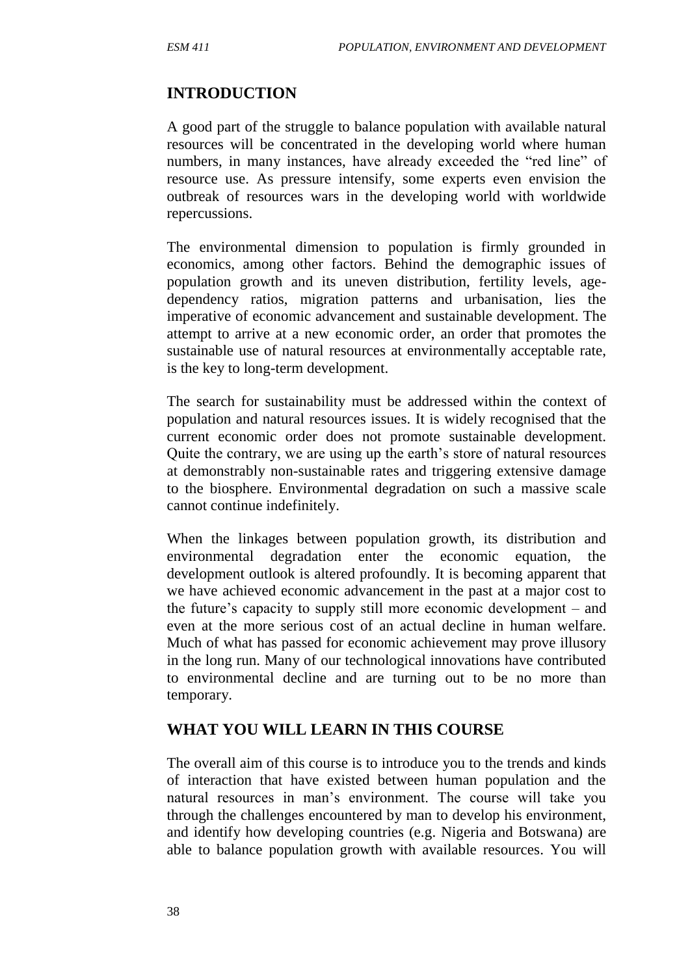#### **INTRODUCTION**

A good part of the struggle to balance population with available natural resources will be concentrated in the developing world where human numbers, in many instances, have already exceeded the "red line" of resource use. As pressure intensify, some experts even envision the outbreak of resources wars in the developing world with worldwide repercussions.

The environmental dimension to population is firmly grounded in economics, among other factors. Behind the demographic issues of population growth and its uneven distribution, fertility levels, agedependency ratios, migration patterns and urbanisation, lies the imperative of economic advancement and sustainable development. The attempt to arrive at a new economic order, an order that promotes the sustainable use of natural resources at environmentally acceptable rate, is the key to long-term development.

The search for sustainability must be addressed within the context of population and natural resources issues. It is widely recognised that the current economic order does not promote sustainable development. Quite the contrary, we are using up the earth's store of natural resources at demonstrably non-sustainable rates and triggering extensive damage to the biosphere. Environmental degradation on such a massive scale cannot continue indefinitely.

When the linkages between population growth, its distribution and environmental degradation enter the economic equation, the development outlook is altered profoundly. It is becoming apparent that we have achieved economic advancement in the past at a major cost to the future's capacity to supply still more economic development – and even at the more serious cost of an actual decline in human welfare. Much of what has passed for economic achievement may prove illusory in the long run. Many of our technological innovations have contributed to environmental decline and are turning out to be no more than temporary.

#### **WHAT YOU WILL LEARN IN THIS COURSE**

The overall aim of this course is to introduce you to the trends and kinds of interaction that have existed between human population and the natural resources in man's environment. The course will take you through the challenges encountered by man to develop his environment, and identify how developing countries (e.g. Nigeria and Botswana) are able to balance population growth with available resources. You will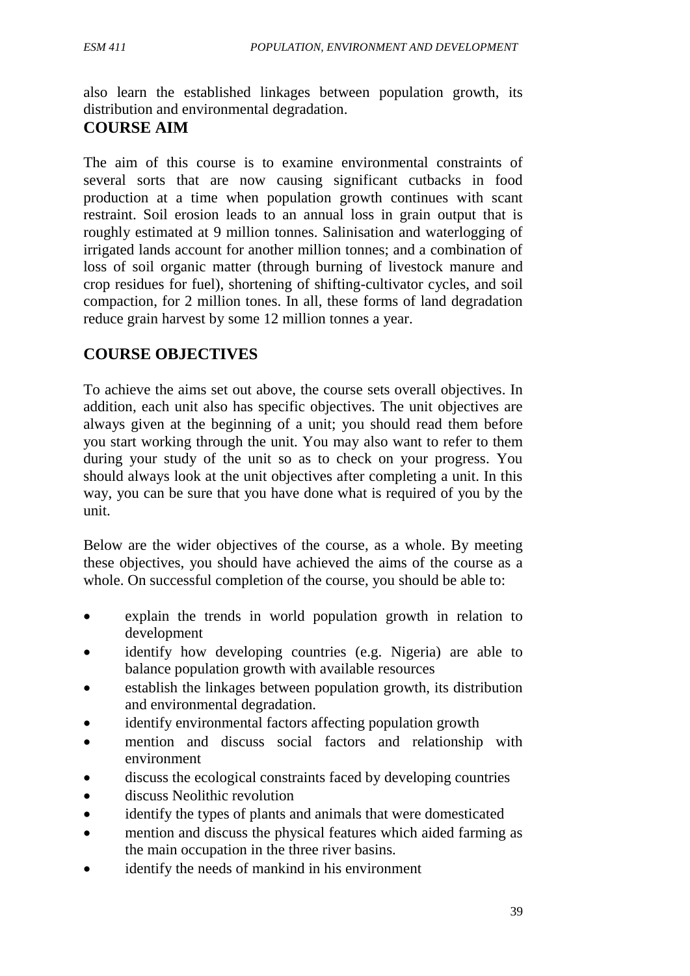also learn the established linkages between population growth, its distribution and environmental degradation.

#### **COURSE AIM**

The aim of this course is to examine environmental constraints of several sorts that are now causing significant cutbacks in food production at a time when population growth continues with scant restraint. Soil erosion leads to an annual loss in grain output that is roughly estimated at 9 million tonnes. Salinisation and waterlogging of irrigated lands account for another million tonnes; and a combination of loss of soil organic matter (through burning of livestock manure and crop residues for fuel), shortening of shifting-cultivator cycles, and soil compaction, for 2 million tones. In all, these forms of land degradation reduce grain harvest by some 12 million tonnes a year.

#### **COURSE OBJECTIVES**

To achieve the aims set out above, the course sets overall objectives. In addition, each unit also has specific objectives. The unit objectives are always given at the beginning of a unit; you should read them before you start working through the unit. You may also want to refer to them during your study of the unit so as to check on your progress. You should always look at the unit objectives after completing a unit. In this way, you can be sure that you have done what is required of you by the unit.

Below are the wider objectives of the course, as a whole. By meeting these objectives, you should have achieved the aims of the course as a whole. On successful completion of the course, you should be able to:

- explain the trends in world population growth in relation to development
- identify how developing countries (e.g. Nigeria) are able to balance population growth with available resources
- establish the linkages between population growth, its distribution and environmental degradation.
- identify environmental factors affecting population growth
- mention and discuss social factors and relationship with environment
- discuss the ecological constraints faced by developing countries
- discuss Neolithic revolution
- identify the types of plants and animals that were domesticated
- mention and discuss the physical features which aided farming as the main occupation in the three river basins.
- identify the needs of mankind in his environment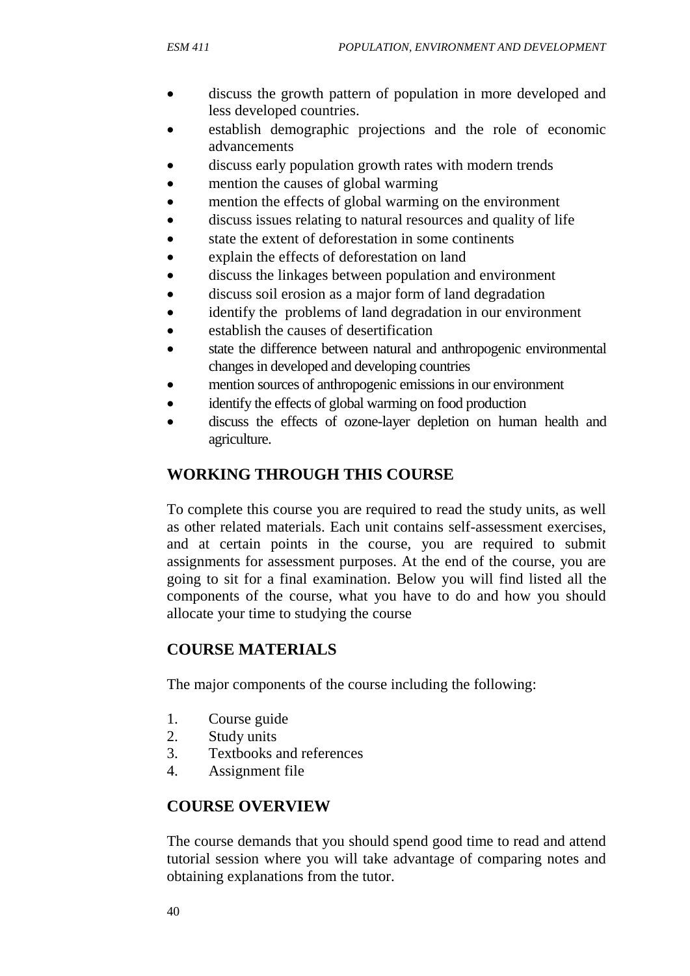- discuss the growth pattern of population in more developed and less developed countries.
- establish demographic projections and the role of economic advancements
- discuss early population growth rates with modern trends
- mention the causes of global warming
- mention the effects of global warming on the environment
- discuss issues relating to natural resources and quality of life
- state the extent of deforestation in some continents
- explain the effects of deforestation on land
- discuss the linkages between population and environment
- discuss soil erosion as a major form of land degradation
- identify the problems of land degradation in our environment
- establish the causes of desertification
- state the difference between natural and anthropogenic environmental changes in developed and developing countries
- mention sources of anthropogenic emissions in our environment
- identify the effects of global warming on food production
- discuss the effects of ozone-layer depletion on human health and agriculture.

# **WORKING THROUGH THIS COURSE**

To complete this course you are required to read the study units, as well as other related materials. Each unit contains self-assessment exercises, and at certain points in the course, you are required to submit assignments for assessment purposes. At the end of the course, you are going to sit for a final examination. Below you will find listed all the components of the course, what you have to do and how you should allocate your time to studying the course

# **COURSE MATERIALS**

The major components of the course including the following:

- 1. Course guide
- 2. Study units
- 3. Textbooks and references
- 4. Assignment file

# **COURSE OVERVIEW**

The course demands that you should spend good time to read and attend tutorial session where you will take advantage of comparing notes and obtaining explanations from the tutor.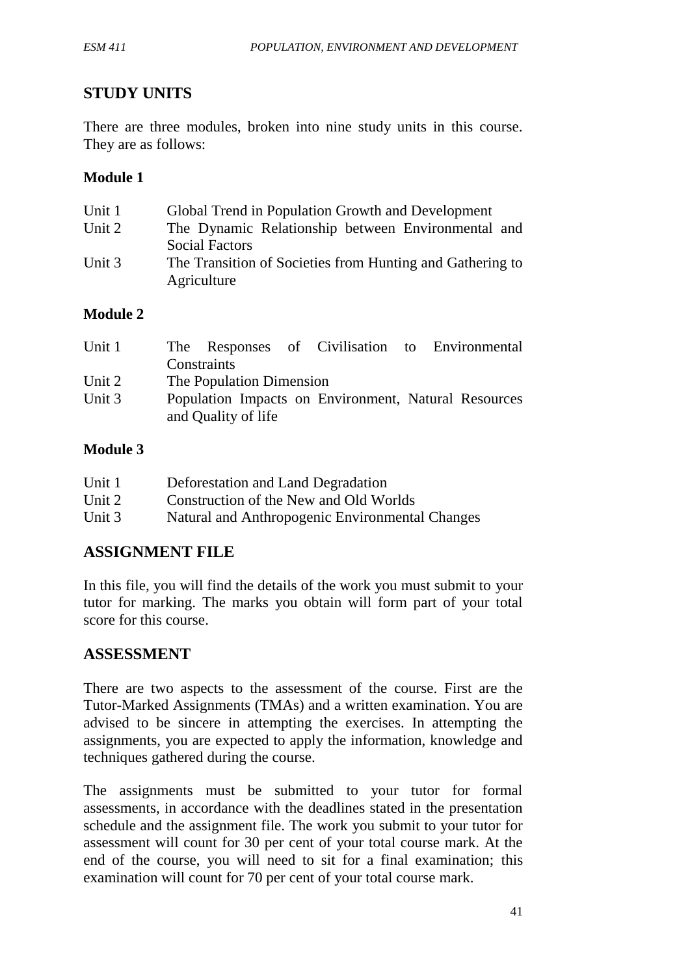### **STUDY UNITS**

There are three modules, broken into nine study units in this course. They are as follows:

#### **Module 1**

| Unit 1   | Global Trend in Population Growth and Development         |
|----------|-----------------------------------------------------------|
| Unit 2   | The Dynamic Relationship between Environmental and        |
|          | <b>Social Factors</b>                                     |
| Unit $3$ | The Transition of Societies from Hunting and Gathering to |
|          | Agriculture                                               |

#### **Module 2**

| Unit 1 |                          |  | The Responses of Civilisation to Environmental       |
|--------|--------------------------|--|------------------------------------------------------|
|        | Constraints              |  |                                                      |
| Unit 2 | The Population Dimension |  |                                                      |
| Unit 3 |                          |  | Population Impacts on Environment, Natural Resources |
|        | and Quality of life      |  |                                                      |

#### **Module 3**

| Unit 1 | Deforestation and Land Degradation              |
|--------|-------------------------------------------------|
| Unit 2 | Construction of the New and Old Worlds          |
| Unit 3 | Natural and Anthropogenic Environmental Changes |

#### **ASSIGNMENT FILE**

In this file, you will find the details of the work you must submit to your tutor for marking. The marks you obtain will form part of your total score for this course.

#### **ASSESSMENT**

There are two aspects to the assessment of the course. First are the Tutor-Marked Assignments (TMAs) and a written examination. You are advised to be sincere in attempting the exercises. In attempting the assignments, you are expected to apply the information, knowledge and techniques gathered during the course.

The assignments must be submitted to your tutor for formal assessments, in accordance with the deadlines stated in the presentation schedule and the assignment file. The work you submit to your tutor for assessment will count for 30 per cent of your total course mark. At the end of the course, you will need to sit for a final examination; this examination will count for 70 per cent of your total course mark.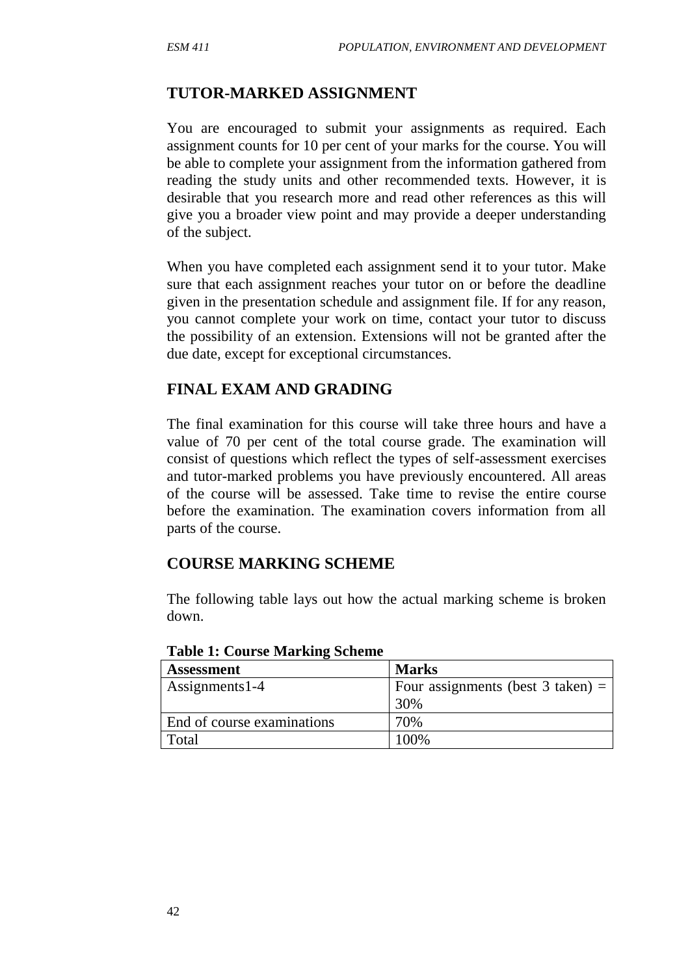#### **TUTOR-MARKED ASSIGNMENT**

You are encouraged to submit your assignments as required. Each assignment counts for 10 per cent of your marks for the course. You will be able to complete your assignment from the information gathered from reading the study units and other recommended texts. However, it is desirable that you research more and read other references as this will give you a broader view point and may provide a deeper understanding of the subject.

When you have completed each assignment send it to your tutor. Make sure that each assignment reaches your tutor on or before the deadline given in the presentation schedule and assignment file. If for any reason, you cannot complete your work on time, contact your tutor to discuss the possibility of an extension. Extensions will not be granted after the due date, except for exceptional circumstances.

## **FINAL EXAM AND GRADING**

The final examination for this course will take three hours and have a value of 70 per cent of the total course grade. The examination will consist of questions which reflect the types of self-assessment exercises and tutor-marked problems you have previously encountered. All areas of the course will be assessed. Take time to revise the entire course before the examination. The examination covers information from all parts of the course.

# **COURSE MARKING SCHEME**

The following table lays out how the actual marking scheme is broken down.

| <b>Assessment</b>          | <b>Marks</b>                        |
|----------------------------|-------------------------------------|
| Assignments 1-4            | Four assignments (best 3 taken) $=$ |
|                            | 30%                                 |
| End of course examinations | 70%                                 |
| Total                      | 100\%                               |

**Table 1: Course Marking Scheme**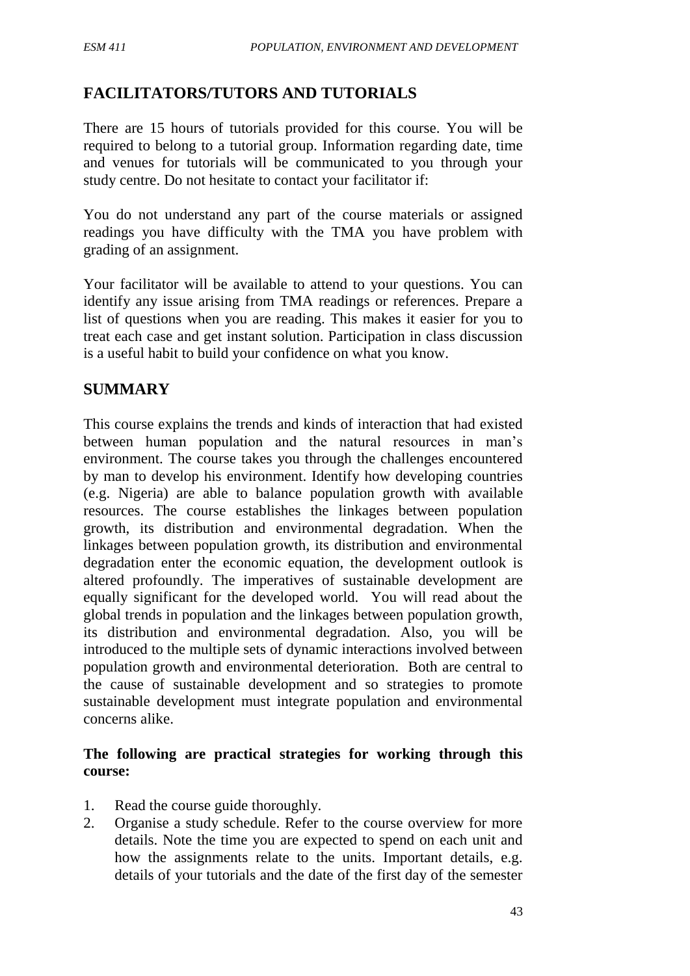## **FACILITATORS/TUTORS AND TUTORIALS**

There are 15 hours of tutorials provided for this course. You will be required to belong to a tutorial group. Information regarding date, time and venues for tutorials will be communicated to you through your study centre. Do not hesitate to contact your facilitator if:

You do not understand any part of the course materials or assigned readings you have difficulty with the TMA you have problem with grading of an assignment.

Your facilitator will be available to attend to your questions. You can identify any issue arising from TMA readings or references. Prepare a list of questions when you are reading. This makes it easier for you to treat each case and get instant solution. Participation in class discussion is a useful habit to build your confidence on what you know.

## **SUMMARY**

This course explains the trends and kinds of interaction that had existed between human population and the natural resources in man's environment. The course takes you through the challenges encountered by man to develop his environment. Identify how developing countries (e.g. Nigeria) are able to balance population growth with available resources. The course establishes the linkages between population growth, its distribution and environmental degradation. When the linkages between population growth, its distribution and environmental degradation enter the economic equation, the development outlook is altered profoundly. The imperatives of sustainable development are equally significant for the developed world. You will read about the global trends in population and the linkages between population growth, its distribution and environmental degradation. Also, you will be introduced to the multiple sets of dynamic interactions involved between population growth and environmental deterioration. Both are central to the cause of sustainable development and so strategies to promote sustainable development must integrate population and environmental concerns alike.

#### **The following are practical strategies for working through this course:**

- 1. Read the course guide thoroughly.
- 2. Organise a study schedule. Refer to the course overview for more details. Note the time you are expected to spend on each unit and how the assignments relate to the units. Important details, e.g. details of your tutorials and the date of the first day of the semester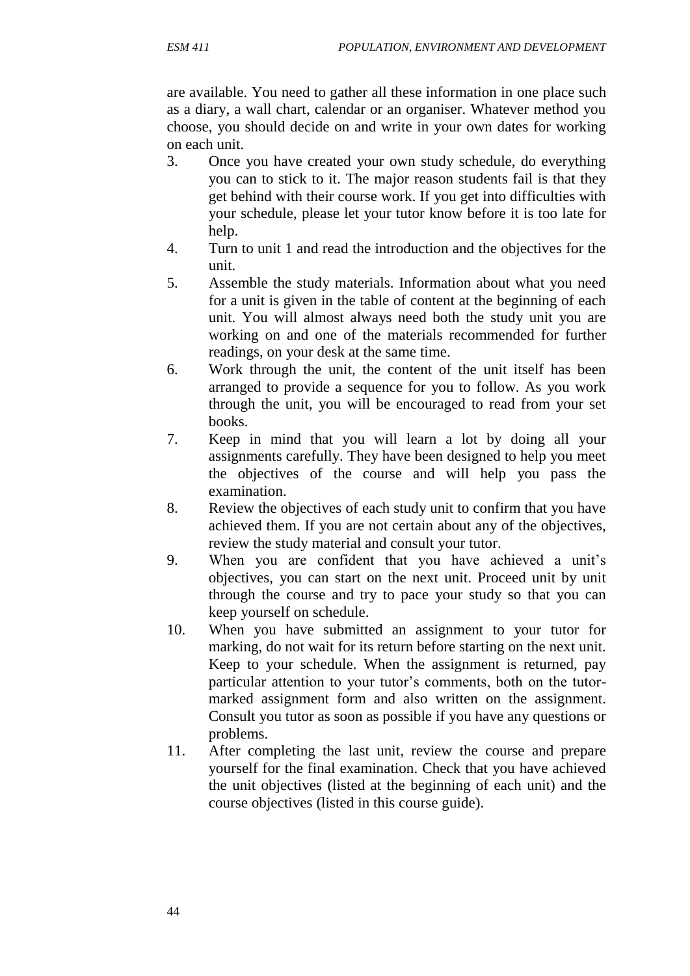are available. You need to gather all these information in one place such as a diary, a wall chart, calendar or an organiser. Whatever method you choose, you should decide on and write in your own dates for working on each unit.

- 3. Once you have created your own study schedule, do everything you can to stick to it. The major reason students fail is that they get behind with their course work. If you get into difficulties with your schedule, please let your tutor know before it is too late for help.
- 4. Turn to unit 1 and read the introduction and the objectives for the unit.
- 5. Assemble the study materials. Information about what you need for a unit is given in the table of content at the beginning of each unit. You will almost always need both the study unit you are working on and one of the materials recommended for further readings, on your desk at the same time.
- 6. Work through the unit, the content of the unit itself has been arranged to provide a sequence for you to follow. As you work through the unit, you will be encouraged to read from your set books.
- 7. Keep in mind that you will learn a lot by doing all your assignments carefully. They have been designed to help you meet the objectives of the course and will help you pass the examination.
- 8. Review the objectives of each study unit to confirm that you have achieved them. If you are not certain about any of the objectives, review the study material and consult your tutor.
- 9. When you are confident that you have achieved a unit's objectives, you can start on the next unit. Proceed unit by unit through the course and try to pace your study so that you can keep yourself on schedule.
- 10. When you have submitted an assignment to your tutor for marking, do not wait for its return before starting on the next unit. Keep to your schedule. When the assignment is returned, pay particular attention to your tutor's comments, both on the tutormarked assignment form and also written on the assignment. Consult you tutor as soon as possible if you have any questions or problems.
- 11. After completing the last unit, review the course and prepare yourself for the final examination. Check that you have achieved the unit objectives (listed at the beginning of each unit) and the course objectives (listed in this course guide).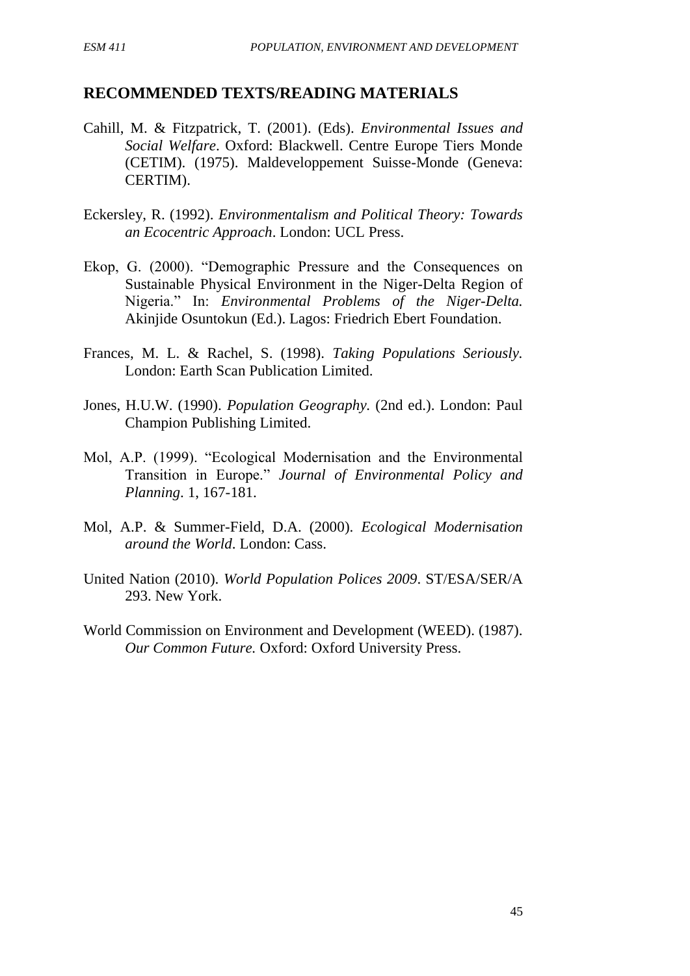#### **RECOMMENDED TEXTS/READING MATERIALS**

- Cahill, M. & Fitzpatrick, T. (2001). (Eds). *Environmental Issues and Social Welfare*. Oxford: Blackwell. Centre Europe Tiers Monde (CETIM). (1975). Maldeveloppement Suisse-Monde (Geneva: CERTIM).
- Eckersley, R. (1992). *Environmentalism and Political Theory: Towards an Ecocentric Approach*. London: UCL Press.
- Ekop, G. (2000). "Demographic Pressure and the Consequences on Sustainable Physical Environment in the Niger-Delta Region of Nigeria." In: *Environmental Problems of the Niger-Delta.* Akinjide Osuntokun (Ed.). Lagos: Friedrich Ebert Foundation.
- Frances, M. L. & Rachel, S. (1998). *Taking Populations Seriously.*  London: Earth Scan Publication Limited.
- Jones, H.U.W. (1990). *Population Geography.* (2nd ed.). London: Paul Champion Publishing Limited.
- Mol, A.P. (1999). "Ecological Modernisation and the Environmental Transition in Europe." *Journal of Environmental Policy and Planning*. 1, 167-181.
- Mol, A.P. & Summer-Field, D.A. (2000). *Ecological Modernisation around the World*. London: Cass.
- United Nation (2010). *World Population Polices 2009*. ST/ESA/SER/A 293. New York.
- World Commission on Environment and Development (WEED). (1987). *Our Common Future.* Oxford: Oxford University Press.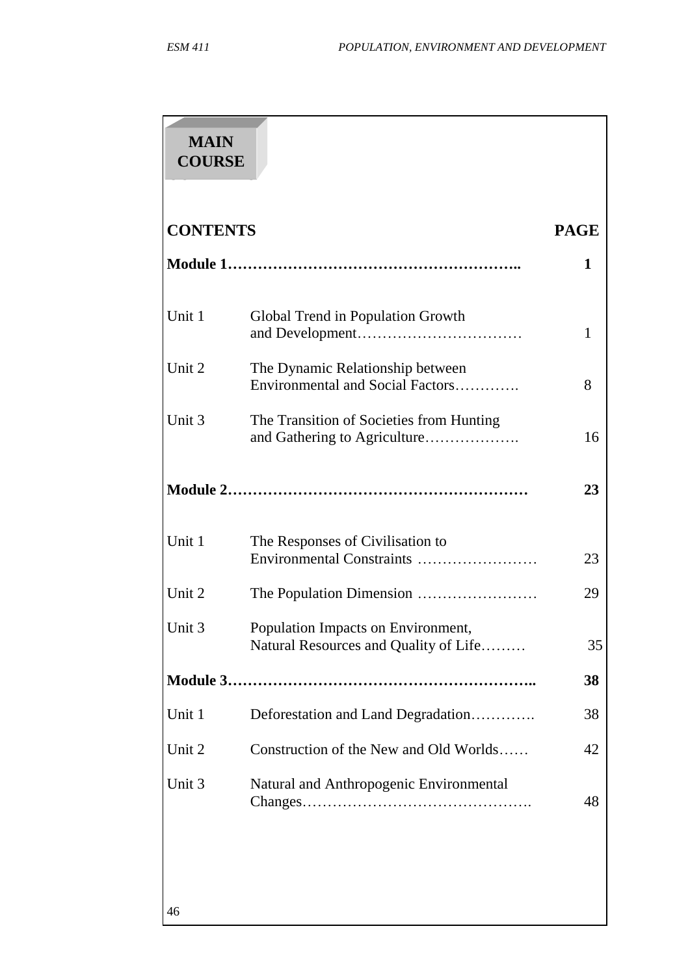46

| <b>MAIN</b><br><b>COURSE</b> |                                                                             |             |
|------------------------------|-----------------------------------------------------------------------------|-------------|
| <b>CONTENTS</b>              |                                                                             | <b>PAGE</b> |
|                              |                                                                             | 1           |
| Unit 1                       | Global Trend in Population Growth                                           | 1           |
| Unit 2                       | The Dynamic Relationship between<br>Environmental and Social Factors        | 8           |
| Unit 3                       | The Transition of Societies from Hunting                                    | 16          |
|                              |                                                                             | 23          |
| Unit 1                       | The Responses of Civilisation to<br>Environmental Constraints               | 23          |
| Unit 2                       |                                                                             | 29          |
| Unit 3                       | Population Impacts on Environment,<br>Natural Resources and Quality of Life | 35          |
|                              |                                                                             | 38          |
| Unit 1                       | Deforestation and Land Degradation                                          | 38          |
| Unit 2                       | Construction of the New and Old Worlds                                      | 42          |
| Unit 3                       | Natural and Anthropogenic Environmental                                     | 48          |
|                              |                                                                             |             |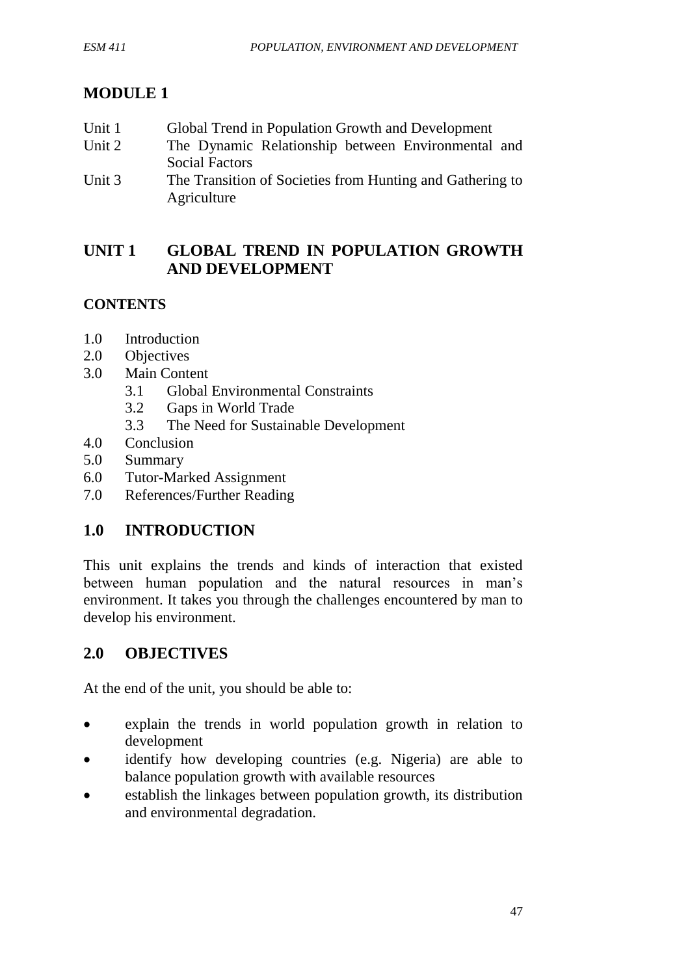## **MODULE 1**

| Unit 1                     | Global Trend in Population Growth and Development         |
|----------------------------|-----------------------------------------------------------|
| Unit 2                     | The Dynamic Relationship between Environmental and        |
|                            | Social Factors                                            |
| $\overline{\text{Unit 3}}$ | The Transition of Societies from Hunting and Gathering to |

Unit 3 The Transition of Societies from Hunting and Gathering to Agriculture

# **UNIT 1 GLOBAL TREND IN POPULATION GROWTH AND DEVELOPMENT**

## **CONTENTS**

- 1.0 Introduction
- 2.0 Objectives
- 3.0 Main Content
	- 3.1 Global Environmental Constraints
	- 3.2 Gaps in World Trade
	- 3.3 The Need for Sustainable Development
- 4.0 Conclusion
- 5.0 Summary
- 6.0 Tutor-Marked Assignment
- 7.0 References/Further Reading

# **1.0 INTRODUCTION**

This unit explains the trends and kinds of interaction that existed between human population and the natural resources in man's environment. It takes you through the challenges encountered by man to develop his environment.

# **2.0 OBJECTIVES**

At the end of the unit, you should be able to:

- explain the trends in world population growth in relation to development
- identify how developing countries (e.g. Nigeria) are able to balance population growth with available resources
- establish the linkages between population growth, its distribution and environmental degradation.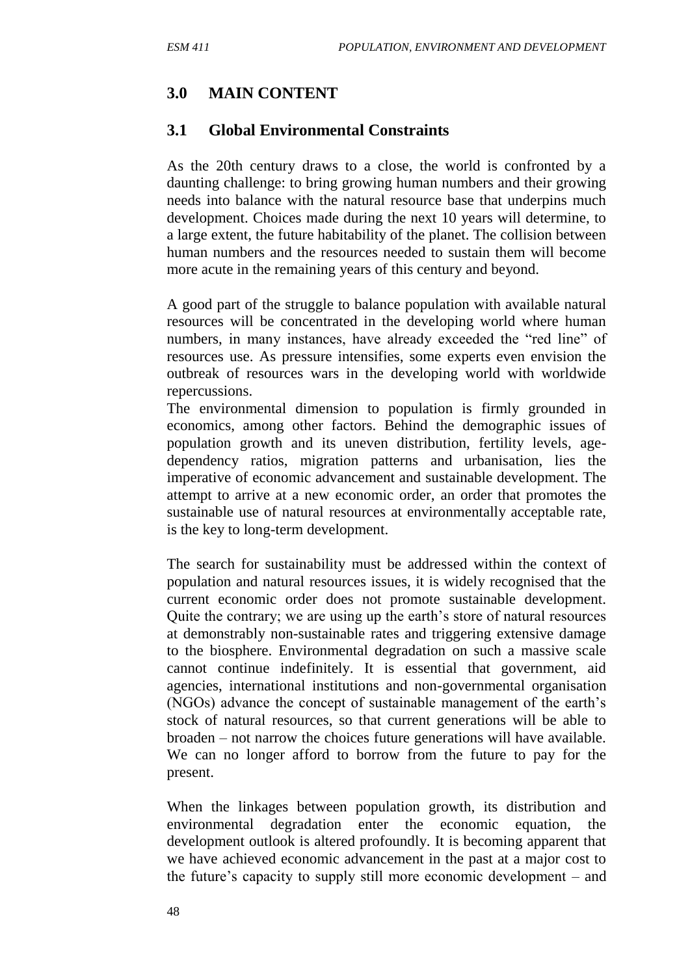### **3.0 MAIN CONTENT**

#### **3.1 Global Environmental Constraints**

As the 20th century draws to a close, the world is confronted by a daunting challenge: to bring growing human numbers and their growing needs into balance with the natural resource base that underpins much development. Choices made during the next 10 years will determine, to a large extent, the future habitability of the planet. The collision between human numbers and the resources needed to sustain them will become more acute in the remaining years of this century and beyond.

A good part of the struggle to balance population with available natural resources will be concentrated in the developing world where human numbers, in many instances, have already exceeded the "red line" of resources use. As pressure intensifies, some experts even envision the outbreak of resources wars in the developing world with worldwide repercussions.

The environmental dimension to population is firmly grounded in economics, among other factors. Behind the demographic issues of population growth and its uneven distribution, fertility levels, agedependency ratios, migration patterns and urbanisation, lies the imperative of economic advancement and sustainable development. The attempt to arrive at a new economic order, an order that promotes the sustainable use of natural resources at environmentally acceptable rate, is the key to long-term development.

The search for sustainability must be addressed within the context of population and natural resources issues, it is widely recognised that the current economic order does not promote sustainable development. Quite the contrary; we are using up the earth's store of natural resources at demonstrably non-sustainable rates and triggering extensive damage to the biosphere. Environmental degradation on such a massive scale cannot continue indefinitely. It is essential that government, aid agencies, international institutions and non-governmental organisation (NGOs) advance the concept of sustainable management of the earth's stock of natural resources, so that current generations will be able to broaden – not narrow the choices future generations will have available. We can no longer afford to borrow from the future to pay for the present.

When the linkages between population growth, its distribution and environmental degradation enter the economic equation, the development outlook is altered profoundly. It is becoming apparent that we have achieved economic advancement in the past at a major cost to the future's capacity to supply still more economic development – and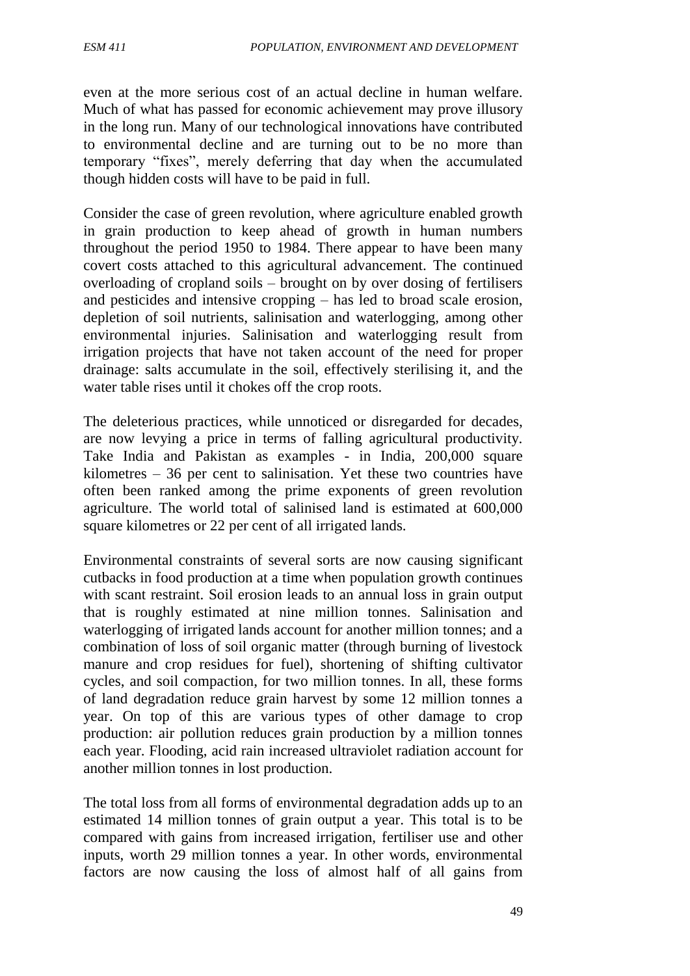even at the more serious cost of an actual decline in human welfare. Much of what has passed for economic achievement may prove illusory in the long run. Many of our technological innovations have contributed to environmental decline and are turning out to be no more than temporary "fixes", merely deferring that day when the accumulated though hidden costs will have to be paid in full.

Consider the case of green revolution, where agriculture enabled growth in grain production to keep ahead of growth in human numbers throughout the period 1950 to 1984. There appear to have been many covert costs attached to this agricultural advancement. The continued overloading of cropland soils – brought on by over dosing of fertilisers and pesticides and intensive cropping – has led to broad scale erosion, depletion of soil nutrients, salinisation and waterlogging, among other environmental injuries. Salinisation and waterlogging result from irrigation projects that have not taken account of the need for proper drainage: salts accumulate in the soil, effectively sterilising it, and the water table rises until it chokes off the crop roots.

The deleterious practices, while unnoticed or disregarded for decades, are now levying a price in terms of falling agricultural productivity. Take India and Pakistan as examples - in India, 200,000 square kilometres – 36 per cent to salinisation. Yet these two countries have often been ranked among the prime exponents of green revolution agriculture. The world total of salinised land is estimated at 600,000 square kilometres or 22 per cent of all irrigated lands.

Environmental constraints of several sorts are now causing significant cutbacks in food production at a time when population growth continues with scant restraint. Soil erosion leads to an annual loss in grain output that is roughly estimated at nine million tonnes. Salinisation and waterlogging of irrigated lands account for another million tonnes; and a combination of loss of soil organic matter (through burning of livestock manure and crop residues for fuel), shortening of shifting cultivator cycles, and soil compaction, for two million tonnes. In all, these forms of land degradation reduce grain harvest by some 12 million tonnes a year. On top of this are various types of other damage to crop production: air pollution reduces grain production by a million tonnes each year. Flooding, acid rain increased ultraviolet radiation account for another million tonnes in lost production.

The total loss from all forms of environmental degradation adds up to an estimated 14 million tonnes of grain output a year. This total is to be compared with gains from increased irrigation, fertiliser use and other inputs, worth 29 million tonnes a year. In other words, environmental factors are now causing the loss of almost half of all gains from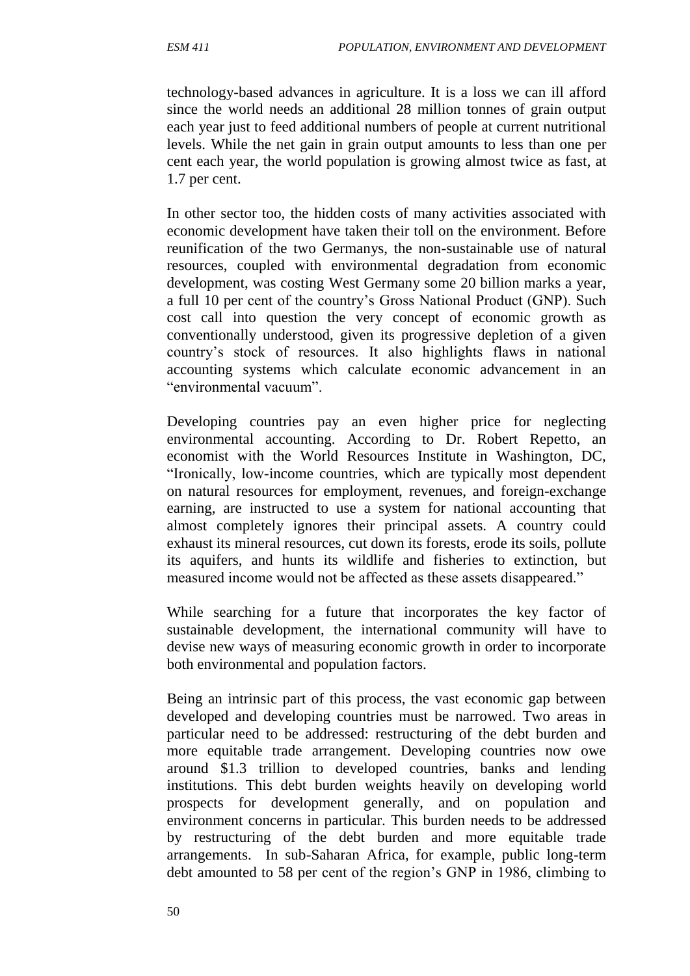technology-based advances in agriculture. It is a loss we can ill afford since the world needs an additional 28 million tonnes of grain output each year just to feed additional numbers of people at current nutritional levels. While the net gain in grain output amounts to less than one per cent each year, the world population is growing almost twice as fast, at 1.7 per cent.

In other sector too, the hidden costs of many activities associated with economic development have taken their toll on the environment. Before reunification of the two Germanys, the non-sustainable use of natural resources, coupled with environmental degradation from economic development, was costing West Germany some 20 billion marks a year, a full 10 per cent of the country's Gross National Product (GNP). Such cost call into question the very concept of economic growth as conventionally understood, given its progressive depletion of a given country's stock of resources. It also highlights flaws in national accounting systems which calculate economic advancement in an "environmental vacuum".

Developing countries pay an even higher price for neglecting environmental accounting. According to Dr. Robert Repetto, an economist with the World Resources Institute in Washington, DC, "Ironically, low-income countries, which are typically most dependent on natural resources for employment, revenues, and foreign-exchange earning, are instructed to use a system for national accounting that almost completely ignores their principal assets. A country could exhaust its mineral resources, cut down its forests, erode its soils, pollute its aquifers, and hunts its wildlife and fisheries to extinction, but measured income would not be affected as these assets disappeared."

While searching for a future that incorporates the key factor of sustainable development, the international community will have to devise new ways of measuring economic growth in order to incorporate both environmental and population factors.

Being an intrinsic part of this process, the vast economic gap between developed and developing countries must be narrowed. Two areas in particular need to be addressed: restructuring of the debt burden and more equitable trade arrangement. Developing countries now owe around \$1.3 trillion to developed countries, banks and lending institutions. This debt burden weights heavily on developing world prospects for development generally, and on population and environment concerns in particular. This burden needs to be addressed by restructuring of the debt burden and more equitable trade arrangements. In sub-Saharan Africa, for example, public long-term debt amounted to 58 per cent of the region's GNP in 1986, climbing to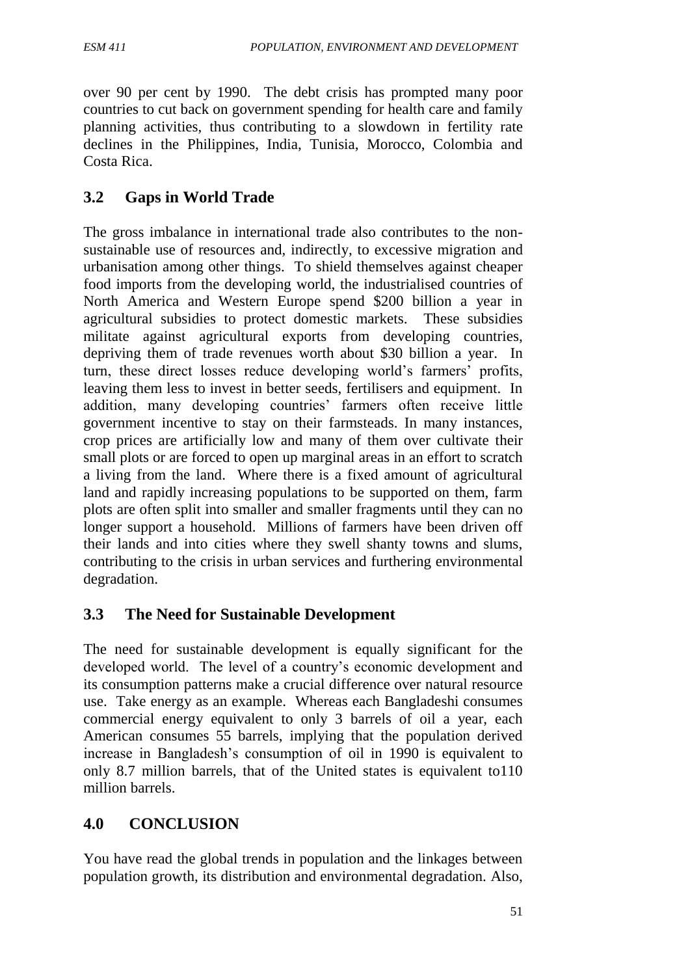over 90 per cent by 1990. The debt crisis has prompted many poor countries to cut back on government spending for health care and family planning activities, thus contributing to a slowdown in fertility rate declines in the Philippines, India, Tunisia, Morocco, Colombia and Costa Rica.

# **3.2 Gaps in World Trade**

The gross imbalance in international trade also contributes to the nonsustainable use of resources and, indirectly, to excessive migration and urbanisation among other things. To shield themselves against cheaper food imports from the developing world, the industrialised countries of North America and Western Europe spend \$200 billion a year in agricultural subsidies to protect domestic markets. These subsidies militate against agricultural exports from developing countries, depriving them of trade revenues worth about \$30 billion a year. In turn, these direct losses reduce developing world's farmers' profits, leaving them less to invest in better seeds, fertilisers and equipment. In addition, many developing countries' farmers often receive little government incentive to stay on their farmsteads. In many instances, crop prices are artificially low and many of them over cultivate their small plots or are forced to open up marginal areas in an effort to scratch a living from the land. Where there is a fixed amount of agricultural land and rapidly increasing populations to be supported on them, farm plots are often split into smaller and smaller fragments until they can no longer support a household. Millions of farmers have been driven off their lands and into cities where they swell shanty towns and slums, contributing to the crisis in urban services and furthering environmental degradation.

# **3.3 The Need for Sustainable Development**

The need for sustainable development is equally significant for the developed world. The level of a country's economic development and its consumption patterns make a crucial difference over natural resource use. Take energy as an example. Whereas each Bangladeshi consumes commercial energy equivalent to only 3 barrels of oil a year, each American consumes 55 barrels, implying that the population derived increase in Bangladesh's consumption of oil in 1990 is equivalent to only 8.7 million barrels, that of the United states is equivalent to110 million barrels.

# **4.0 CONCLUSION**

You have read the global trends in population and the linkages between population growth, its distribution and environmental degradation. Also,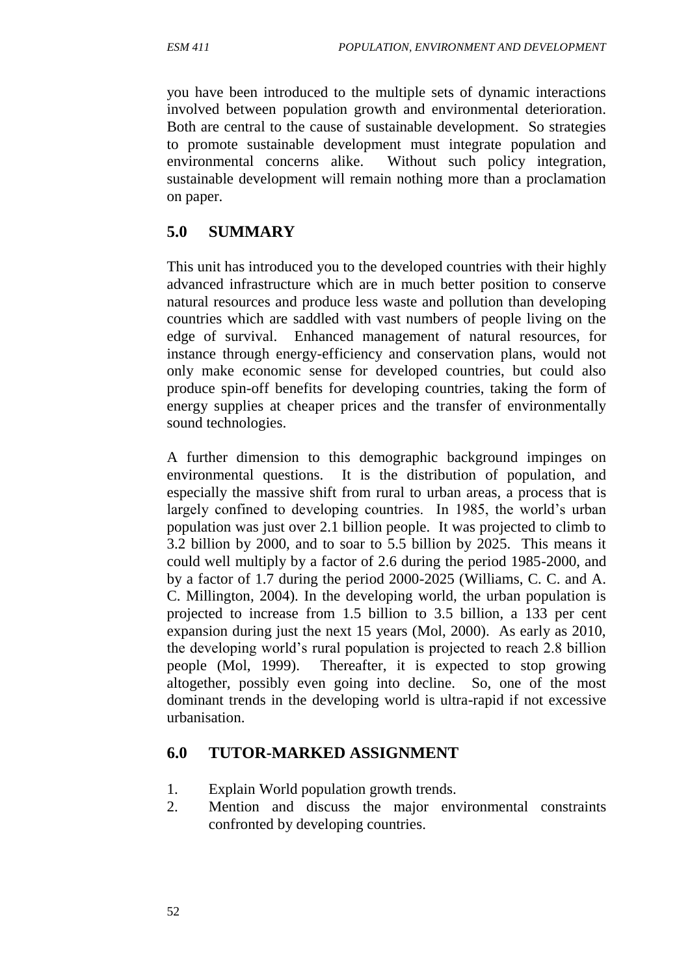you have been introduced to the multiple sets of dynamic interactions involved between population growth and environmental deterioration. Both are central to the cause of sustainable development. So strategies to promote sustainable development must integrate population and environmental concerns alike. Without such policy integration, sustainable development will remain nothing more than a proclamation on paper.

# **5.0 SUMMARY**

This unit has introduced you to the developed countries with their highly advanced infrastructure which are in much better position to conserve natural resources and produce less waste and pollution than developing countries which are saddled with vast numbers of people living on the edge of survival. Enhanced management of natural resources, for instance through energy-efficiency and conservation plans, would not only make economic sense for developed countries, but could also produce spin-off benefits for developing countries, taking the form of energy supplies at cheaper prices and the transfer of environmentally sound technologies.

A further dimension to this demographic background impinges on environmental questions. It is the distribution of population, and especially the massive shift from rural to urban areas, a process that is largely confined to developing countries. In 1985, the world's urban population was just over 2.1 billion people. It was projected to climb to 3.2 billion by 2000, and to soar to 5.5 billion by 2025. This means it could well multiply by a factor of 2.6 during the period 1985-2000, and by a factor of 1.7 during the period 2000-2025 (Williams, C. C. and A. C. Millington, 2004). In the developing world, the urban population is projected to increase from 1.5 billion to 3.5 billion, a 133 per cent expansion during just the next 15 years (Mol, 2000). As early as 2010, the developing world's rural population is projected to reach 2.8 billion people (Mol, 1999). Thereafter, it is expected to stop growing altogether, possibly even going into decline. So, one of the most dominant trends in the developing world is ultra-rapid if not excessive urbanisation.

# **6.0 TUTOR-MARKED ASSIGNMENT**

- 1. Explain World population growth trends.
- 2. Mention and discuss the major environmental constraints confronted by developing countries.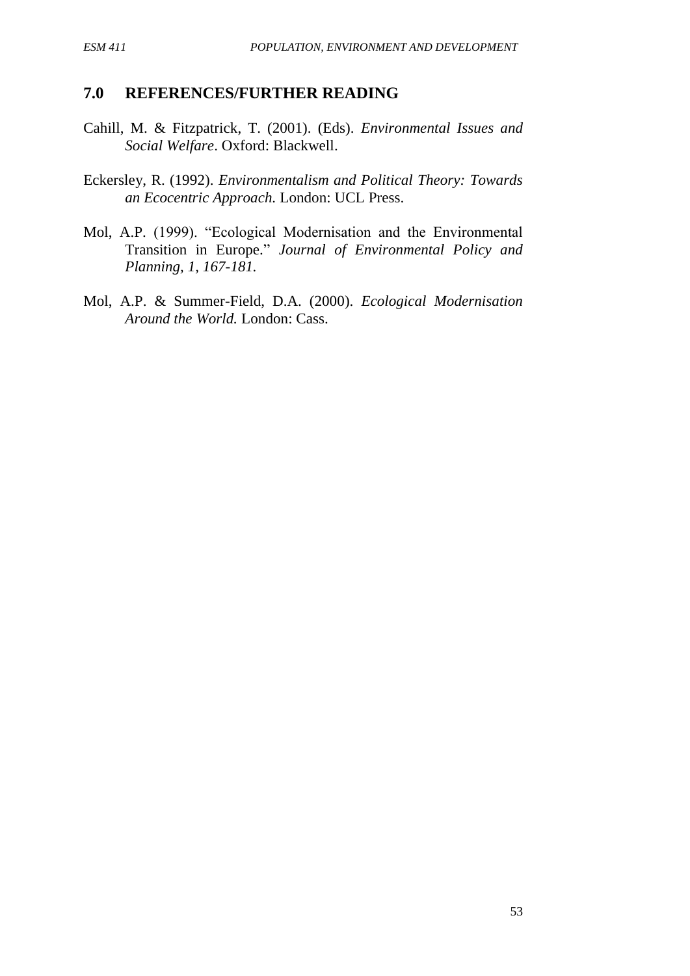#### **7.0 REFERENCES/FURTHER READING**

- Cahill, M. & Fitzpatrick, T. (2001). (Eds). *Environmental Issues and Social Welfare*. Oxford: Blackwell.
- Eckersley, R. (1992). *Environmentalism and Political Theory: Towards an Ecocentric Approach.* London: UCL Press.
- Mol, A.P. (1999). "Ecological Modernisation and the Environmental Transition in Europe." *Journal of Environmental Policy and Planning, 1, 167-181.*
- Mol, A.P. & Summer-Field, D.A. (2000). *Ecological Modernisation Around the World.* London: Cass.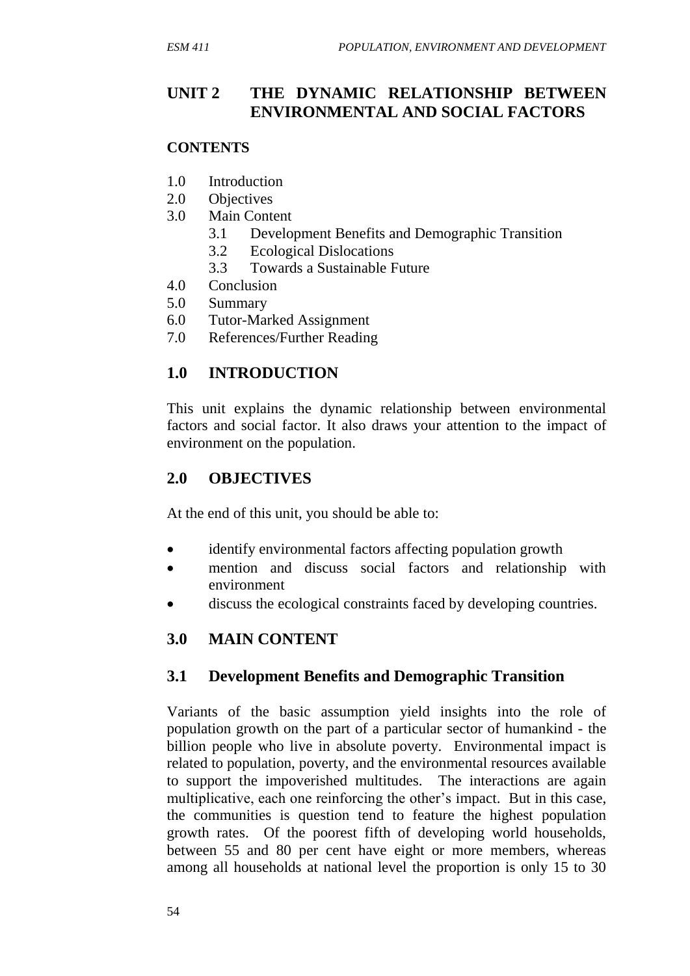## **UNIT 2 THE DYNAMIC RELATIONSHIP BETWEEN ENVIRONMENTAL AND SOCIAL FACTORS**

#### **CONTENTS**

- 1.0 Introduction
- 2.0 Objectives
- 3.0 Main Content
	- 3.1 Development Benefits and Demographic Transition
	- 3.2 Ecological Dislocations
	- 3.3 Towards a Sustainable Future
- 4.0 Conclusion
- 5.0 Summary
- 6.0 Tutor-Marked Assignment
- 7.0 References/Further Reading

# **1.0 INTRODUCTION**

This unit explains the dynamic relationship between environmental factors and social factor. It also draws your attention to the impact of environment on the population.

# **2.0 OBJECTIVES**

At the end of this unit, you should be able to:

- identify environmental factors affecting population growth
- mention and discuss social factors and relationship with environment
- discuss the ecological constraints faced by developing countries.

# **3.0 MAIN CONTENT**

#### **3.1 Development Benefits and Demographic Transition**

Variants of the basic assumption yield insights into the role of population growth on the part of a particular sector of humankind - the billion people who live in absolute poverty. Environmental impact is related to population, poverty, and the environmental resources available to support the impoverished multitudes. The interactions are again multiplicative, each one reinforcing the other's impact. But in this case, the communities is question tend to feature the highest population growth rates. Of the poorest fifth of developing world households, between 55 and 80 per cent have eight or more members, whereas among all households at national level the proportion is only 15 to 30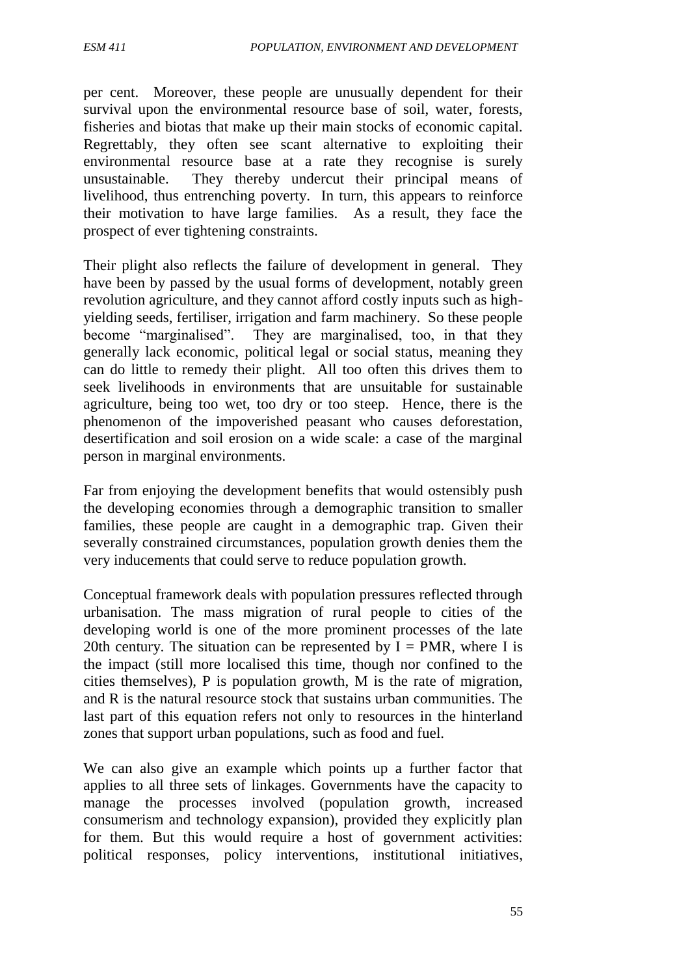per cent. Moreover, these people are unusually dependent for their survival upon the environmental resource base of soil, water, forests, fisheries and biotas that make up their main stocks of economic capital. Regrettably, they often see scant alternative to exploiting their environmental resource base at a rate they recognise is surely unsustainable. They thereby undercut their principal means of livelihood, thus entrenching poverty. In turn, this appears to reinforce their motivation to have large families. As a result, they face the prospect of ever tightening constraints.

Their plight also reflects the failure of development in general. They have been by passed by the usual forms of development, notably green revolution agriculture, and they cannot afford costly inputs such as highyielding seeds, fertiliser, irrigation and farm machinery. So these people become "marginalised". They are marginalised, too, in that they generally lack economic, political legal or social status, meaning they can do little to remedy their plight. All too often this drives them to seek livelihoods in environments that are unsuitable for sustainable agriculture, being too wet, too dry or too steep. Hence, there is the phenomenon of the impoverished peasant who causes deforestation, desertification and soil erosion on a wide scale: a case of the marginal person in marginal environments.

Far from enjoying the development benefits that would ostensibly push the developing economies through a demographic transition to smaller families, these people are caught in a demographic trap. Given their severally constrained circumstances, population growth denies them the very inducements that could serve to reduce population growth.

Conceptual framework deals with population pressures reflected through urbanisation. The mass migration of rural people to cities of the developing world is one of the more prominent processes of the late 20th century. The situation can be represented by  $I = PMR$ , where I is the impact (still more localised this time, though nor confined to the cities themselves), P is population growth, M is the rate of migration, and R is the natural resource stock that sustains urban communities. The last part of this equation refers not only to resources in the hinterland zones that support urban populations, such as food and fuel.

We can also give an example which points up a further factor that applies to all three sets of linkages. Governments have the capacity to manage the processes involved (population growth, increased consumerism and technology expansion), provided they explicitly plan for them. But this would require a host of government activities: political responses, policy interventions, institutional initiatives,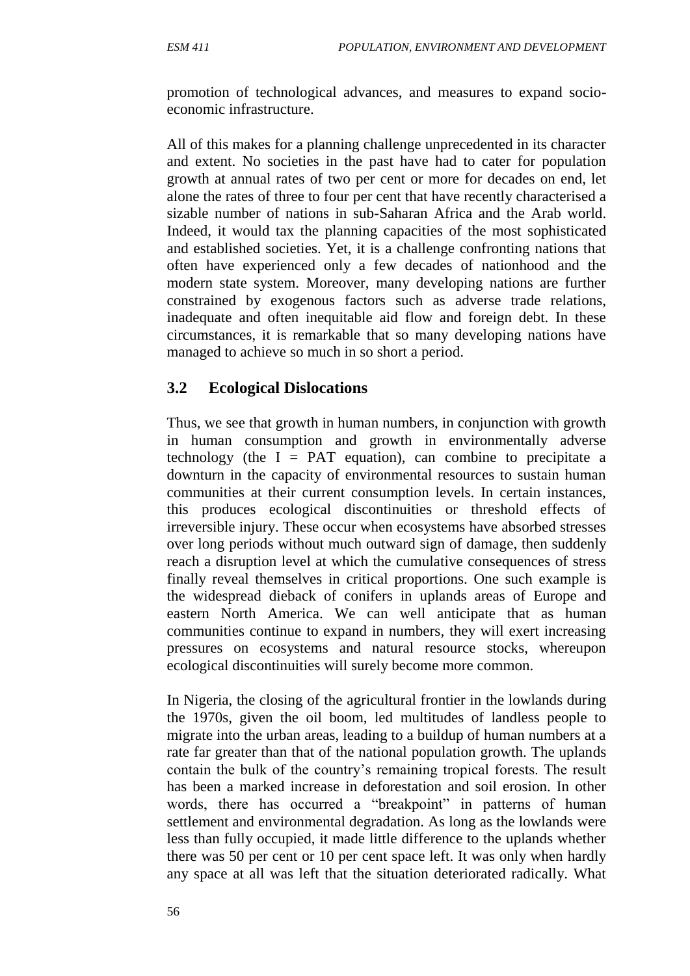promotion of technological advances, and measures to expand socioeconomic infrastructure.

All of this makes for a planning challenge unprecedented in its character and extent. No societies in the past have had to cater for population growth at annual rates of two per cent or more for decades on end, let alone the rates of three to four per cent that have recently characterised a sizable number of nations in sub-Saharan Africa and the Arab world. Indeed, it would tax the planning capacities of the most sophisticated and established societies. Yet, it is a challenge confronting nations that often have experienced only a few decades of nationhood and the modern state system. Moreover, many developing nations are further constrained by exogenous factors such as adverse trade relations, inadequate and often inequitable aid flow and foreign debt. In these circumstances, it is remarkable that so many developing nations have managed to achieve so much in so short a period.

#### **3.2 Ecological Dislocations**

Thus, we see that growth in human numbers, in conjunction with growth in human consumption and growth in environmentally adverse technology (the  $I = PAT$  equation), can combine to precipitate a downturn in the capacity of environmental resources to sustain human communities at their current consumption levels. In certain instances, this produces ecological discontinuities or threshold effects of irreversible injury. These occur when ecosystems have absorbed stresses over long periods without much outward sign of damage, then suddenly reach a disruption level at which the cumulative consequences of stress finally reveal themselves in critical proportions. One such example is the widespread dieback of conifers in uplands areas of Europe and eastern North America. We can well anticipate that as human communities continue to expand in numbers, they will exert increasing pressures on ecosystems and natural resource stocks, whereupon ecological discontinuities will surely become more common.

In Nigeria, the closing of the agricultural frontier in the lowlands during the 1970s, given the oil boom, led multitudes of landless people to migrate into the urban areas, leading to a buildup of human numbers at a rate far greater than that of the national population growth. The uplands contain the bulk of the country's remaining tropical forests. The result has been a marked increase in deforestation and soil erosion. In other words, there has occurred a "breakpoint" in patterns of human settlement and environmental degradation. As long as the lowlands were less than fully occupied, it made little difference to the uplands whether there was 50 per cent or 10 per cent space left. It was only when hardly any space at all was left that the situation deteriorated radically. What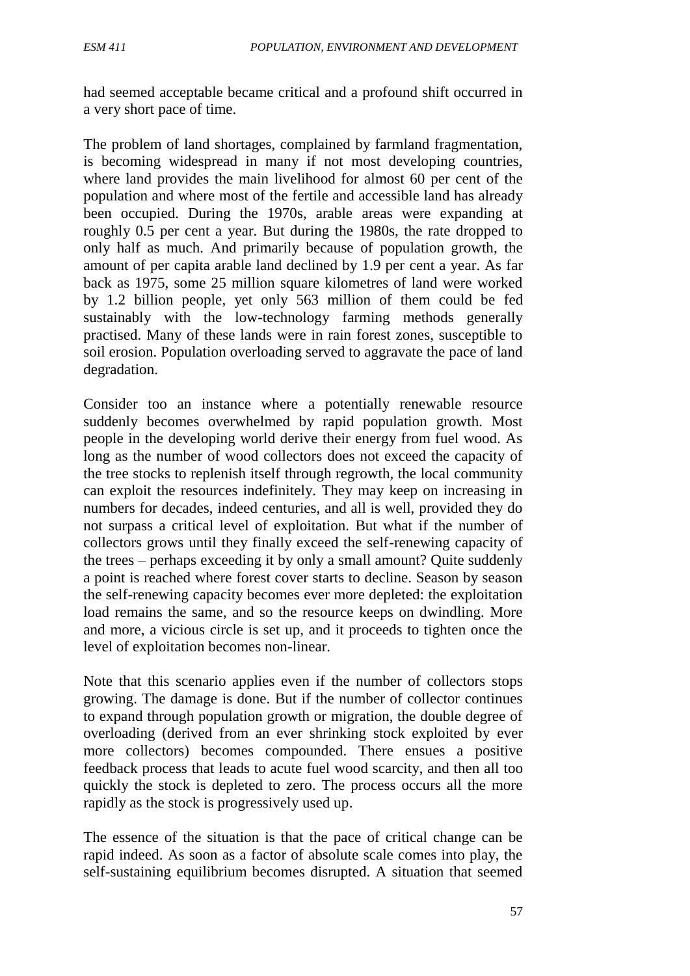had seemed acceptable became critical and a profound shift occurred in a very short pace of time.

The problem of land shortages, complained by farmland fragmentation, is becoming widespread in many if not most developing countries, where land provides the main livelihood for almost 60 per cent of the population and where most of the fertile and accessible land has already been occupied. During the 1970s, arable areas were expanding at roughly 0.5 per cent a year. But during the 1980s, the rate dropped to only half as much. And primarily because of population growth, the amount of per capita arable land declined by 1.9 per cent a year. As far back as 1975, some 25 million square kilometres of land were worked by 1.2 billion people, yet only 563 million of them could be fed sustainably with the low-technology farming methods generally practised. Many of these lands were in rain forest zones, susceptible to soil erosion. Population overloading served to aggravate the pace of land degradation.

Consider too an instance where a potentially renewable resource suddenly becomes overwhelmed by rapid population growth. Most people in the developing world derive their energy from fuel wood. As long as the number of wood collectors does not exceed the capacity of the tree stocks to replenish itself through regrowth, the local community can exploit the resources indefinitely. They may keep on increasing in numbers for decades, indeed centuries, and all is well, provided they do not surpass a critical level of exploitation. But what if the number of collectors grows until they finally exceed the self-renewing capacity of the trees – perhaps exceeding it by only a small amount? Quite suddenly a point is reached where forest cover starts to decline. Season by season the self-renewing capacity becomes ever more depleted: the exploitation load remains the same, and so the resource keeps on dwindling. More and more, a vicious circle is set up, and it proceeds to tighten once the level of exploitation becomes non-linear.

Note that this scenario applies even if the number of collectors stops growing. The damage is done. But if the number of collector continues to expand through population growth or migration, the double degree of overloading (derived from an ever shrinking stock exploited by ever more collectors) becomes compounded. There ensues a positive feedback process that leads to acute fuel wood scarcity, and then all too quickly the stock is depleted to zero. The process occurs all the more rapidly as the stock is progressively used up.

The essence of the situation is that the pace of critical change can be rapid indeed. As soon as a factor of absolute scale comes into play, the self-sustaining equilibrium becomes disrupted. A situation that seemed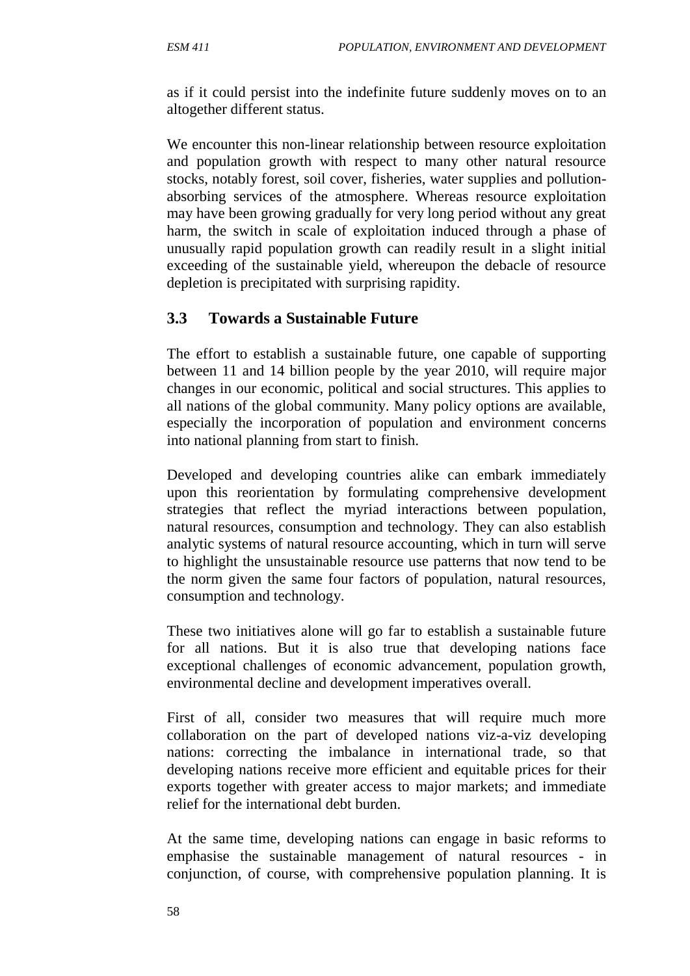as if it could persist into the indefinite future suddenly moves on to an altogether different status.

We encounter this non-linear relationship between resource exploitation and population growth with respect to many other natural resource stocks, notably forest, soil cover, fisheries, water supplies and pollutionabsorbing services of the atmosphere. Whereas resource exploitation may have been growing gradually for very long period without any great harm, the switch in scale of exploitation induced through a phase of unusually rapid population growth can readily result in a slight initial exceeding of the sustainable yield, whereupon the debacle of resource depletion is precipitated with surprising rapidity.

#### **3.3 Towards a Sustainable Future**

The effort to establish a sustainable future, one capable of supporting between 11 and 14 billion people by the year 2010, will require major changes in our economic, political and social structures. This applies to all nations of the global community. Many policy options are available, especially the incorporation of population and environment concerns into national planning from start to finish.

Developed and developing countries alike can embark immediately upon this reorientation by formulating comprehensive development strategies that reflect the myriad interactions between population, natural resources, consumption and technology. They can also establish analytic systems of natural resource accounting, which in turn will serve to highlight the unsustainable resource use patterns that now tend to be the norm given the same four factors of population, natural resources, consumption and technology.

These two initiatives alone will go far to establish a sustainable future for all nations. But it is also true that developing nations face exceptional challenges of economic advancement, population growth, environmental decline and development imperatives overall.

First of all, consider two measures that will require much more collaboration on the part of developed nations viz-a-viz developing nations: correcting the imbalance in international trade, so that developing nations receive more efficient and equitable prices for their exports together with greater access to major markets; and immediate relief for the international debt burden.

At the same time, developing nations can engage in basic reforms to emphasise the sustainable management of natural resources - in conjunction, of course, with comprehensive population planning. It is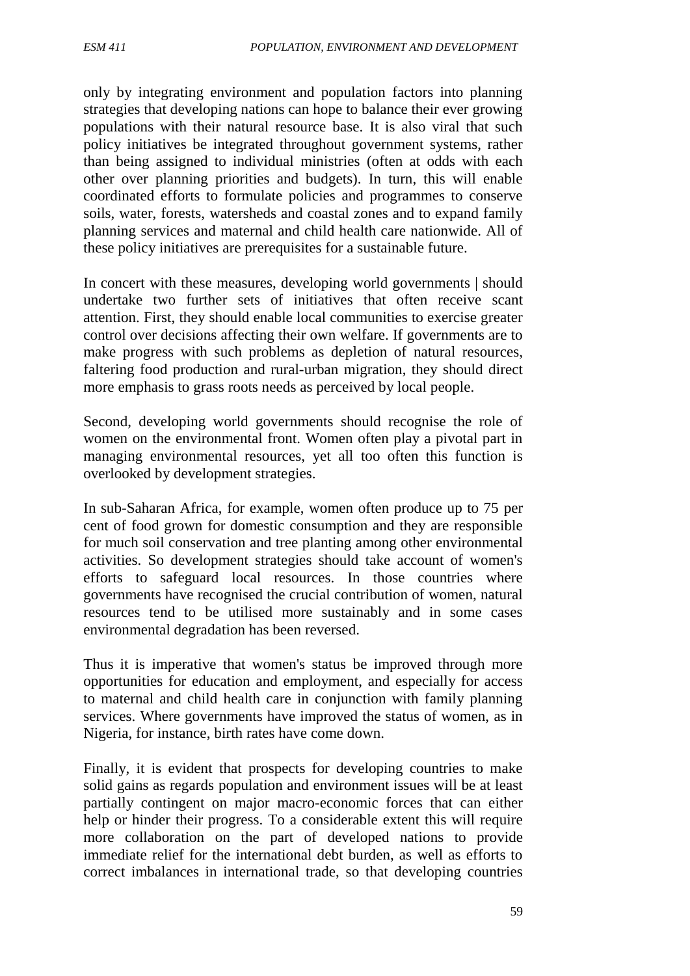only by integrating environment and population factors into planning strategies that developing nations can hope to balance their ever growing populations with their natural resource base. It is also viral that such policy initiatives be integrated throughout government systems, rather than being assigned to individual ministries (often at odds with each other over planning priorities and budgets). In turn, this will enable coordinated efforts to formulate policies and programmes to conserve soils, water, forests, watersheds and coastal zones and to expand family planning services and maternal and child health care nationwide. All of these policy initiatives are prerequisites for a sustainable future.

In concert with these measures, developing world governments | should undertake two further sets of initiatives that often receive scant attention. First, they should enable local communities to exercise greater control over decisions affecting their own welfare. If governments are to make progress with such problems as depletion of natural resources, faltering food production and rural-urban migration, they should direct more emphasis to grass roots needs as perceived by local people.

Second, developing world governments should recognise the role of women on the environmental front. Women often play a pivotal part in managing environmental resources, yet all too often this function is overlooked by development strategies.

In sub-Saharan Africa, for example, women often produce up to 75 per cent of food grown for domestic consumption and they are responsible for much soil conservation and tree planting among other environmental activities. So development strategies should take account of women's efforts to safeguard local resources. In those countries where governments have recognised the crucial contribution of women, natural resources tend to be utilised more sustainably and in some cases environmental degradation has been reversed.

Thus it is imperative that women's status be improved through more opportunities for education and employment, and especially for access to maternal and child health care in conjunction with family planning services. Where governments have improved the status of women, as in Nigeria, for instance, birth rates have come down.

Finally, it is evident that prospects for developing countries to make solid gains as regards population and environment issues will be at least partially contingent on major macro-economic forces that can either help or hinder their progress. To a considerable extent this will require more collaboration on the part of developed nations to provide immediate relief for the international debt burden, as well as efforts to correct imbalances in international trade, so that developing countries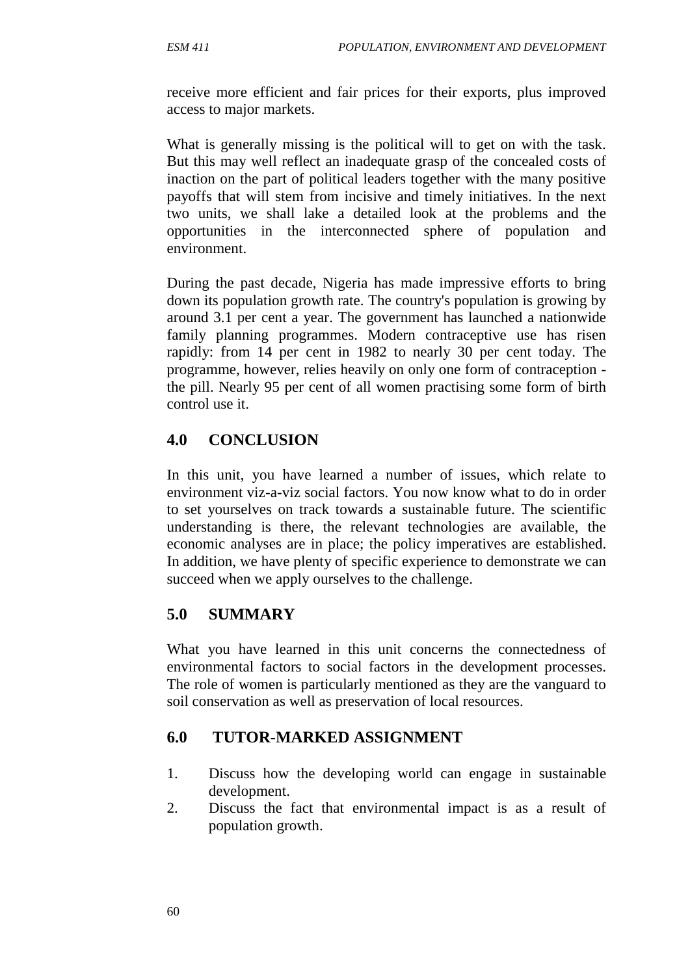receive more efficient and fair prices for their exports, plus improved access to major markets.

What is generally missing is the political will to get on with the task. But this may well reflect an inadequate grasp of the concealed costs of inaction on the part of political leaders together with the many positive payoffs that will stem from incisive and timely initiatives. In the next two units, we shall lake a detailed look at the problems and the opportunities in the interconnected sphere of population and environment.

During the past decade, Nigeria has made impressive efforts to bring down its population growth rate. The country's population is growing by around 3.1 per cent a year. The government has launched a nationwide family planning programmes. Modern contraceptive use has risen rapidly: from 14 per cent in 1982 to nearly 30 per cent today. The programme, however, relies heavily on only one form of contraception the pill. Nearly 95 per cent of all women practising some form of birth control use it.

#### **4.0 CONCLUSION**

In this unit, you have learned a number of issues, which relate to environment viz-a-viz social factors. You now know what to do in order to set yourselves on track towards a sustainable future. The scientific understanding is there, the relevant technologies are available, the economic analyses are in place; the policy imperatives are established. In addition, we have plenty of specific experience to demonstrate we can succeed when we apply ourselves to the challenge.

#### **5.0 SUMMARY**

What you have learned in this unit concerns the connectedness of environmental factors to social factors in the development processes. The role of women is particularly mentioned as they are the vanguard to soil conservation as well as preservation of local resources.

#### **6.0 TUTOR-MARKED ASSIGNMENT**

- 1. Discuss how the developing world can engage in sustainable development.
- 2. Discuss the fact that environmental impact is as a result of population growth.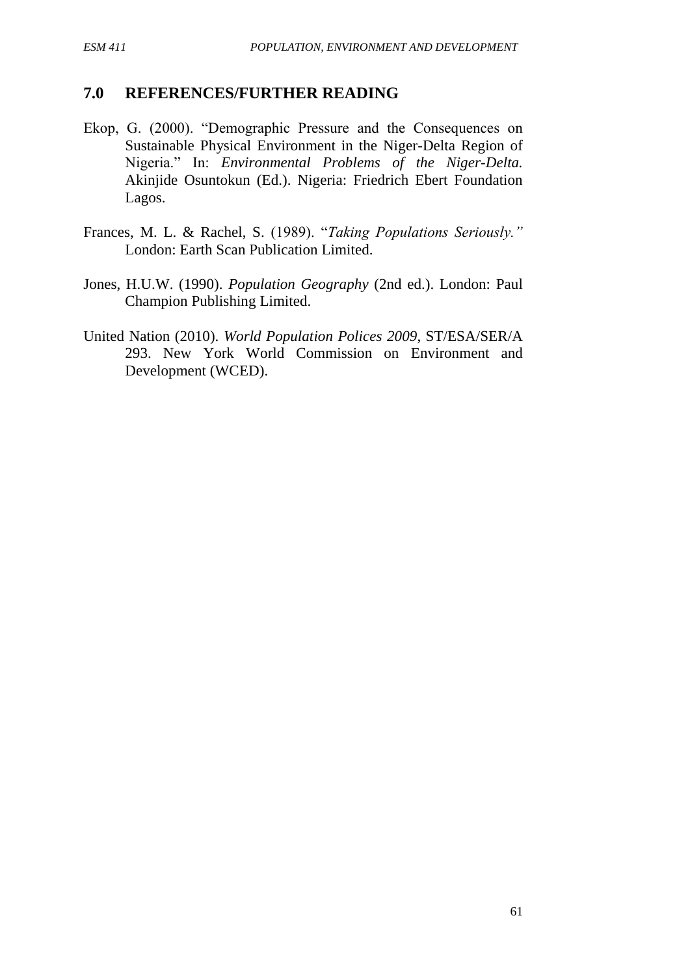#### **7.0 REFERENCES/FURTHER READING**

- Ekop, G. (2000). "Demographic Pressure and the Consequences on Sustainable Physical Environment in the Niger-Delta Region of Nigeria." In: *Environmental Problems of the Niger-Delta.* Akinjide Osuntokun (Ed.). Nigeria: Friedrich Ebert Foundation Lagos.
- Frances, M. L. & Rachel, S. (1989). "*Taking Populations Seriously."*  London: Earth Scan Publication Limited.
- Jones, H.U.W. (1990). *Population Geography* (2nd ed.). London: Paul Champion Publishing Limited.
- United Nation (2010). *World Population Polices 2009*, ST/ESA/SER/A 293. New York World Commission on Environment and Development (WCED).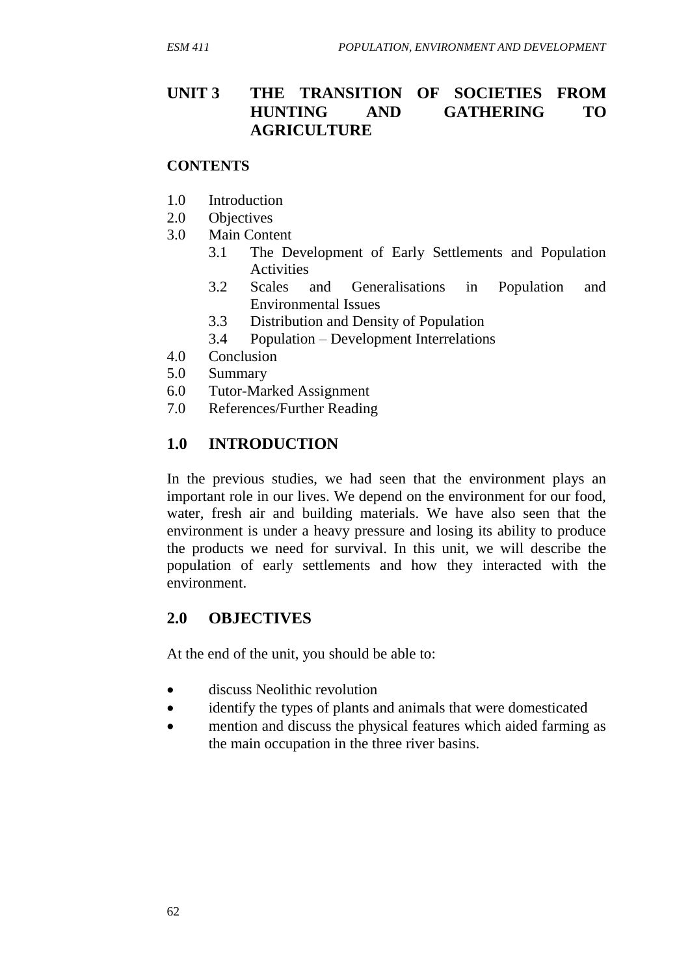### **UNIT 3 THE TRANSITION OF SOCIETIES FROM HUNTING AND GATHERING TO AGRICULTURE**

#### **CONTENTS**

- 1.0 Introduction
- 2.0 Objectives
- 3.0 Main Content
	- 3.1 The Development of Early Settlements and Population Activities
	- 3.2 Scales and Generalisations in Population and Environmental Issues
	- 3.3 Distribution and Density of Population
	- 3.4 Population Development Interrelations
- 4.0 Conclusion
- 5.0 Summary
- 6.0 Tutor-Marked Assignment
- 7.0 References/Further Reading

#### **1.0 INTRODUCTION**

In the previous studies, we had seen that the environment plays an important role in our lives. We depend on the environment for our food, water, fresh air and building materials. We have also seen that the environment is under a heavy pressure and losing its ability to produce the products we need for survival. In this unit, we will describe the population of early settlements and how they interacted with the environment.

#### **2.0 OBJECTIVES**

At the end of the unit, you should be able to:

- discuss Neolithic revolution
- identify the types of plants and animals that were domesticated
- mention and discuss the physical features which aided farming as the main occupation in the three river basins.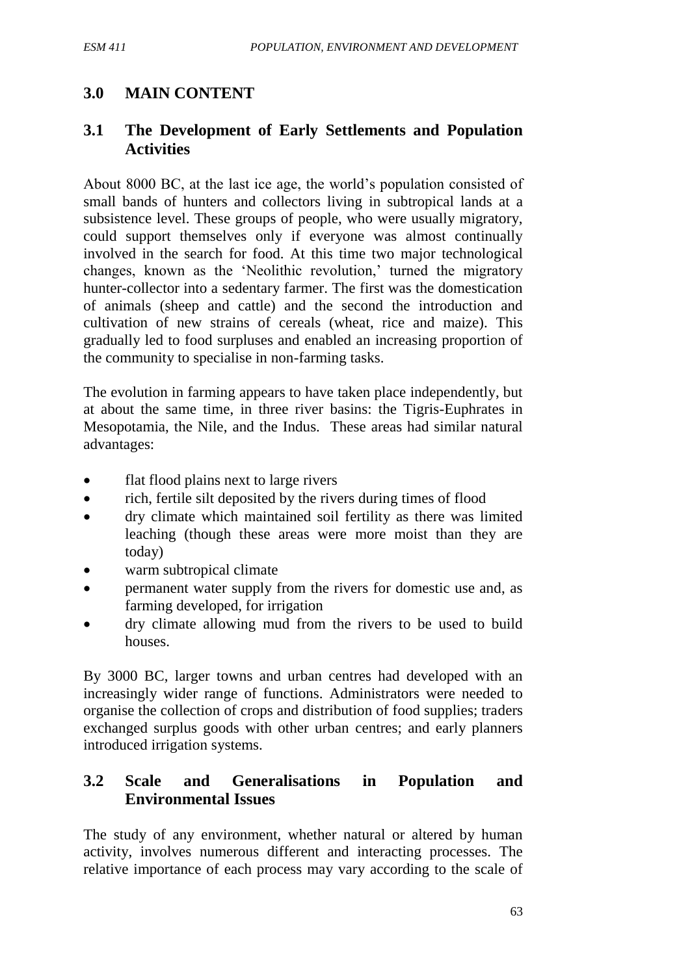## **3.0 MAIN CONTENT**

### **3.1 The Development of Early Settlements and Population Activities**

About 8000 BC, at the last ice age, the world's population consisted of small bands of hunters and collectors living in subtropical lands at a subsistence level. These groups of people, who were usually migratory, could support themselves only if everyone was almost continually involved in the search for food. At this time two major technological changes, known as the 'Neolithic revolution,' turned the migratory hunter-collector into a sedentary farmer. The first was the domestication of animals (sheep and cattle) and the second the introduction and cultivation of new strains of cereals (wheat, rice and maize). This gradually led to food surpluses and enabled an increasing proportion of the community to specialise in non-farming tasks.

The evolution in farming appears to have taken place independently, but at about the same time, in three river basins: the Tigris-Euphrates in Mesopotamia, the Nile, and the Indus. These areas had similar natural advantages:

- flat flood plains next to large rivers
- rich, fertile silt deposited by the rivers during times of flood
- dry climate which maintained soil fertility as there was limited leaching (though these areas were more moist than they are today)
- warm subtropical climate
- permanent water supply from the rivers for domestic use and, as farming developed, for irrigation
- dry climate allowing mud from the rivers to be used to build houses.

By 3000 BC, larger towns and urban centres had developed with an increasingly wider range of functions. Administrators were needed to organise the collection of crops and distribution of food supplies; traders exchanged surplus goods with other urban centres; and early planners introduced irrigation systems.

#### **3.2 Scale and Generalisations in Population and Environmental Issues**

The study of any environment, whether natural or altered by human activity, involves numerous different and interacting processes. The relative importance of each process may vary according to the scale of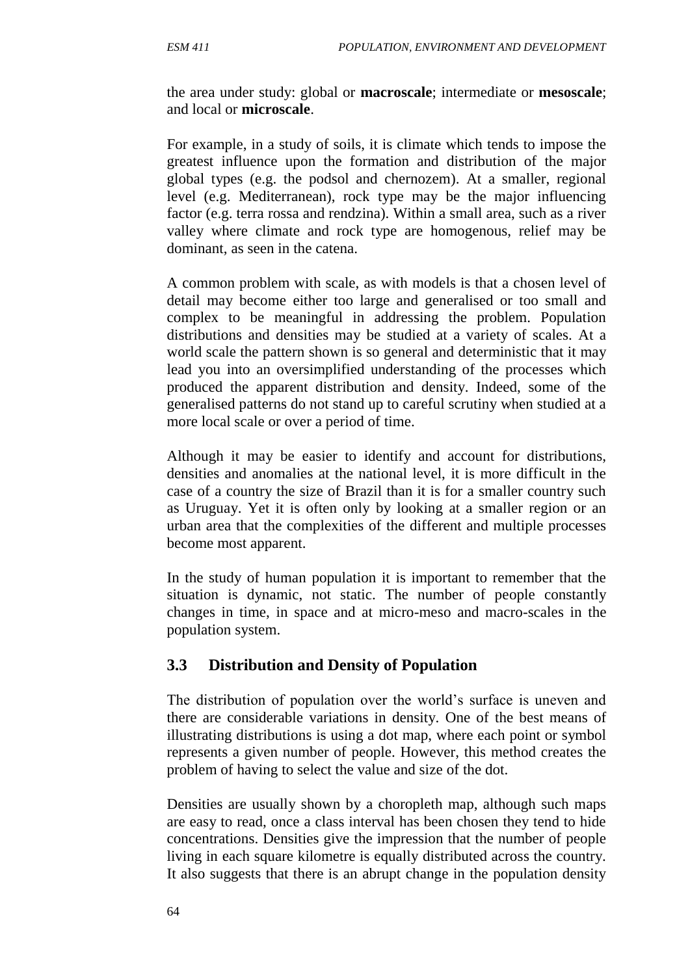the area under study: global or **macroscale**; intermediate or **mesoscale**; and local or **microscale**.

For example, in a study of soils, it is climate which tends to impose the greatest influence upon the formation and distribution of the major global types (e.g. the podsol and chernozem). At a smaller, regional level (e.g. Mediterranean), rock type may be the major influencing factor (e.g. terra rossa and rendzina). Within a small area, such as a river valley where climate and rock type are homogenous, relief may be dominant, as seen in the catena.

A common problem with scale, as with models is that a chosen level of detail may become either too large and generalised or too small and complex to be meaningful in addressing the problem. Population distributions and densities may be studied at a variety of scales. At a world scale the pattern shown is so general and deterministic that it may lead you into an oversimplified understanding of the processes which produced the apparent distribution and density. Indeed, some of the generalised patterns do not stand up to careful scrutiny when studied at a more local scale or over a period of time.

Although it may be easier to identify and account for distributions, densities and anomalies at the national level, it is more difficult in the case of a country the size of Brazil than it is for a smaller country such as Uruguay. Yet it is often only by looking at a smaller region or an urban area that the complexities of the different and multiple processes become most apparent.

In the study of human population it is important to remember that the situation is dynamic, not static. The number of people constantly changes in time, in space and at micro-meso and macro-scales in the population system.

#### **3.3 Distribution and Density of Population**

The distribution of population over the world's surface is uneven and there are considerable variations in density. One of the best means of illustrating distributions is using a dot map, where each point or symbol represents a given number of people. However, this method creates the problem of having to select the value and size of the dot.

Densities are usually shown by a choropleth map, although such maps are easy to read, once a class interval has been chosen they tend to hide concentrations. Densities give the impression that the number of people living in each square kilometre is equally distributed across the country. It also suggests that there is an abrupt change in the population density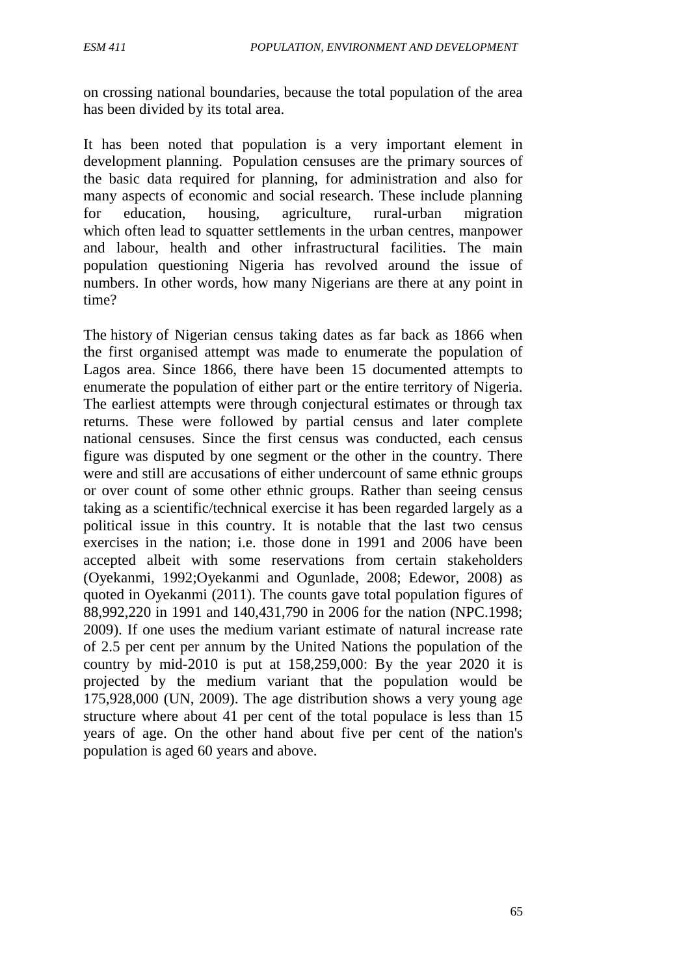on crossing national boundaries, because the total population of the area has been divided by its total area.

It has been noted that population is a very important element in development planning. Population censuses are the primary sources of the basic data required for planning, for administration and also for many aspects of economic and social research. These include planning for education, housing, agriculture, rural-urban migration which often lead to squatter settlements in the urban centres, manpower and labour, health and other infrastructural facilities. The main population questioning Nigeria has revolved around the issue of numbers. In other words, how many Nigerians are there at any point in time?

The history of Nigerian census taking dates as far back as 1866 when the first organised attempt was made to enumerate the population of Lagos area. Since 1866, there have been 15 documented attempts to enumerate the population of either part or the entire territory of Nigeria. The earliest attempts were through conjectural estimates or through tax returns. These were followed by partial census and later complete national censuses. Since the first census was conducted, each census figure was disputed by one segment or the other in the country. There were and still are accusations of either undercount of same ethnic groups or over count of some other ethnic groups. Rather than seeing census taking as a scientific/technical exercise it has been regarded largely as a political issue in this country. It is notable that the last two census exercises in the nation; i.e. those done in 1991 and 2006 have been accepted albeit with some reservations from certain stakeholders (Oyekanmi, 1992;Oyekanmi and Ogunlade, 2008; Edewor, 2008) as quoted in Oyekanmi (2011). The counts gave total population figures of 88,992,220 in 1991 and 140,431,790 in 2006 for the nation (NPC.1998; 2009). If one uses the medium variant estimate of natural increase rate of 2.5 per cent per annum by the United Nations the population of the country by mid-2010 is put at 158,259,000: By the year 2020 it is projected by the medium variant that the population would be 175,928,000 (UN, 2009). The age distribution shows a very young age structure where about 41 per cent of the total populace is less than 15 years of age. On the other hand about five per cent of the nation's population is aged 60 years and above.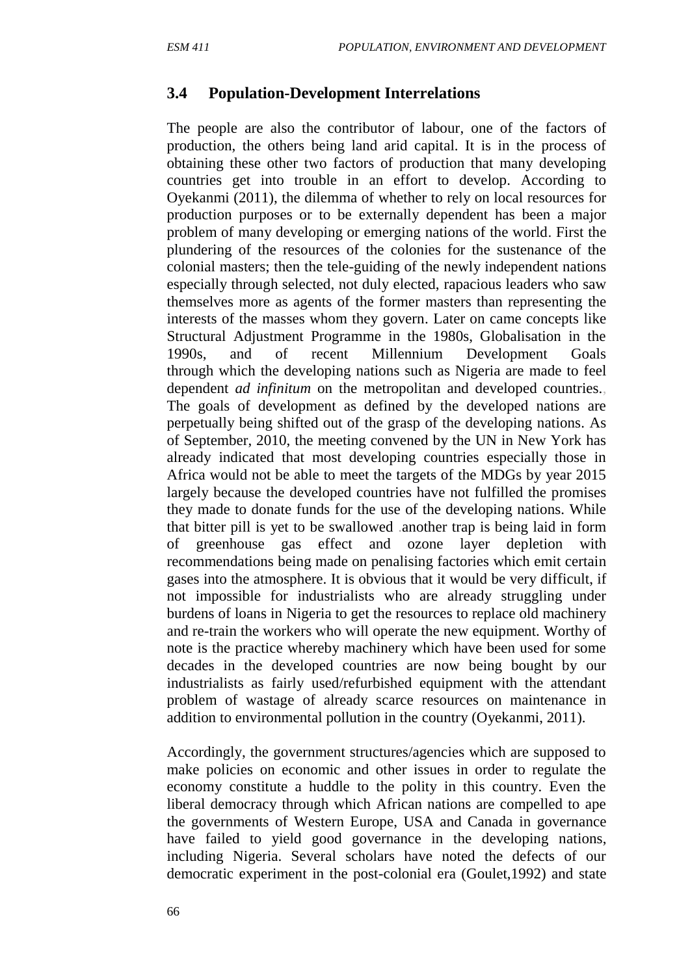#### **3.4 Population-Development Interrelations**

The people are also the contributor of labour, one of the factors of production, the others being land arid capital. It is in the process of obtaining these other two factors of production that many developing countries get into trouble in an effort to develop. According to Oyekanmi (2011), the dilemma of whether to rely on local resources for production purposes or to be externally dependent has been a major problem of many developing or emerging nations of the world. First the plundering of the resources of the colonies for the sustenance of the colonial masters; then the tele-guiding of the newly independent nations especially through selected, not duly elected, rapacious leaders who saw themselves more as agents of the former masters than representing the interests of the masses whom they govern. Later on came concepts like Structural Adjustment Programme in the 1980s, Globalisation in the 1990s, and of recent Millennium Development Goals through which the developing nations such as Nigeria are made to feel dependent *ad infinitum* on the metropolitan and developed countries., The goals of development as defined by the developed nations are perpetually being shifted out of the grasp of the developing nations. As of September, 2010, the meeting convened by the UN in New York has already indicated that most developing countries especially those in Africa would not be able to meet the targets of the MDGs by year 2015 largely because the developed countries have not fulfilled the promises they made to donate funds for the use of the developing nations. While that bitter pill is yet to be swallowed .another trap is being laid in form of greenhouse gas effect and ozone layer depletion with recommendations being made on penalising factories which emit certain gases into the atmosphere. It is obvious that it would be very difficult, if not impossible for industrialists who are already struggling under burdens of loans in Nigeria to get the resources to replace old machinery and re-train the workers who will operate the new equipment. Worthy of note is the practice whereby machinery which have been used for some decades in the developed countries are now being bought by our industrialists as fairly used/refurbished equipment with the attendant problem of wastage of already scarce resources on maintenance in addition to environmental pollution in the country (Oyekanmi, 2011).

Accordingly, the government structures/agencies which are supposed to make policies on economic and other issues in order to regulate the economy constitute a huddle to the polity in this country. Even the liberal democracy through which African nations are compelled to ape the governments of Western Europe, USA and Canada in governance have failed to yield good governance in the developing nations, including Nigeria. Several scholars have noted the defects of our democratic experiment in the post-colonial era (Goulet,1992) and state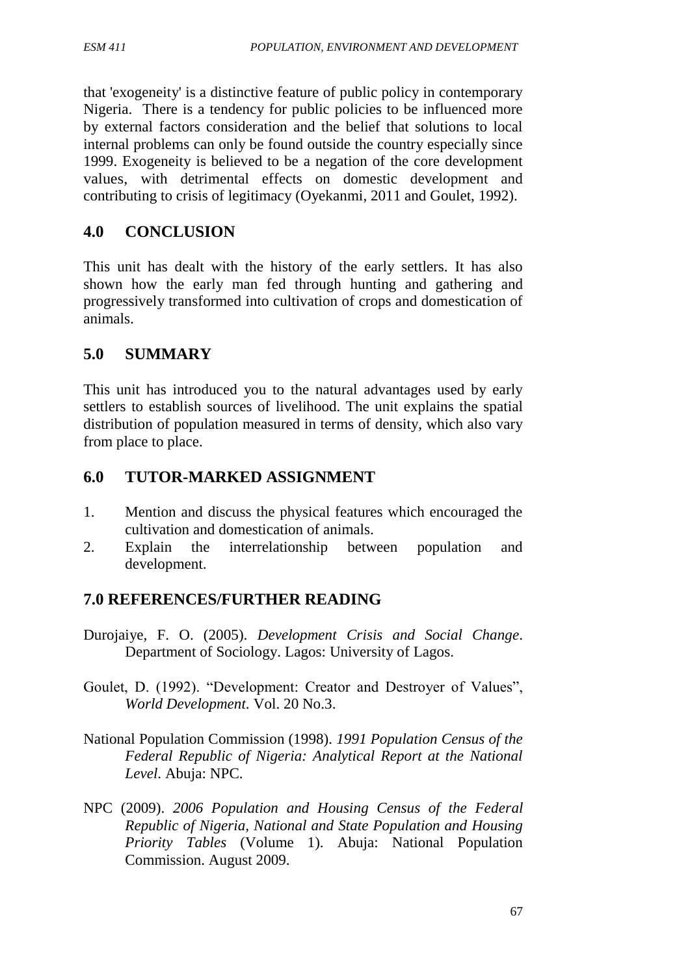that 'exogeneity' is a distinctive feature of public policy in contemporary Nigeria. There is a tendency for public policies to be influenced more by external factors consideration and the belief that solutions to local internal problems can only be found outside the country especially since 1999. Exogeneity is believed to be a negation of the core development values, with detrimental effects on domestic development and contributing to crisis of legitimacy (Oyekanmi, 2011 and Goulet, 1992).

## **4.0 CONCLUSION**

This unit has dealt with the history of the early settlers. It has also shown how the early man fed through hunting and gathering and progressively transformed into cultivation of crops and domestication of animals.

## **5.0 SUMMARY**

This unit has introduced you to the natural advantages used by early settlers to establish sources of livelihood. The unit explains the spatial distribution of population measured in terms of density, which also vary from place to place.

## **6.0 TUTOR-MARKED ASSIGNMENT**

- 1. Mention and discuss the physical features which encouraged the cultivation and domestication of animals.
- 2. Explain the interrelationship between population and development.

#### **7.0 REFERENCES/FURTHER READING**

- Durojaiye, F. O. (2005). *Development Crisis and Social Change*. Department of Sociology. Lagos: University of Lagos.
- Goulet, D. (1992). "Development: Creator and Destroyer of Values", *World Development.* Vol. 20 No.3.
- National Population Commission (1998). *1991 Population Census of the Federal Republic of Nigeria: Analytical Report at the National Level*. Abuja: NPC.
- NPC (2009). *2006 Population and Housing Census of the Federal Republic of Nigeria, National and State Population and Housing Priority Tables* (Volume 1). Abuja: National Population Commission. August 2009.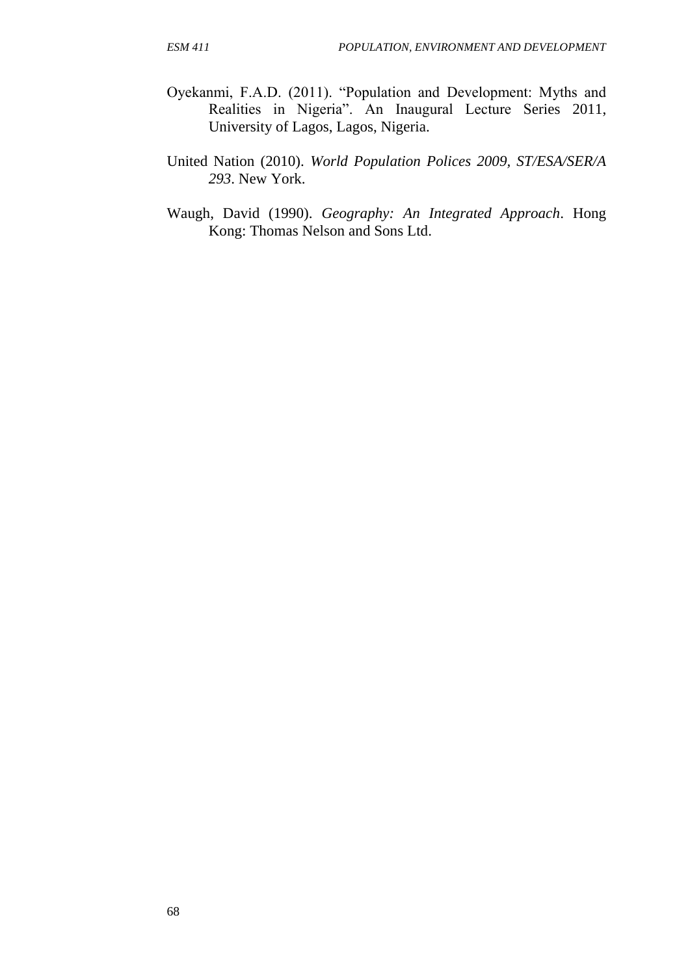- Oyekanmi, F.A.D. (2011). "Population and Development: Myths and Realities in Nigeria". An Inaugural Lecture Series 2011, University of Lagos, Lagos, Nigeria.
- United Nation (2010). *World Population Polices 2009, ST/ESA/SER/A 293*. New York.
- Waugh, David (1990). *Geography: An Integrated Approach*. Hong Kong: Thomas Nelson and Sons Ltd.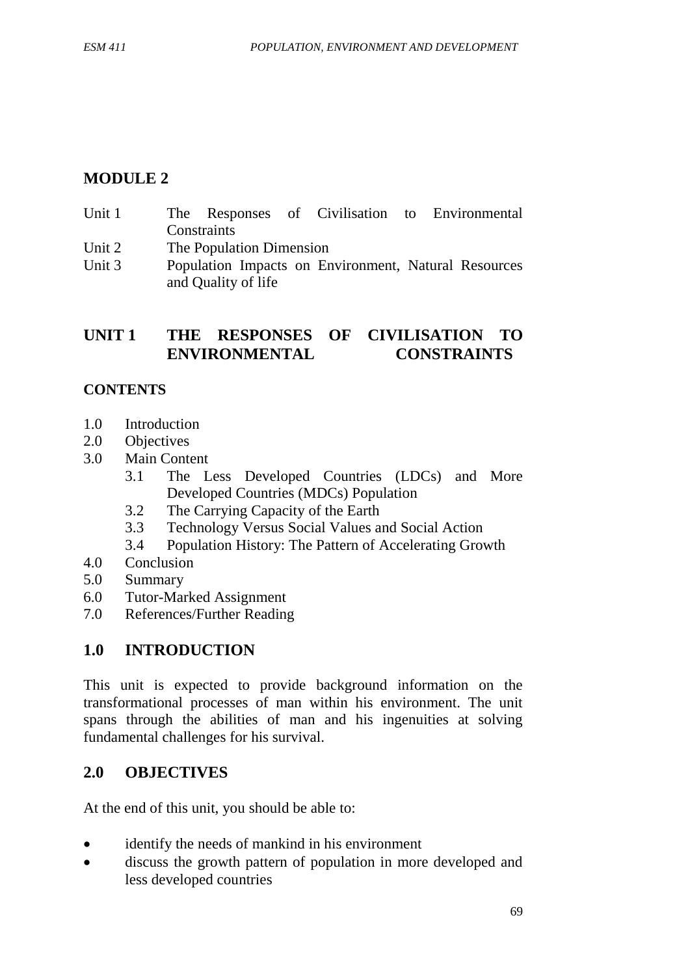# **MODULE 2**

- Unit 1 The Responses of Civilisation to Environmental **Constraints**
- Unit 2 The Population Dimension
- Unit 3 Population Impacts on Environment, Natural Resources and Quality of life

# **UNIT 1 THE RESPONSES OF CIVILISATION TO ENVIRONMENTAL CONSTRAINTS**

# **CONTENTS**

- 1.0 Introduction
- 2.0 Objectives
- 3.0 Main Content
	- 3.1 The Less Developed Countries (LDCs) and More Developed Countries (MDCs) Population
	- 3.2 The Carrying Capacity of the Earth
	- 3.3 Technology Versus Social Values and Social Action
	- 3.4 Population History: The Pattern of Accelerating Growth
- 4.0 Conclusion
- 5.0 Summary
- 6.0 Tutor-Marked Assignment
- 7.0 References/Further Reading

# **1.0 INTRODUCTION**

This unit is expected to provide background information on the transformational processes of man within his environment. The unit spans through the abilities of man and his ingenuities at solving fundamental challenges for his survival.

# **2.0 OBJECTIVES**

At the end of this unit, you should be able to:

- identify the needs of mankind in his environment
- discuss the growth pattern of population in more developed and less developed countries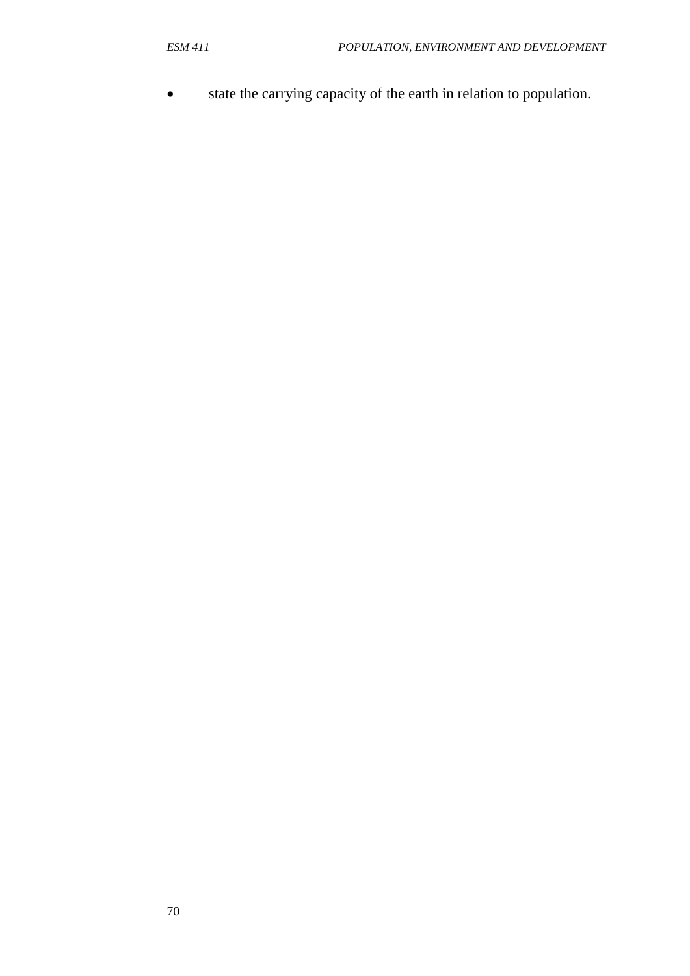state the carrying capacity of the earth in relation to population.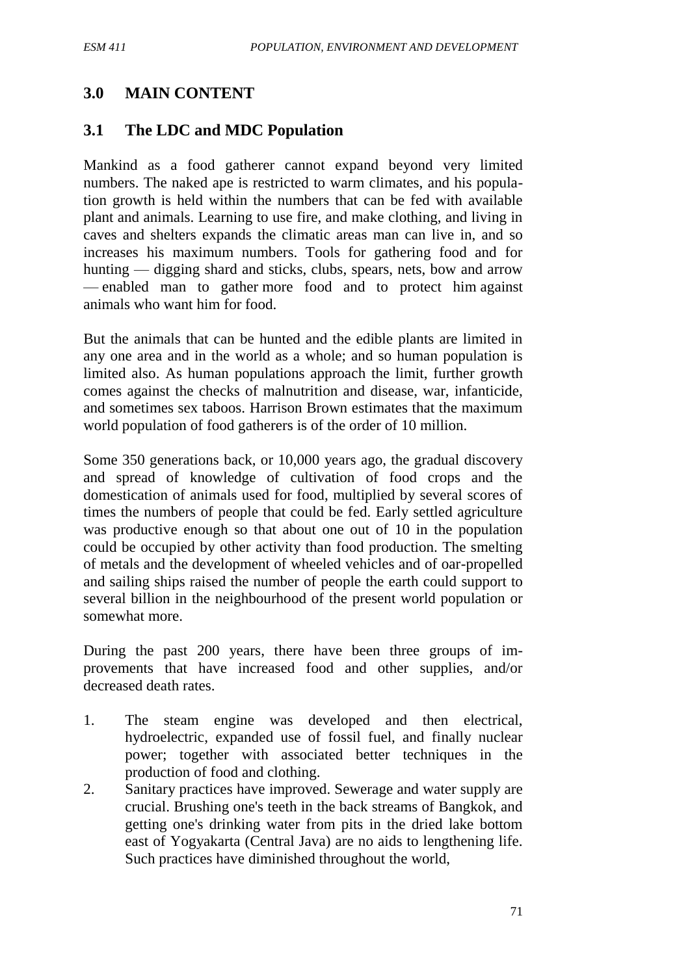### **3.0 MAIN CONTENT**

#### **3.1 The LDC and MDC Population**

Mankind as a food gatherer cannot expand beyond very limited numbers. The naked ape is restricted to warm climates, and his population growth is held within the numbers that can be fed with available plant and animals. Learning to use fire, and make clothing, and living in caves and shelters expands the climatic areas man can live in, and so increases his maximum numbers. Tools for gathering food and for hunting — digging shard and sticks, clubs, spears, nets, bow and arrow — enabled man to gather more food and to protect him against animals who want him for food.

But the animals that can be hunted and the edible plants are limited in any one area and in the world as a whole; and so human population is limited also. As human populations approach the limit, further growth comes against the checks of malnutrition and disease, war, infanticide, and sometimes sex taboos. Harrison Brown estimates that the maximum world population of food gatherers is of the order of 10 million.

Some 350 generations back, or 10,000 years ago, the gradual discovery and spread of knowledge of cultivation of food crops and the domestication of animals used for food, multiplied by several scores of times the numbers of people that could be fed. Early settled agriculture was productive enough so that about one out of 10 in the population could be occupied by other activity than food production. The smelting of metals and the development of wheeled vehicles and of oar-propelled and sailing ships raised the number of people the earth could support to several billion in the neighbourhood of the present world population or somewhat more.

During the past 200 years, there have been three groups of improvements that have increased food and other supplies, and/or decreased death rates.

- 1. The steam engine was developed and then electrical, hydroelectric, expanded use of fossil fuel, and finally nuclear power; together with associated better techniques in the production of food and clothing.
- 2. Sanitary practices have improved. Sewerage and water supply are crucial. Brushing one's teeth in the back streams of Bangkok, and getting one's drinking water from pits in the dried lake bottom east of Yogyakarta (Central Java) are no aids to lengthening life. Such practices have diminished throughout the world,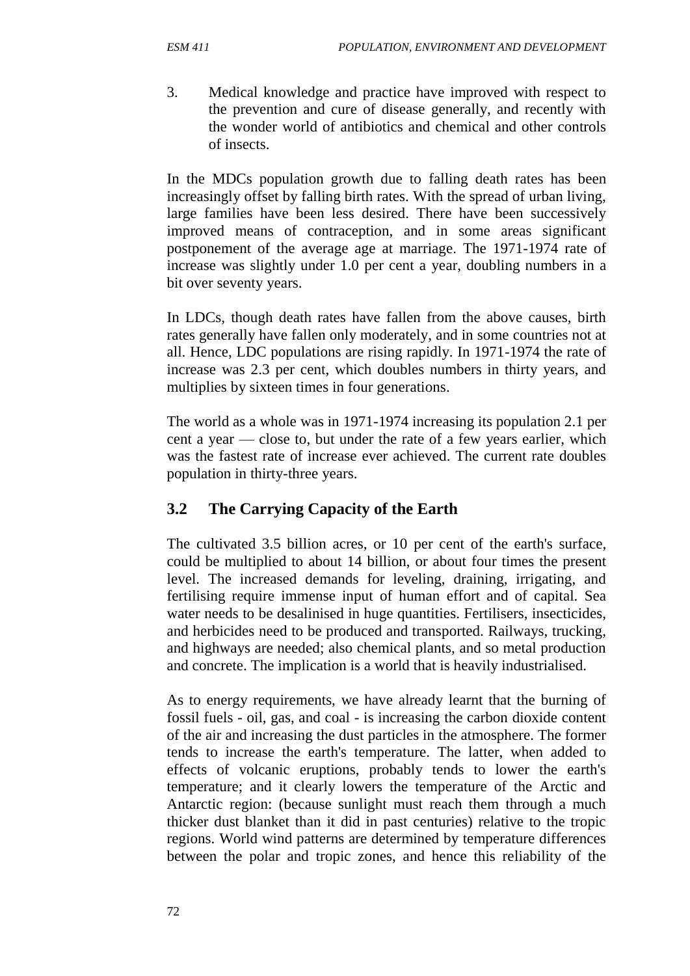3. Medical knowledge and practice have improved with respect to the prevention and cure of disease generally, and recently with the wonder world of antibiotics and chemical and other controls of insects.

In the MDCs population growth due to falling death rates has been increasingly offset by falling birth rates. With the spread of urban living, large families have been less desired. There have been successively improved means of contraception, and in some areas significant postponement of the average age at marriage. The 1971-1974 rate of increase was slightly under 1.0 per cent a year, doubling numbers in a bit over seventy years.

In LDCs, though death rates have fallen from the above causes, birth rates generally have fallen only moderately, and in some countries not at all. Hence, LDC populations are rising rapidly. In 1971-1974 the rate of increase was 2.3 per cent, which doubles numbers in thirty years, and multiplies by sixteen times in four generations.

The world as a whole was in 1971-1974 increasing its population 2.1 per cent a year — close to, but under the rate of a few years earlier, which was the fastest rate of increase ever achieved. The current rate doubles population in thirty-three years.

# **3.2 The Carrying Capacity of the Earth**

The cultivated 3.5 billion acres, or 10 per cent of the earth's surface, could be multiplied to about 14 billion, or about four times the present level. The increased demands for leveling, draining, irrigating, and fertilising require immense input of human effort and of capital. Sea water needs to be desalinised in huge quantities. Fertilisers, insecticides, and herbicides need to be produced and transported. Railways, trucking, and highways are needed; also chemical plants, and so metal production and concrete. The implication is a world that is heavily industrialised.

As to energy requirements, we have already learnt that the burning of fossil fuels - oil, gas, and coal - is increasing the carbon dioxide content of the air and increasing the dust particles in the atmosphere. The former tends to increase the earth's temperature. The latter, when added to effects of volcanic eruptions, probably tends to lower the earth's temperature; and it clearly lowers the temperature of the Arctic and Antarctic region: (because sunlight must reach them through a much thicker dust blanket than it did in past centuries) relative to the tropic regions. World wind patterns are determined by temperature differences between the polar and tropic zones, and hence this reliability of the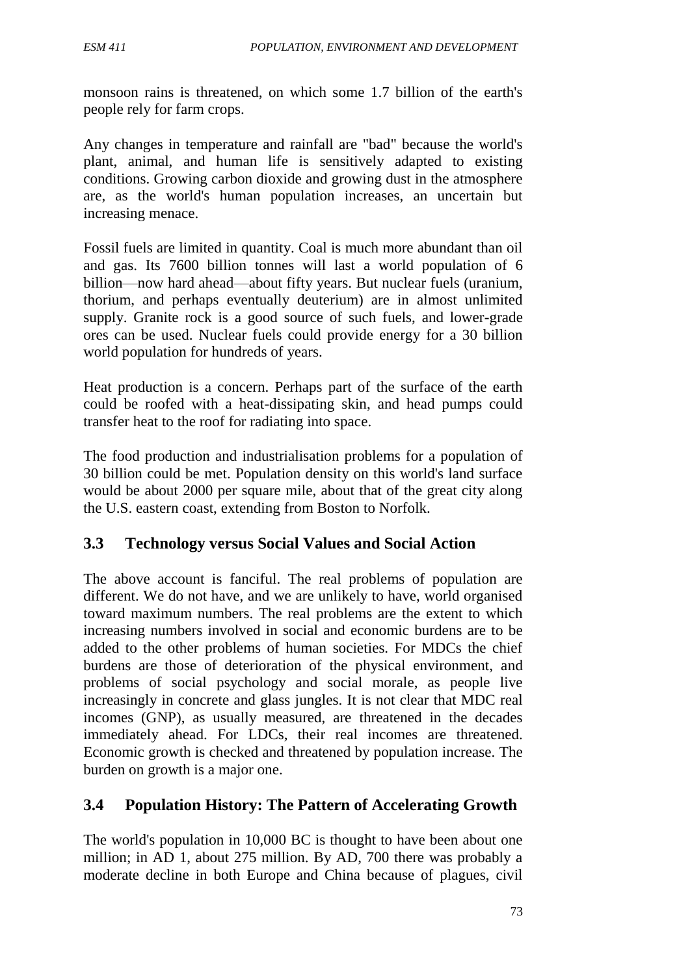monsoon rains is threatened, on which some 1.7 billion of the earth's people rely for farm crops.

Any changes in temperature and rainfall are "bad" because the world's plant, animal, and human life is sensitively adapted to existing conditions. Growing carbon dioxide and growing dust in the atmosphere are, as the world's human population increases, an uncertain but increasing menace.

Fossil fuels are limited in quantity. Coal is much more abundant than oil and gas. Its 7600 billion tonnes will last a world population of 6 billion—now hard ahead—about fifty years. But nuclear fuels (uranium, thorium, and perhaps eventually deuterium) are in almost unlimited supply. Granite rock is a good source of such fuels, and lower-grade ores can be used. Nuclear fuels could provide energy for a 30 billion world population for hundreds of years.

Heat production is a concern. Perhaps part of the surface of the earth could be roofed with a heat-dissipating skin, and head pumps could transfer heat to the roof for radiating into space.

The food production and industrialisation problems for a population of 30 billion could be met. Population density on this world's land surface would be about 2000 per square mile, about that of the great city along the U.S. eastern coast, extending from Boston to Norfolk.

#### **3.3 Technology versus Social Values and Social Action**

The above account is fanciful. The real problems of population are different. We do not have, and we are unlikely to have, world organised toward maximum numbers. The real problems are the extent to which increasing numbers involved in social and economic burdens are to be added to the other problems of human societies. For MDCs the chief burdens are those of deterioration of the physical environment, and problems of social psychology and social morale, as people live increasingly in concrete and glass jungles. It is not clear that MDC real incomes (GNP), as usually measured, are threatened in the decades immediately ahead. For LDCs, their real incomes are threatened. Economic growth is checked and threatened by population increase. The burden on growth is a major one.

#### **3.4 Population History: The Pattern of Accelerating Growth**

The world's population in 10,000 BC is thought to have been about one million; in AD 1, about 275 million. By AD, 700 there was probably a moderate decline in both Europe and China because of plagues, civil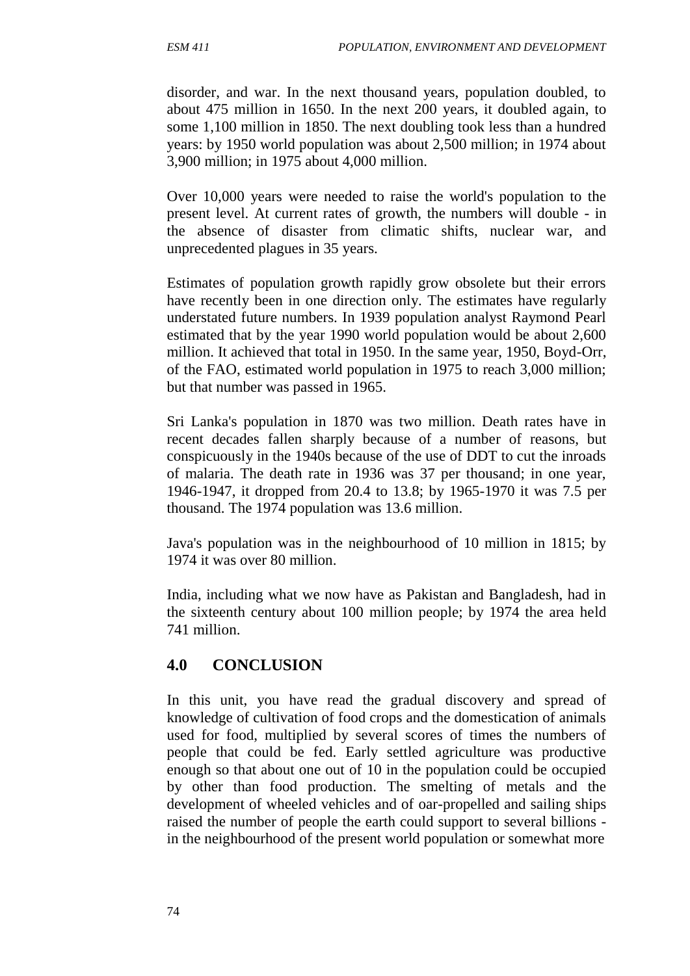disorder, and war. In the next thousand years, population doubled, to about 475 million in 1650. In the next 200 years, it doubled again, to some 1,100 million in 1850. The next doubling took less than a hundred years: by 1950 world population was about 2,500 million; in 1974 about 3,900 million; in 1975 about 4,000 million.

Over 10,000 years were needed to raise the world's population to the present level. At current rates of growth, the numbers will double - in the absence of disaster from climatic shifts, nuclear war, and unprecedented plagues in 35 years.

Estimates of population growth rapidly grow obsolete but their errors have recently been in one direction only. The estimates have regularly understated future numbers. In 1939 population analyst Raymond Pearl estimated that by the year 1990 world population would be about 2,600 million. It achieved that total in 1950. In the same year, 1950, Boyd-Orr, of the FAO, estimated world population in 1975 to reach 3,000 million; but that number was passed in 1965.

Sri Lanka's population in 1870 was two million. Death rates have in recent decades fallen sharply because of a number of reasons, but conspicuously in the 1940s because of the use of DDT to cut the inroads of malaria. The death rate in 1936 was 37 per thousand; in one year, 1946-1947, it dropped from 20.4 to 13.8; by 1965-1970 it was 7.5 per thousand. The 1974 population was 13.6 million.

Java's population was in the neighbourhood of 10 million in 1815; by 1974 it was over 80 million.

India, including what we now have as Pakistan and Bangladesh, had in the sixteenth century about 100 million people; by 1974 the area held 741 million.

#### **4.0 CONCLUSION**

In this unit, you have read the gradual discovery and spread of knowledge of cultivation of food crops and the domestication of animals used for food, multiplied by several scores of times the numbers of people that could be fed. Early settled agriculture was productive enough so that about one out of 10 in the population could be occupied by other than food production. The smelting of metals and the development of wheeled vehicles and of oar-propelled and sailing ships raised the number of people the earth could support to several billions in the neighbourhood of the present world population or somewhat more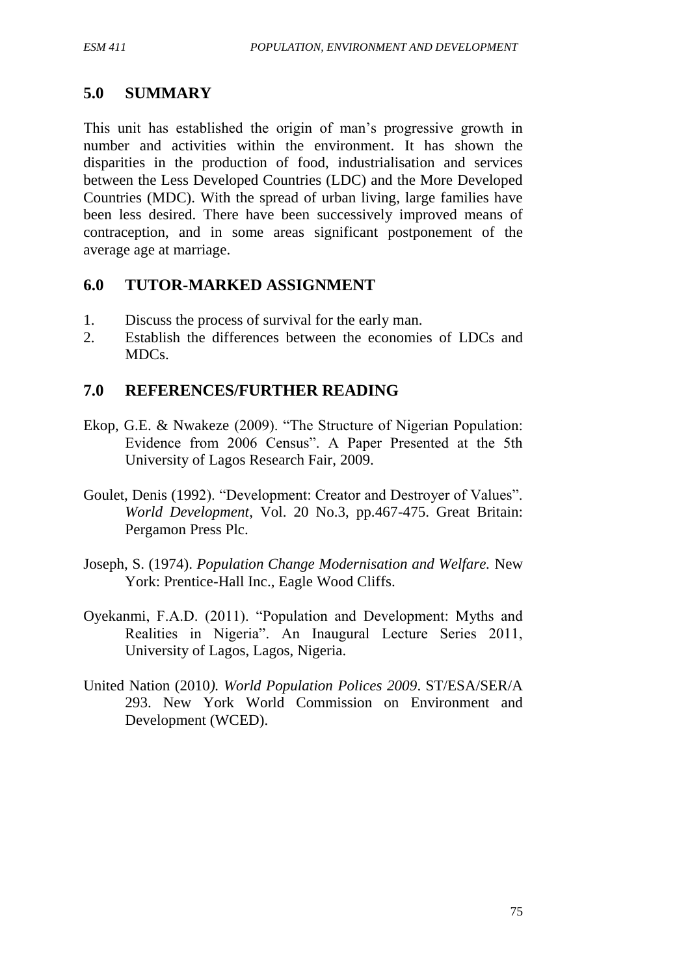## **5.0 SUMMARY**

This unit has established the origin of man's progressive growth in number and activities within the environment. It has shown the disparities in the production of food, industrialisation and services between the Less Developed Countries (LDC) and the More Developed Countries (MDC). With the spread of urban living, large families have been less desired. There have been successively improved means of contraception, and in some areas significant postponement of the average age at marriage.

## **6.0 TUTOR-MARKED ASSIGNMENT**

- 1. Discuss the process of survival for the early man.
- 2. Establish the differences between the economies of LDCs and MDCs.

## **7.0 REFERENCES/FURTHER READING**

- Ekop, G.E. & Nwakeze (2009). "The Structure of Nigerian Population: Evidence from 2006 Census". A Paper Presented at the 5th University of Lagos Research Fair, 2009.
- Goulet, Denis (1992). "Development: Creator and Destroyer of Values". *World Development*, Vol. 20 No.3, pp.467-475. Great Britain: Pergamon Press Plc.
- Joseph, S. (1974). *Population Change Modernisation and Welfare.* New York: Prentice-Hall Inc., Eagle Wood Cliffs.
- Oyekanmi, F.A.D. (2011). "Population and Development: Myths and Realities in Nigeria". An Inaugural Lecture Series 2011, University of Lagos, Lagos, Nigeria.
- United Nation (2010*). World Population Polices 2009*. ST/ESA/SER/A 293. New York World Commission on Environment and Development (WCED).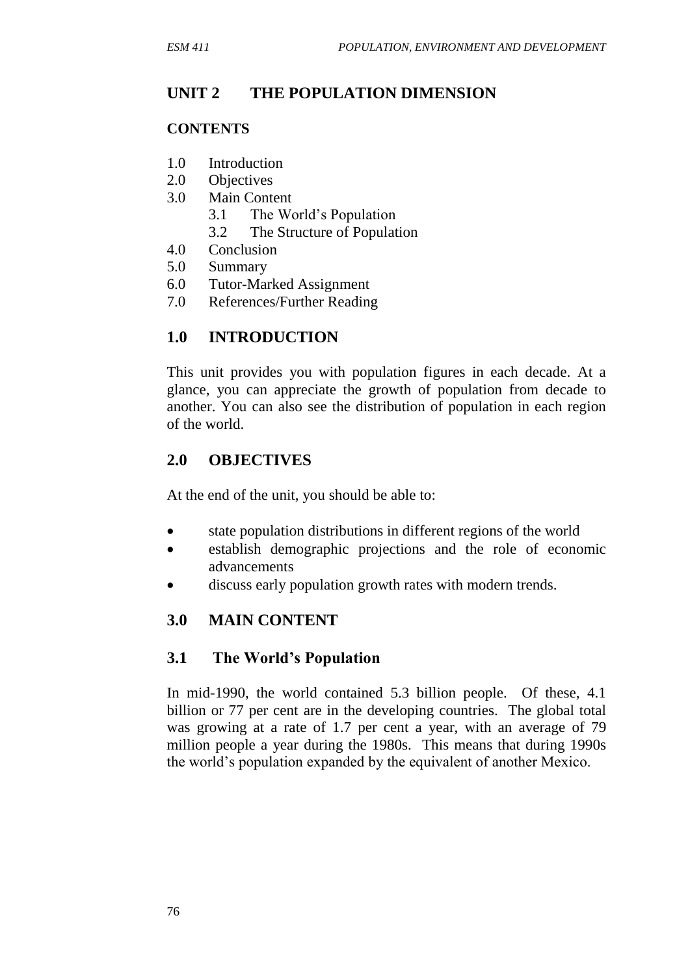# **UNIT 2 THE POPULATION DIMENSION**

#### **CONTENTS**

- 1.0 Introduction
- 2.0 Objectives
- 3.0 Main Content
	- 3.1 The World's Population
	- 3.2 The Structure of Population
- 4.0 Conclusion
- 5.0 Summary
- 6.0 Tutor-Marked Assignment
- 7.0 References/Further Reading

# **1.0 INTRODUCTION**

This unit provides you with population figures in each decade. At a glance, you can appreciate the growth of population from decade to another. You can also see the distribution of population in each region of the world.

## **2.0 OBJECTIVES**

At the end of the unit, you should be able to:

- state population distributions in different regions of the world
- establish demographic projections and the role of economic advancements
- discuss early population growth rates with modern trends.

# **3.0 MAIN CONTENT**

#### **3.1 The World's Population**

In mid-1990, the world contained 5.3 billion people. Of these, 4.1 billion or 77 per cent are in the developing countries. The global total was growing at a rate of 1.7 per cent a year, with an average of 79 million people a year during the 1980s. This means that during 1990s the world's population expanded by the equivalent of another Mexico.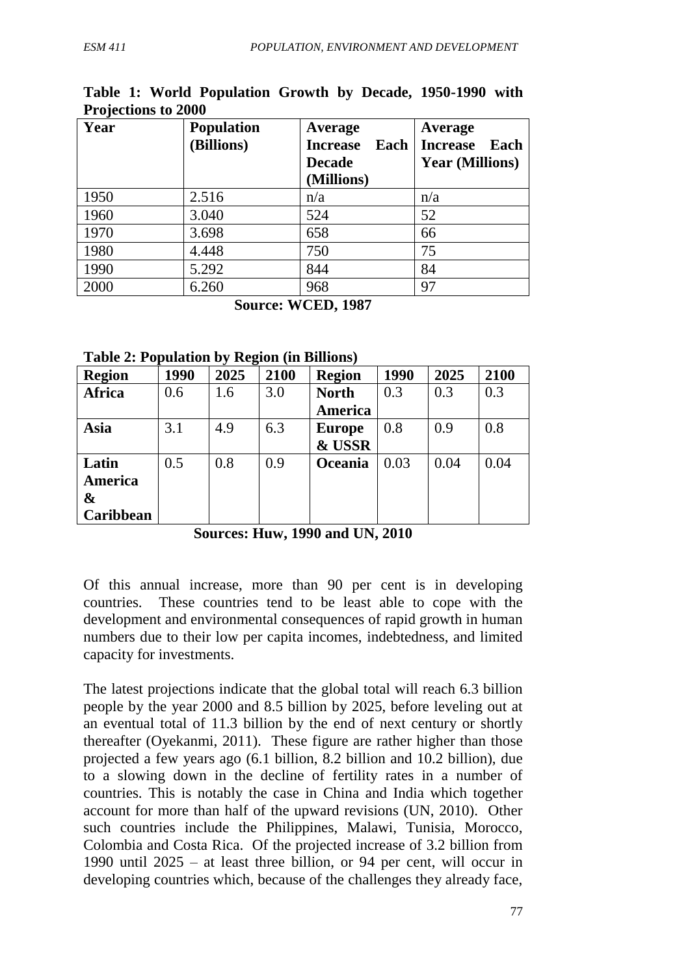| Year | <b>Population</b> | Average                 | Average                 |
|------|-------------------|-------------------------|-------------------------|
|      | (Billions)        | <b>Increase</b><br>Each | <b>Increase</b><br>Each |
|      |                   | <b>Decade</b>           | <b>Year (Millions)</b>  |
|      |                   | (Millions)              |                         |
| 1950 | 2.516             | n/a                     | n/a                     |
| 1960 | 3.040             | 524                     | 52                      |
| 1970 | 3.698             | 658                     | 66                      |
| 1980 | 4.448             | 750                     | 75                      |
| 1990 | 5.292             | 844                     | 84                      |
| 2000 | 6.260             | 968                     | 97                      |

#### **Table 1: World Population Growth by Decade, 1950-1990 with Projections to 2000**

**Source: WCED, 1987**

**Table 2: Population by Region (in Billions)**

| <b>Region</b> | 1990 | 2025 | 2100 | <b>Region</b> | 1990 | 2025 | 2100 |
|---------------|------|------|------|---------------|------|------|------|
| <b>Africa</b> | 0.6  | 1.6  | 3.0  | <b>North</b>  | 0.3  | 0.3  | 0.3  |
|               |      |      |      | America       |      |      |      |
| Asia          | 3.1  | 4.9  | 6.3  | <b>Europe</b> | 0.8  | 0.9  | 0.8  |
|               |      |      |      | & USSR        |      |      |      |
| Latin         | 0.5  | 0.8  | 0.9  | Oceania       | 0.03 | 0.04 | 0.04 |
| America       |      |      |      |               |      |      |      |
| &             |      |      |      |               |      |      |      |
| Caribbean     |      |      |      |               |      |      |      |

**Sources: Huw, 1990 and UN, 2010**

Of this annual increase, more than 90 per cent is in developing countries. These countries tend to be least able to cope with the development and environmental consequences of rapid growth in human numbers due to their low per capita incomes, indebtedness, and limited capacity for investments.

The latest projections indicate that the global total will reach 6.3 billion people by the year 2000 and 8.5 billion by 2025, before leveling out at an eventual total of 11.3 billion by the end of next century or shortly thereafter (Oyekanmi, 2011). These figure are rather higher than those projected a few years ago (6.1 billion, 8.2 billion and 10.2 billion), due to a slowing down in the decline of fertility rates in a number of countries. This is notably the case in China and India which together account for more than half of the upward revisions (UN, 2010). Other such countries include the Philippines, Malawi, Tunisia, Morocco, Colombia and Costa Rica. Of the projected increase of 3.2 billion from 1990 until 2025 – at least three billion, or 94 per cent, will occur in developing countries which, because of the challenges they already face,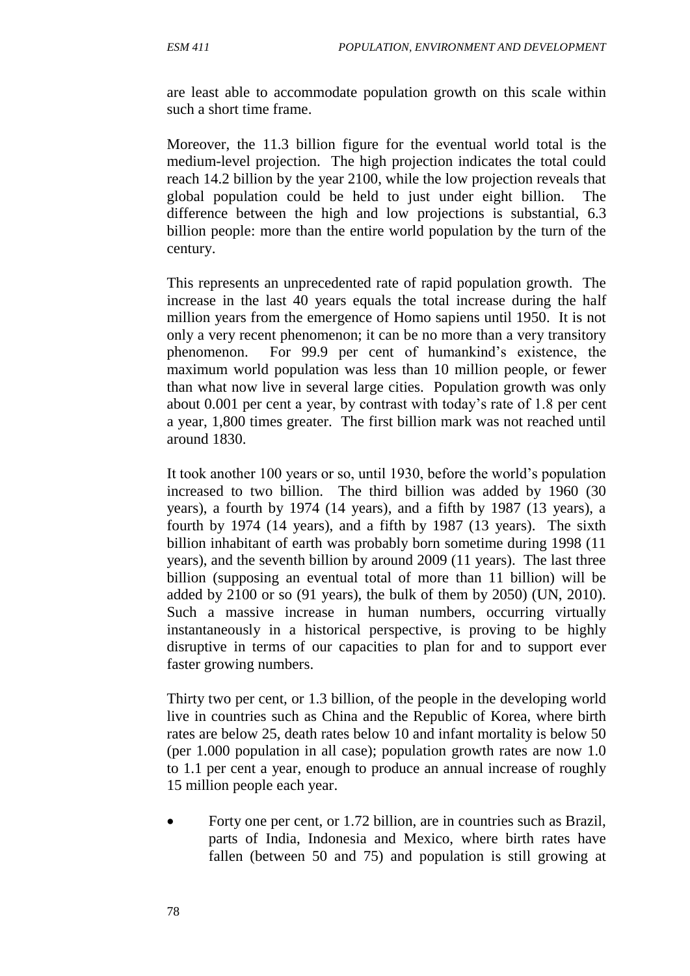are least able to accommodate population growth on this scale within such a short time frame.

Moreover, the 11.3 billion figure for the eventual world total is the medium-level projection. The high projection indicates the total could reach 14.2 billion by the year 2100, while the low projection reveals that global population could be held to just under eight billion. The difference between the high and low projections is substantial, 6.3 billion people: more than the entire world population by the turn of the century.

This represents an unprecedented rate of rapid population growth. The increase in the last 40 years equals the total increase during the half million years from the emergence of Homo sapiens until 1950. It is not only a very recent phenomenon; it can be no more than a very transitory phenomenon. For 99.9 per cent of humankind's existence, the maximum world population was less than 10 million people, or fewer than what now live in several large cities. Population growth was only about 0.001 per cent a year, by contrast with today's rate of 1.8 per cent a year, 1,800 times greater. The first billion mark was not reached until around 1830.

It took another 100 years or so, until 1930, before the world's population increased to two billion. The third billion was added by 1960 (30 years), a fourth by 1974 (14 years), and a fifth by 1987 (13 years), a fourth by 1974 (14 years), and a fifth by 1987 (13 years). The sixth billion inhabitant of earth was probably born sometime during 1998 (11 years), and the seventh billion by around 2009 (11 years). The last three billion (supposing an eventual total of more than 11 billion) will be added by 2100 or so (91 years), the bulk of them by 2050) (UN, 2010). Such a massive increase in human numbers, occurring virtually instantaneously in a historical perspective, is proving to be highly disruptive in terms of our capacities to plan for and to support ever faster growing numbers.

Thirty two per cent, or 1.3 billion, of the people in the developing world live in countries such as China and the Republic of Korea, where birth rates are below 25, death rates below 10 and infant mortality is below 50 (per 1.000 population in all case); population growth rates are now 1.0 to 1.1 per cent a year, enough to produce an annual increase of roughly 15 million people each year.

• Forty one per cent, or 1.72 billion, are in countries such as Brazil, parts of India, Indonesia and Mexico, where birth rates have fallen (between 50 and 75) and population is still growing at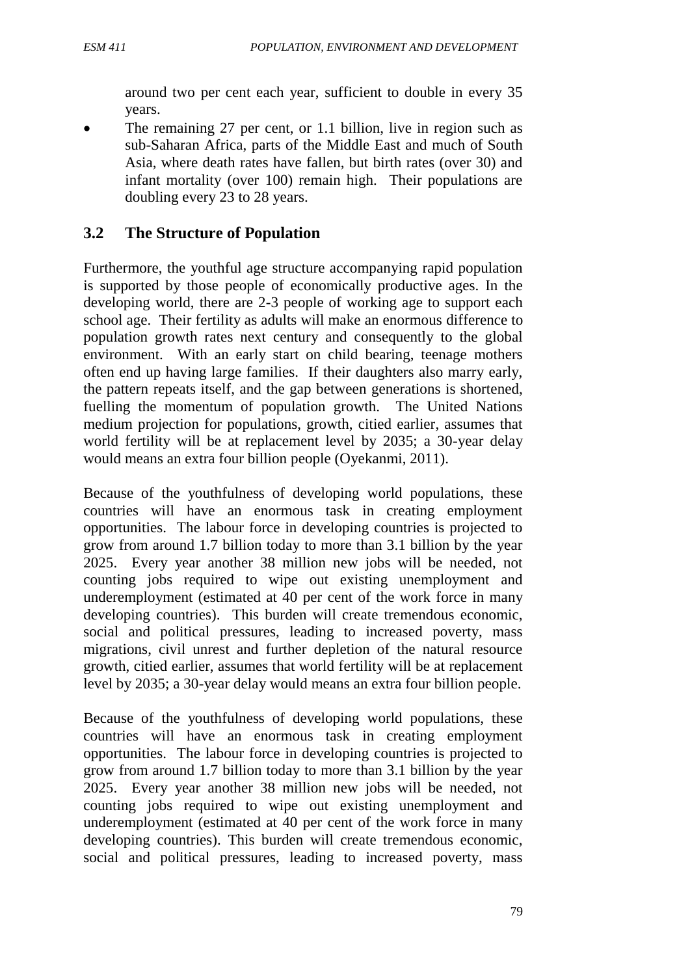around two per cent each year, sufficient to double in every 35 years.

 The remaining 27 per cent, or 1.1 billion, live in region such as sub-Saharan Africa, parts of the Middle East and much of South Asia, where death rates have fallen, but birth rates (over 30) and infant mortality (over 100) remain high. Their populations are doubling every 23 to 28 years.

# **3.2 The Structure of Population**

Furthermore, the youthful age structure accompanying rapid population is supported by those people of economically productive ages. In the developing world, there are 2-3 people of working age to support each school age. Their fertility as adults will make an enormous difference to population growth rates next century and consequently to the global environment. With an early start on child bearing, teenage mothers often end up having large families. If their daughters also marry early, the pattern repeats itself, and the gap between generations is shortened, fuelling the momentum of population growth. The United Nations medium projection for populations, growth, citied earlier, assumes that world fertility will be at replacement level by 2035; a 30-year delay would means an extra four billion people (Oyekanmi, 2011).

Because of the youthfulness of developing world populations, these countries will have an enormous task in creating employment opportunities. The labour force in developing countries is projected to grow from around 1.7 billion today to more than 3.1 billion by the year 2025. Every year another 38 million new jobs will be needed, not counting jobs required to wipe out existing unemployment and underemployment (estimated at 40 per cent of the work force in many developing countries). This burden will create tremendous economic, social and political pressures, leading to increased poverty, mass migrations, civil unrest and further depletion of the natural resource growth, citied earlier, assumes that world fertility will be at replacement level by 2035; a 30-year delay would means an extra four billion people.

Because of the youthfulness of developing world populations, these countries will have an enormous task in creating employment opportunities. The labour force in developing countries is projected to grow from around 1.7 billion today to more than 3.1 billion by the year 2025. Every year another 38 million new jobs will be needed, not counting jobs required to wipe out existing unemployment and underemployment (estimated at 40 per cent of the work force in many developing countries). This burden will create tremendous economic, social and political pressures, leading to increased poverty, mass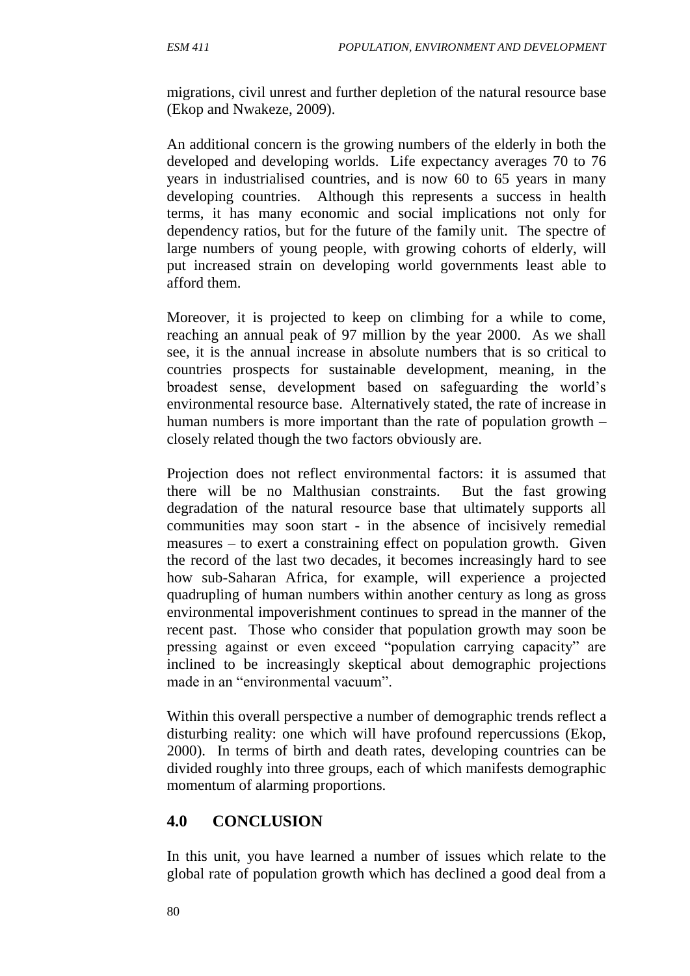migrations, civil unrest and further depletion of the natural resource base (Ekop and Nwakeze, 2009).

An additional concern is the growing numbers of the elderly in both the developed and developing worlds. Life expectancy averages 70 to 76 years in industrialised countries, and is now 60 to 65 years in many developing countries. Although this represents a success in health terms, it has many economic and social implications not only for dependency ratios, but for the future of the family unit. The spectre of large numbers of young people, with growing cohorts of elderly, will put increased strain on developing world governments least able to afford them.

Moreover, it is projected to keep on climbing for a while to come, reaching an annual peak of 97 million by the year 2000. As we shall see, it is the annual increase in absolute numbers that is so critical to countries prospects for sustainable development, meaning, in the broadest sense, development based on safeguarding the world's environmental resource base. Alternatively stated, the rate of increase in human numbers is more important than the rate of population growth – closely related though the two factors obviously are.

Projection does not reflect environmental factors: it is assumed that there will be no Malthusian constraints. But the fast growing degradation of the natural resource base that ultimately supports all communities may soon start - in the absence of incisively remedial measures – to exert a constraining effect on population growth. Given the record of the last two decades, it becomes increasingly hard to see how sub-Saharan Africa, for example, will experience a projected quadrupling of human numbers within another century as long as gross environmental impoverishment continues to spread in the manner of the recent past. Those who consider that population growth may soon be pressing against or even exceed "population carrying capacity" are inclined to be increasingly skeptical about demographic projections made in an "environmental vacuum".

Within this overall perspective a number of demographic trends reflect a disturbing reality: one which will have profound repercussions (Ekop, 2000). In terms of birth and death rates, developing countries can be divided roughly into three groups, each of which manifests demographic momentum of alarming proportions.

#### **4.0 CONCLUSION**

In this unit, you have learned a number of issues which relate to the global rate of population growth which has declined a good deal from a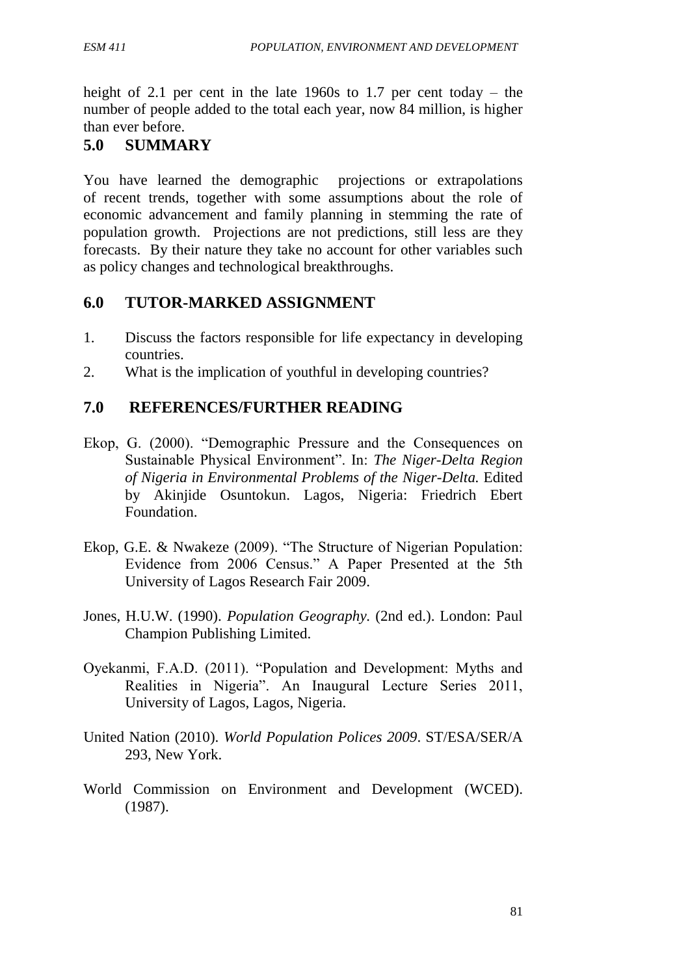height of 2.1 per cent in the late 1960s to 1.7 per cent today – the number of people added to the total each year, now 84 million, is higher than ever before.

# **5.0 SUMMARY**

You have learned the demographic projections or extrapolations of recent trends, together with some assumptions about the role of economic advancement and family planning in stemming the rate of population growth. Projections are not predictions, still less are they forecasts. By their nature they take no account for other variables such as policy changes and technological breakthroughs.

## **6.0 TUTOR-MARKED ASSIGNMENT**

- 1. Discuss the factors responsible for life expectancy in developing countries.
- 2. What is the implication of youthful in developing countries?

# **7.0 REFERENCES/FURTHER READING**

- Ekop, G. (2000). "Demographic Pressure and the Consequences on Sustainable Physical Environment". In: *The Niger-Delta Region of Nigeria in Environmental Problems of the Niger-Delta.* Edited by Akinjide Osuntokun. Lagos, Nigeria: Friedrich Ebert Foundation.
- Ekop, G.E. & Nwakeze (2009). "The Structure of Nigerian Population: Evidence from 2006 Census." A Paper Presented at the 5th University of Lagos Research Fair 2009.
- Jones, H.U.W. (1990). *Population Geography.* (2nd ed.). London: Paul Champion Publishing Limited.
- Oyekanmi, F.A.D. (2011). "Population and Development: Myths and Realities in Nigeria". An Inaugural Lecture Series 2011, University of Lagos, Lagos, Nigeria.
- United Nation (2010). *World Population Polices 2009*. ST/ESA/SER/A 293, New York.
- World Commission on Environment and Development (WCED). (1987).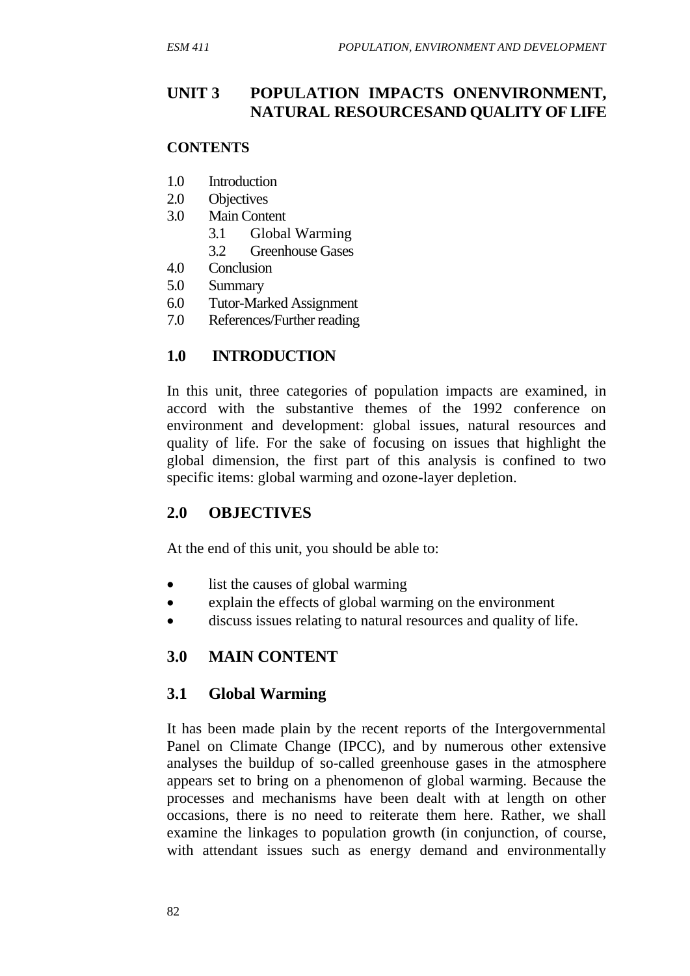#### **UNIT 3 POPULATION IMPACTS ONENVIRONMENT, NATURAL RESOURCESAND QUALITY OF LIFE**

#### **CONTENTS**

- 1.0 Introduction
- 2.0 Objectives
- 3.0 Main Content
	- 3.1 Global Warming
	- 3.2 Greenhouse Gases
- 4.0 Conclusion
- 5.0 Summary
- 6.0 Tutor-Marked Assignment
- 7.0 References/Further reading

#### **1.0 INTRODUCTION**

In this unit, three categories of population impacts are examined, in accord with the substantive themes of the 1992 conference on environment and development: global issues, natural resources and quality of life. For the sake of focusing on issues that highlight the global dimension, the first part of this analysis is confined to two specific items: global warming and ozone-layer depletion.

#### **2.0 OBJECTIVES**

At the end of this unit, you should be able to:

- list the causes of global warming
- explain the effects of global warming on the environment
- discuss issues relating to natural resources and quality of life.

#### **3.0 MAIN CONTENT**

#### **3.1 Global Warming**

It has been made plain by the recent reports of the Intergovernmental Panel on Climate Change (IPCC), and by numerous other extensive analyses the buildup of so-called greenhouse gases in the atmosphere appears set to bring on a phenomenon of global warming. Because the processes and mechanisms have been dealt with at length on other occasions, there is no need to reiterate them here. Rather, we shall examine the linkages to population growth (in conjunction, of course, with attendant issues such as energy demand and environmentally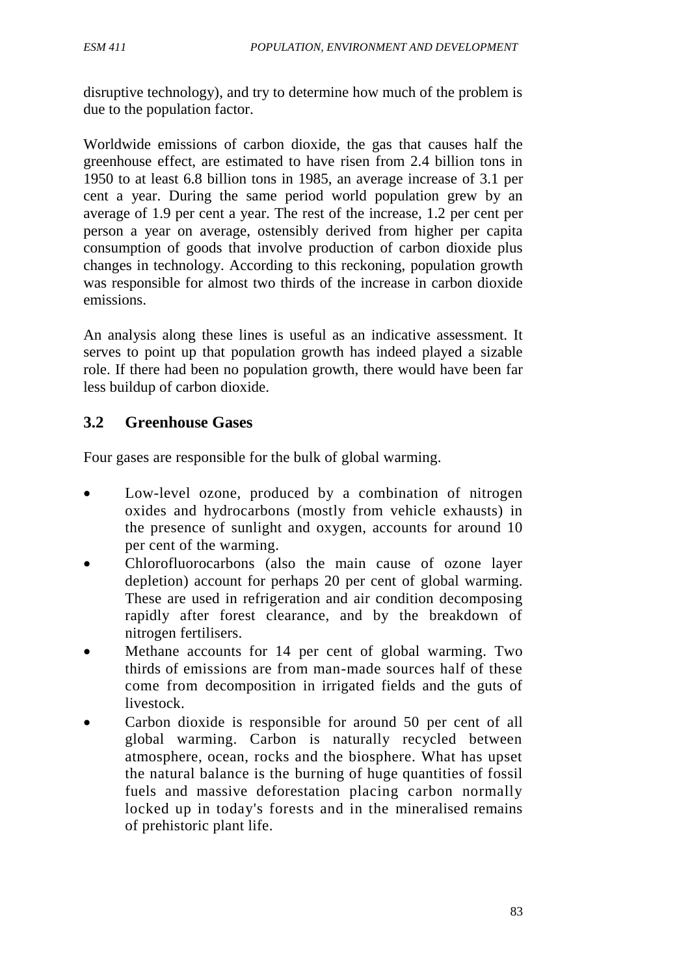disruptive technology), and try to determine how much of the problem is due to the population factor.

Worldwide emissions of carbon dioxide, the gas that causes half the greenhouse effect, are estimated to have risen from 2.4 billion tons in 1950 to at least 6.8 billion tons in 1985, an average increase of 3.1 per cent a year. During the same period world population grew by an average of 1.9 per cent a year. The rest of the increase, 1.2 per cent per person a year on average, ostensibly derived from higher per capita consumption of goods that involve production of carbon dioxide plus changes in technology. According to this reckoning, population growth was responsible for almost two thirds of the increase in carbon dioxide emissions.

An analysis along these lines is useful as an indicative assessment. It serves to point up that population growth has indeed played a sizable role. If there had been no population growth, there would have been far less buildup of carbon dioxide.

# **3.2 Greenhouse Gases**

Four gases are responsible for the bulk of global warming.

- Low-level ozone, produced by a combination of nitrogen oxides and hydrocarbons (mostly from vehicle exhausts) in the presence of sunlight and oxygen, accounts for around 10 per cent of the warming.
- Chlorofluorocarbons (also the main cause of ozone layer depletion) account for perhaps 20 per cent of global warming. These are used in refrigeration and air condition decomposing rapidly after forest clearance, and by the breakdown of nitrogen fertilisers.
- Methane accounts for 14 per cent of global warming. Two thirds of emissions are from man-made sources half of these come from decomposition in irrigated fields and the guts of livestock.
- Carbon dioxide is responsible for around 50 per cent of all global warming. Carbon is naturally recycled between atmosphere, ocean, rocks and the biosphere. What has upset the natural balance is the burning of huge quantities of fossil fuels and massive deforestation placing carbon normally locked up in today's forests and in the mineralised remains of prehistoric plant life.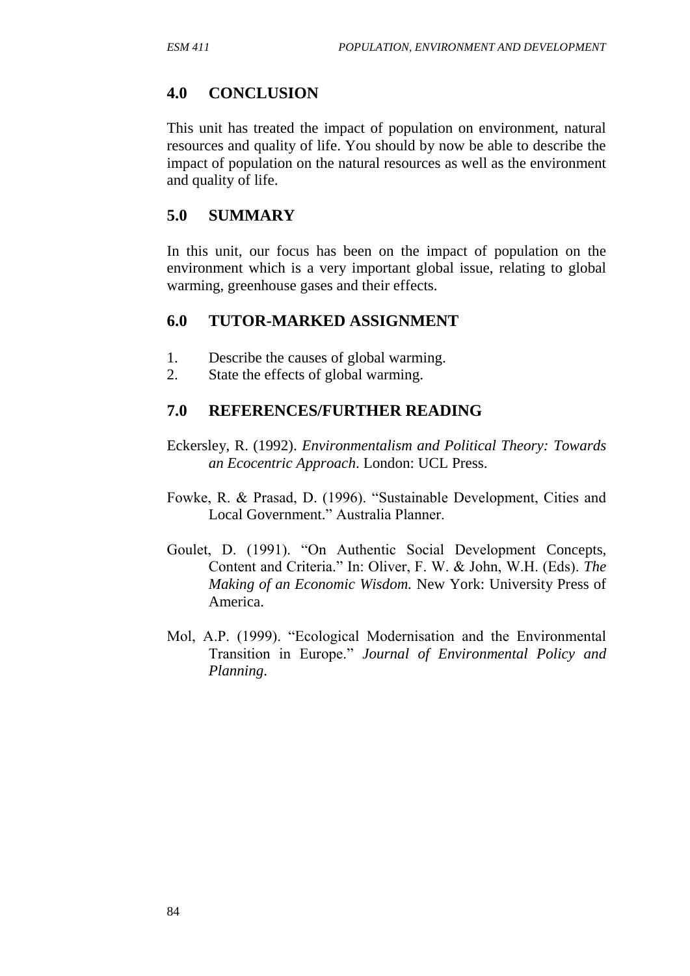#### **4.0 CONCLUSION**

This unit has treated the impact of population on environment, natural resources and quality of life. You should by now be able to describe the impact of population on the natural resources as well as the environment and quality of life.

#### **5.0 SUMMARY**

In this unit, our focus has been on the impact of population on the environment which is a very important global issue, relating to global warming, greenhouse gases and their effects.

#### **6.0 TUTOR-MARKED ASSIGNMENT**

- 1. Describe the causes of global warming.
- 2. State the effects of global warming.

#### **7.0 REFERENCES/FURTHER READING**

- Eckersley, R. (1992). *Environmentalism and Political Theory: Towards an Ecocentric Approach*. London: UCL Press.
- Fowke, R. & Prasad, D. (1996). "Sustainable Development, Cities and Local Government." Australia Planner.
- Goulet, D. (1991). "On Authentic Social Development Concepts, Content and Criteria." In: Oliver, F. W. & John, W.H. (Eds). *The Making of an Economic Wisdom.* New York: University Press of America.
- Mol, A.P. (1999). "Ecological Modernisation and the Environmental Transition in Europe." *Journal of Environmental Policy and Planning*.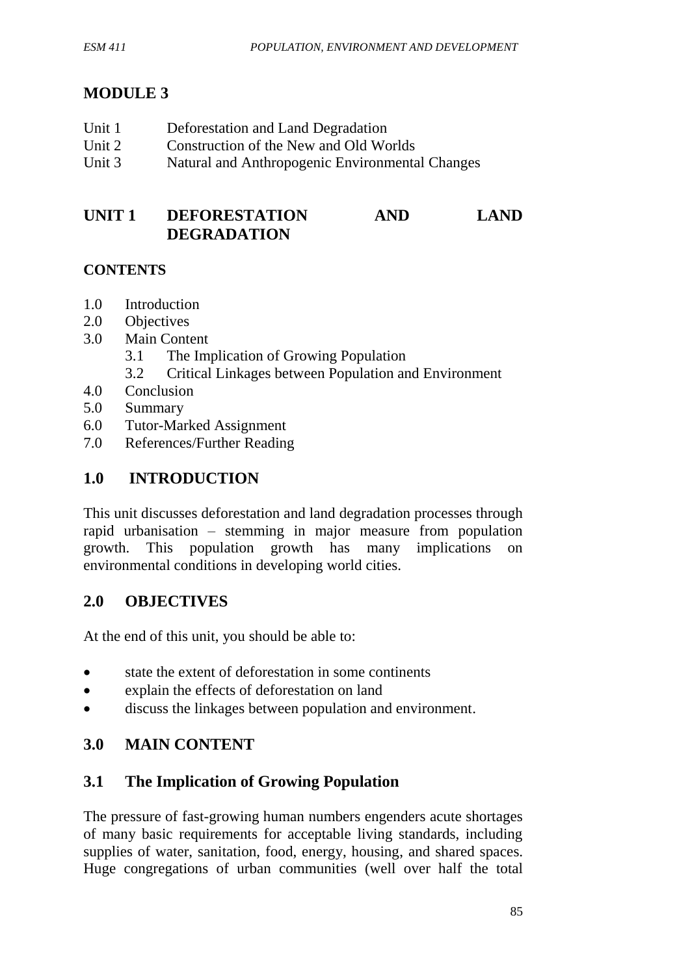# **MODULE 3**

| Unit 1 | Deforestation and Land Degradation              |
|--------|-------------------------------------------------|
| Unit 2 | Construction of the New and Old Worlds          |
| Unit 3 | Natural and Anthropogenic Environmental Changes |

## **UNIT 1 DEFORESTATION AND LAND DEGRADATION**

#### **CONTENTS**

- 1.0 Introduction
- 2.0 Objectives
- 3.0 Main Content
	- 3.1 The Implication of Growing Population
	- 3.2 Critical Linkages between Population and Environment
- 4.0 Conclusion
- 5.0 Summary
- 6.0 Tutor-Marked Assignment
- 7.0 References/Further Reading

# **1.0 INTRODUCTION**

This unit discusses deforestation and land degradation processes through rapid urbanisation – stemming in major measure from population growth. This population growth has many implications on environmental conditions in developing world cities.

#### **2.0 OBJECTIVES**

At the end of this unit, you should be able to:

- state the extent of deforestation in some continents
- explain the effects of deforestation on land
- discuss the linkages between population and environment.

# **3.0 MAIN CONTENT**

# **3.1 The Implication of Growing Population**

The pressure of fast-growing human numbers engenders acute shortages of many basic requirements for acceptable living standards, including supplies of water, sanitation, food, energy, housing, and shared spaces. Huge congregations of urban communities (well over half the total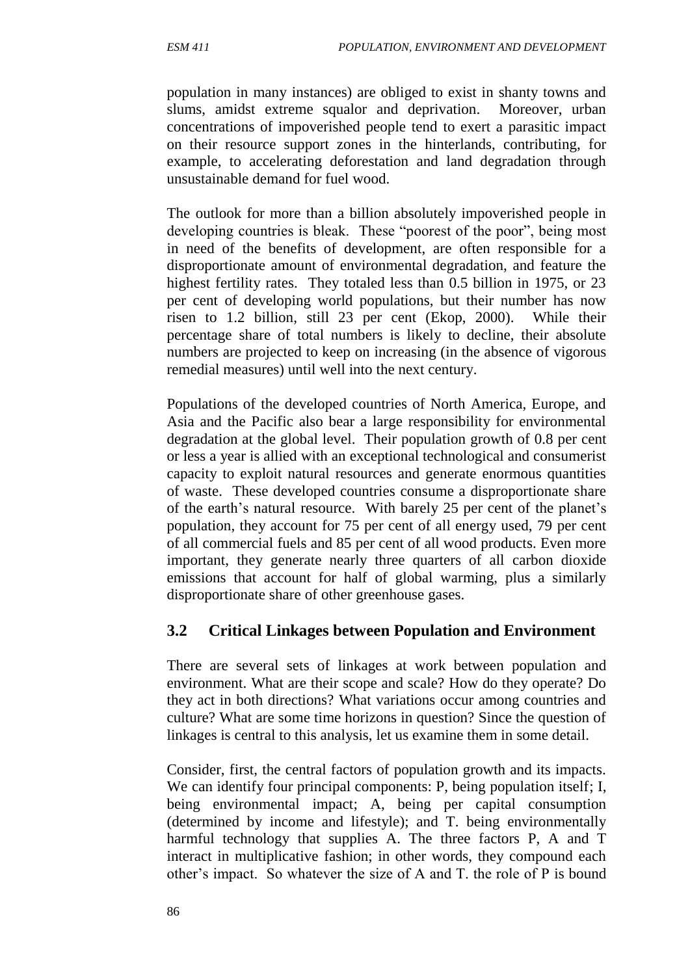population in many instances) are obliged to exist in shanty towns and slums, amidst extreme squalor and deprivation. Moreover, urban concentrations of impoverished people tend to exert a parasitic impact on their resource support zones in the hinterlands, contributing, for example, to accelerating deforestation and land degradation through unsustainable demand for fuel wood.

The outlook for more than a billion absolutely impoverished people in developing countries is bleak. These "poorest of the poor", being most in need of the benefits of development, are often responsible for a disproportionate amount of environmental degradation, and feature the highest fertility rates. They totaled less than 0.5 billion in 1975, or 23 per cent of developing world populations, but their number has now risen to 1.2 billion, still 23 per cent (Ekop, 2000). While their percentage share of total numbers is likely to decline, their absolute numbers are projected to keep on increasing (in the absence of vigorous remedial measures) until well into the next century.

Populations of the developed countries of North America, Europe, and Asia and the Pacific also bear a large responsibility for environmental degradation at the global level. Their population growth of 0.8 per cent or less a year is allied with an exceptional technological and consumerist capacity to exploit natural resources and generate enormous quantities of waste. These developed countries consume a disproportionate share of the earth's natural resource. With barely 25 per cent of the planet's population, they account for 75 per cent of all energy used, 79 per cent of all commercial fuels and 85 per cent of all wood products. Even more important, they generate nearly three quarters of all carbon dioxide emissions that account for half of global warming, plus a similarly disproportionate share of other greenhouse gases.

# **3.2 Critical Linkages between Population and Environment**

There are several sets of linkages at work between population and environment. What are their scope and scale? How do they operate? Do they act in both directions? What variations occur among countries and culture? What are some time horizons in question? Since the question of linkages is central to this analysis, let us examine them in some detail.

Consider, first, the central factors of population growth and its impacts. We can identify four principal components: P, being population itself; I, being environmental impact; A, being per capital consumption (determined by income and lifestyle); and T. being environmentally harmful technology that supplies A. The three factors P, A and T interact in multiplicative fashion; in other words, they compound each other's impact. So whatever the size of A and T. the role of P is bound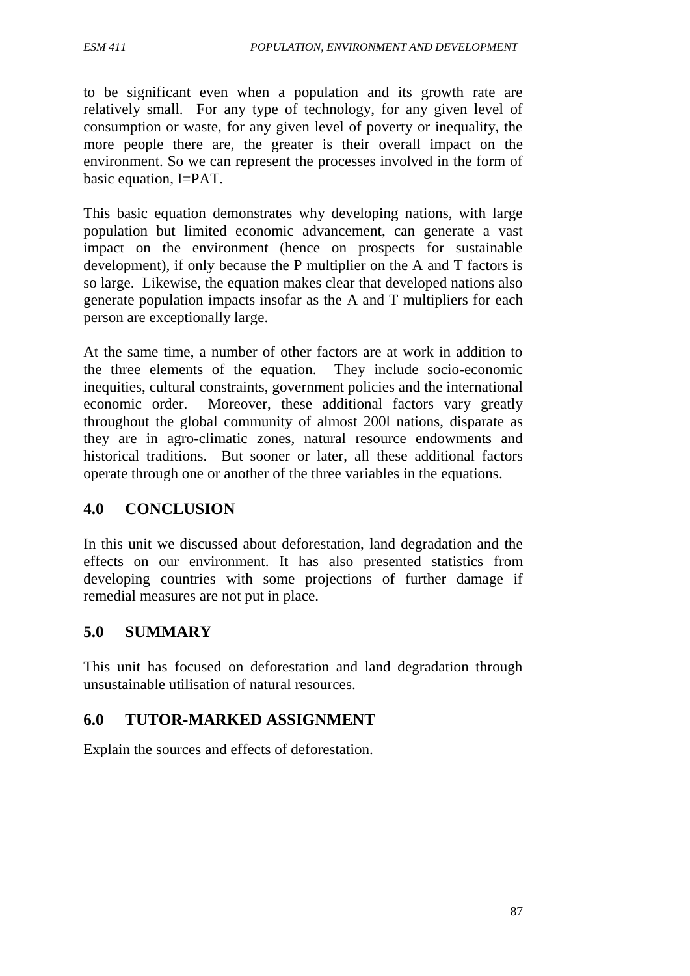to be significant even when a population and its growth rate are relatively small. For any type of technology, for any given level of consumption or waste, for any given level of poverty or inequality, the more people there are, the greater is their overall impact on the environment. So we can represent the processes involved in the form of basic equation, I=PAT.

This basic equation demonstrates why developing nations, with large population but limited economic advancement, can generate a vast impact on the environment (hence on prospects for sustainable development), if only because the P multiplier on the A and T factors is so large. Likewise, the equation makes clear that developed nations also generate population impacts insofar as the A and T multipliers for each person are exceptionally large.

At the same time, a number of other factors are at work in addition to the three elements of the equation. They include socio-economic inequities, cultural constraints, government policies and the international economic order. Moreover, these additional factors vary greatly throughout the global community of almost 200l nations, disparate as they are in agro-climatic zones, natural resource endowments and historical traditions. But sooner or later, all these additional factors operate through one or another of the three variables in the equations.

#### **4.0 CONCLUSION**

In this unit we discussed about deforestation, land degradation and the effects on our environment. It has also presented statistics from developing countries with some projections of further damage if remedial measures are not put in place.

# **5.0 SUMMARY**

This unit has focused on deforestation and land degradation through unsustainable utilisation of natural resources.

# **6.0 TUTOR-MARKED ASSIGNMENT**

Explain the sources and effects of deforestation.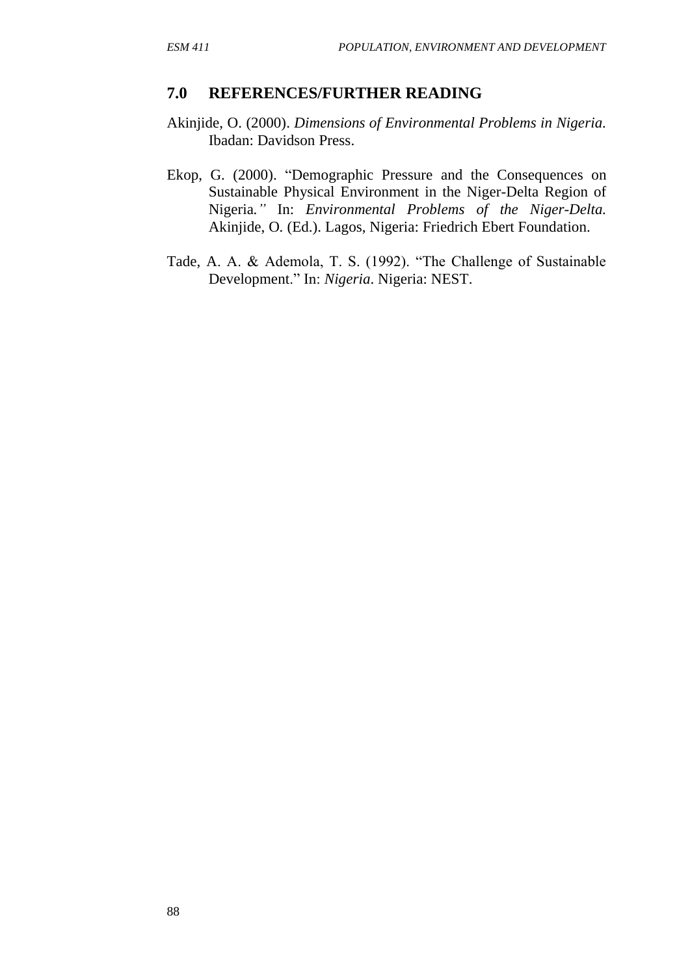#### **7.0 REFERENCES/FURTHER READING**

- Akinjide, O. (2000). *Dimensions of Environmental Problems in Nigeria.*  Ibadan: Davidson Press.
- Ekop, G. (2000). "Demographic Pressure and the Consequences on Sustainable Physical Environment in the Niger-Delta Region of Nigeria*."* In: *Environmental Problems of the Niger-Delta.* Akinjide, O*.* (Ed.). Lagos, Nigeria: Friedrich Ebert Foundation.
- Tade, A. A. & Ademola, T. S. (1992). "The Challenge of Sustainable Development." In: *Nigeria*. Nigeria: NEST.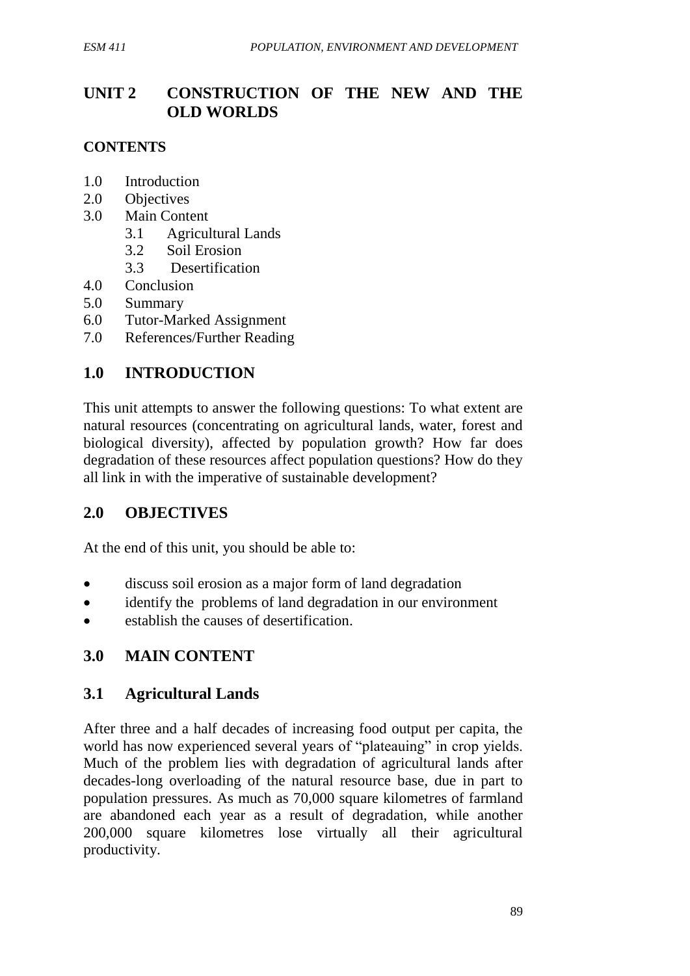# **UNIT 2 CONSTRUCTION OF THE NEW AND THE OLD WORLDS**

#### **CONTENTS**

- 1.0 Introduction
- 2.0 Objectives
- 3.0 Main Content
	- 3.1 Agricultural Lands
	- 3.2 Soil Erosion
	- 3.3 Desertification
- 4.0 Conclusion
- 5.0 Summary
- 6.0 Tutor-Marked Assignment
- 7.0 References/Further Reading

# **1.0 INTRODUCTION**

This unit attempts to answer the following questions: To what extent are natural resources (concentrating on agricultural lands, water, forest and biological diversity), affected by population growth? How far does degradation of these resources affect population questions? How do they all link in with the imperative of sustainable development?

# **2.0 OBJECTIVES**

At the end of this unit, you should be able to:

- discuss soil erosion as a major form of land degradation
- identify the problems of land degradation in our environment
- establish the causes of desertification.

# **3.0 MAIN CONTENT**

# **3.1 Agricultural Lands**

After three and a half decades of increasing food output per capita, the world has now experienced several years of "plateauing" in crop yields. Much of the problem lies with degradation of agricultural lands after decades-long overloading of the natural resource base, due in part to population pressures. As much as 70,000 square kilometres of farmland are abandoned each year as a result of degradation, while another 200,000 square kilometres lose virtually all their agricultural productivity.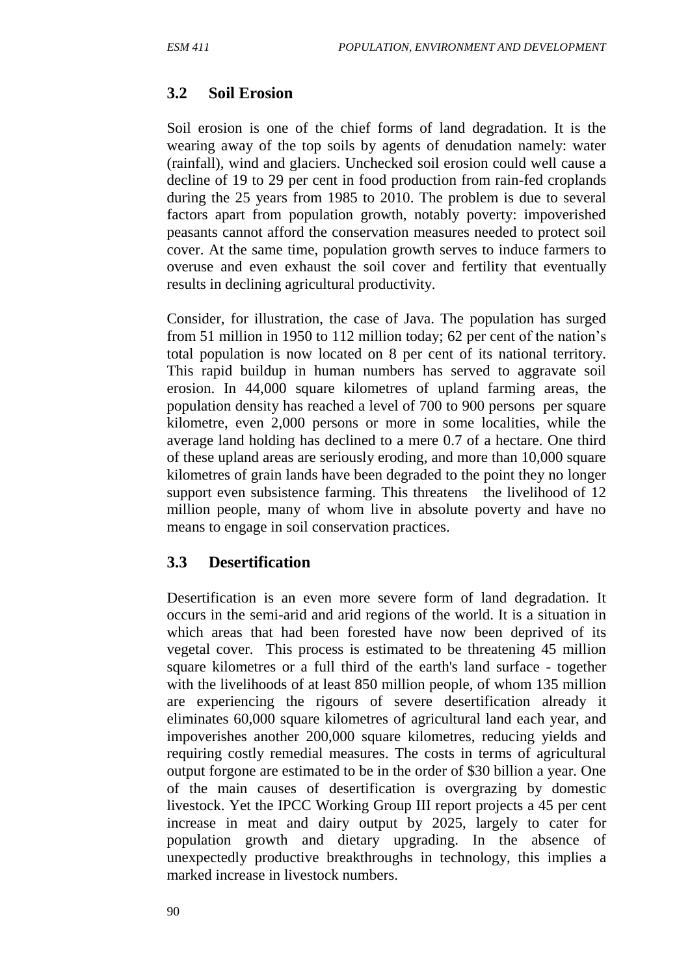## **3.2 Soil Erosion**

Soil erosion is one of the chief forms of land degradation. It is the wearing away of the top soils by agents of denudation namely: water (rainfall), wind and glaciers. Unchecked soil erosion could well cause a decline of 19 to 29 per cent in food production from rain-fed croplands during the 25 years from 1985 to 2010. The problem is due to several factors apart from population growth, notably poverty: impoverished peasants cannot afford the conservation measures needed to protect soil cover. At the same time, population growth serves to induce farmers to overuse and even exhaust the soil cover and fertility that eventually results in declining agricultural productivity.

Consider, for illustration, the case of Java. The population has surged from 51 million in 1950 to 112 million today; 62 per cent of the nation's total population is now located on 8 per cent of its national territory. This rapid buildup in human numbers has served to aggravate soil erosion. In 44,000 square kilometres of upland farming areas, the population density has reached a level of 700 to 900 persons per square kilometre, even 2,000 persons or more in some localities, while the average land holding has declined to a mere 0.7 of a hectare. One third of these upland areas are seriously eroding, and more than 10,000 square kilometres of grain lands have been degraded to the point they no longer support even subsistence farming. This threatens the livelihood of 12 million people, many of whom live in absolute poverty and have no means to engage in soil conservation practices.

#### **3.3 Desertification**

Desertification is an even more severe form of land degradation. It occurs in the semi-arid and arid regions of the world. It is a situation in which areas that had been forested have now been deprived of its vegetal cover. This process is estimated to be threatening 45 million square kilometres or a full third of the earth's land surface - together with the livelihoods of at least 850 million people, of whom 135 million are experiencing the rigours of severe desertification already it eliminates 60,000 square kilometres of agricultural land each year, and impoverishes another 200,000 square kilometres, reducing yields and requiring costly remedial measures. The costs in terms of agricultural output forgone are estimated to be in the order of \$30 billion a year. One of the main causes of desertification is overgrazing by domestic livestock. Yet the IPCC Working Group III report projects a 45 per cent increase in meat and dairy output by 2025, largely to cater for population growth and dietary upgrading. In the absence of unexpectedly productive breakthroughs in technology, this implies a marked increase in livestock numbers.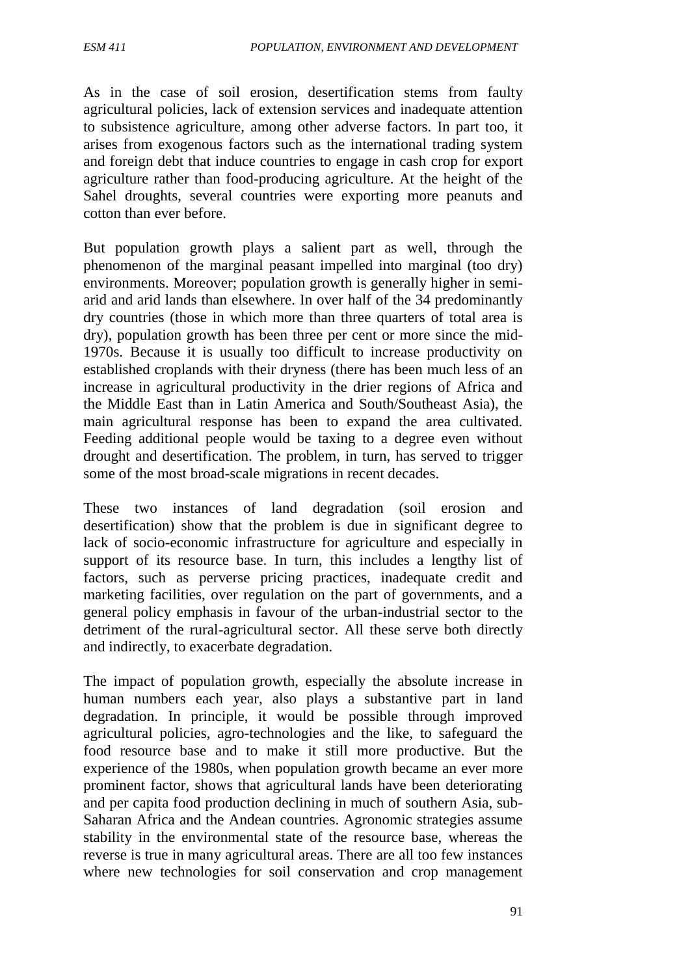As in the case of soil erosion, desertification stems from faulty agricultural policies, lack of extension services and inadequate attention to subsistence agriculture, among other adverse factors. In part too, it arises from exogenous factors such as the international trading system and foreign debt that induce countries to engage in cash crop for export agriculture rather than food-producing agriculture. At the height of the Sahel droughts, several countries were exporting more peanuts and cotton than ever before.

But population growth plays a salient part as well, through the phenomenon of the marginal peasant impelled into marginal (too dry) environments. Moreover; population growth is generally higher in semiarid and arid lands than elsewhere. In over half of the 34 predominantly dry countries (those in which more than three quarters of total area is dry), population growth has been three per cent or more since the mid-1970s. Because it is usually too difficult to increase productivity on established croplands with their dryness (there has been much less of an increase in agricultural productivity in the drier regions of Africa and the Middle East than in Latin America and South/Southeast Asia), the main agricultural response has been to expand the area cultivated. Feeding additional people would be taxing to a degree even without drought and desertification. The problem, in turn, has served to trigger some of the most broad-scale migrations in recent decades.

These two instances of land degradation (soil erosion and desertification) show that the problem is due in significant degree to lack of socio-economic infrastructure for agriculture and especially in support of its resource base. In turn, this includes a lengthy list of factors, such as perverse pricing practices, inadequate credit and marketing facilities, over regulation on the part of governments, and a general policy emphasis in favour of the urban-industrial sector to the detriment of the rural-agricultural sector. All these serve both directly and indirectly, to exacerbate degradation.

The impact of population growth, especially the absolute increase in human numbers each year, also plays a substantive part in land degradation. In principle, it would be possible through improved agricultural policies, agro-technologies and the like, to safeguard the food resource base and to make it still more productive. But the experience of the 1980s, when population growth became an ever more prominent factor, shows that agricultural lands have been deteriorating and per capita food production declining in much of southern Asia, sub-Saharan Africa and the Andean countries. Agronomic strategies assume stability in the environmental state of the resource base, whereas the reverse is true in many agricultural areas. There are all too few instances where new technologies for soil conservation and crop management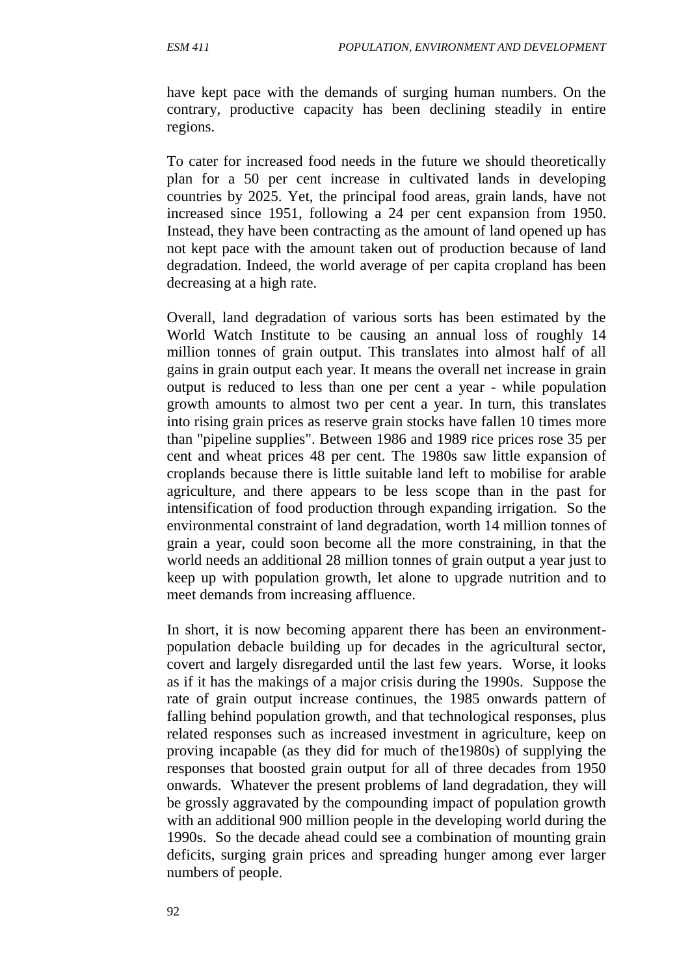have kept pace with the demands of surging human numbers. On the contrary, productive capacity has been declining steadily in entire regions.

To cater for increased food needs in the future we should theoretically plan for a 50 per cent increase in cultivated lands in developing countries by 2025. Yet, the principal food areas, grain lands, have not increased since 1951, following a 24 per cent expansion from 1950. Instead, they have been contracting as the amount of land opened up has not kept pace with the amount taken out of production because of land degradation. Indeed, the world average of per capita cropland has been decreasing at a high rate.

Overall, land degradation of various sorts has been estimated by the World Watch Institute to be causing an annual loss of roughly 14 million tonnes of grain output. This translates into almost half of all gains in grain output each year. It means the overall net increase in grain output is reduced to less than one per cent a year - while population growth amounts to almost two per cent a year. In turn, this translates into rising grain prices as reserve grain stocks have fallen 10 times more than "pipeline supplies". Between 1986 and 1989 rice prices rose 35 per cent and wheat prices 48 per cent. The 1980s saw little expansion of croplands because there is little suitable land left to mobilise for arable agriculture, and there appears to be less scope than in the past for intensification of food production through expanding irrigation. So the environmental constraint of land degradation, worth 14 million tonnes of grain a year, could soon become all the more constraining, in that the world needs an additional 28 million tonnes of grain output a year just to keep up with population growth, let alone to upgrade nutrition and to meet demands from increasing affluence.

In short, it is now becoming apparent there has been an environmentpopulation debacle building up for decades in the agricultural sector, covert and largely disregarded until the last few years. Worse, it looks as if it has the makings of a major crisis during the 1990s. Suppose the rate of grain output increase continues, the 1985 onwards pattern of falling behind population growth, and that technological responses, plus related responses such as increased investment in agriculture, keep on proving incapable (as they did for much of the1980s) of supplying the responses that boosted grain output for all of three decades from 1950 onwards. Whatever the present problems of land degradation, they will be grossly aggravated by the compounding impact of population growth with an additional 900 million people in the developing world during the 1990s. So the decade ahead could see a combination of mounting grain deficits, surging grain prices and spreading hunger among ever larger numbers of people.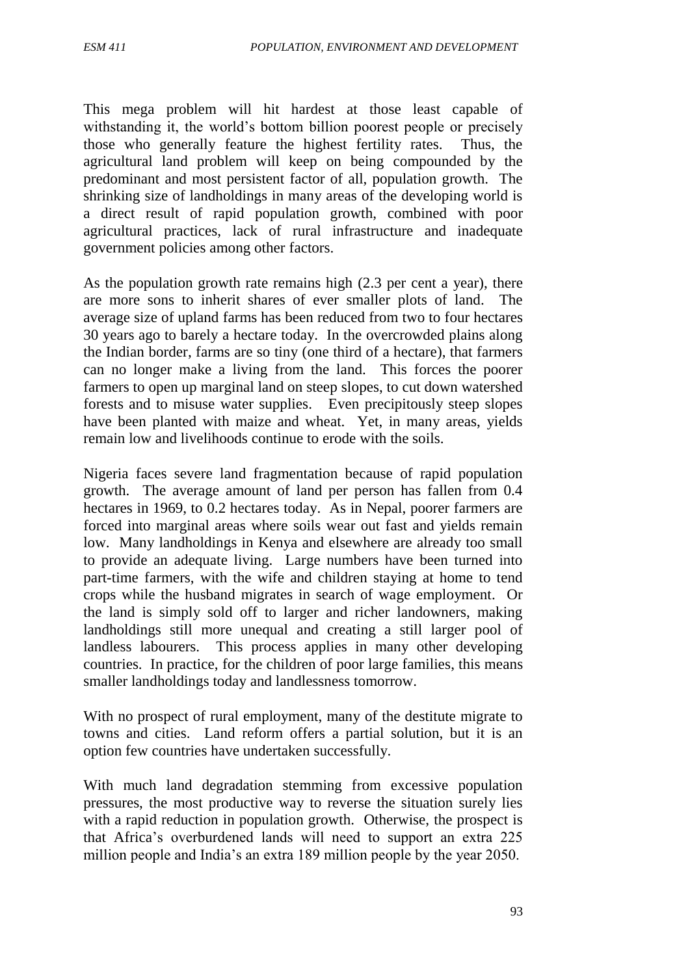This mega problem will hit hardest at those least capable of withstanding it, the world's bottom billion poorest people or precisely those who generally feature the highest fertility rates. Thus, the agricultural land problem will keep on being compounded by the predominant and most persistent factor of all, population growth. The shrinking size of landholdings in many areas of the developing world is a direct result of rapid population growth, combined with poor agricultural practices, lack of rural infrastructure and inadequate government policies among other factors.

As the population growth rate remains high (2.3 per cent a year), there are more sons to inherit shares of ever smaller plots of land. The average size of upland farms has been reduced from two to four hectares 30 years ago to barely a hectare today. In the overcrowded plains along the Indian border, farms are so tiny (one third of a hectare), that farmers can no longer make a living from the land. This forces the poorer farmers to open up marginal land on steep slopes, to cut down watershed forests and to misuse water supplies. Even precipitously steep slopes have been planted with maize and wheat. Yet, in many areas, yields remain low and livelihoods continue to erode with the soils.

Nigeria faces severe land fragmentation because of rapid population growth. The average amount of land per person has fallen from 0.4 hectares in 1969, to 0.2 hectares today. As in Nepal, poorer farmers are forced into marginal areas where soils wear out fast and yields remain low. Many landholdings in Kenya and elsewhere are already too small to provide an adequate living. Large numbers have been turned into part-time farmers, with the wife and children staying at home to tend crops while the husband migrates in search of wage employment. Or the land is simply sold off to larger and richer landowners, making landholdings still more unequal and creating a still larger pool of landless labourers. This process applies in many other developing countries. In practice, for the children of poor large families, this means smaller landholdings today and landlessness tomorrow.

With no prospect of rural employment, many of the destitute migrate to towns and cities. Land reform offers a partial solution, but it is an option few countries have undertaken successfully.

With much land degradation stemming from excessive population pressures, the most productive way to reverse the situation surely lies with a rapid reduction in population growth. Otherwise, the prospect is that Africa's overburdened lands will need to support an extra 225 million people and India's an extra 189 million people by the year 2050.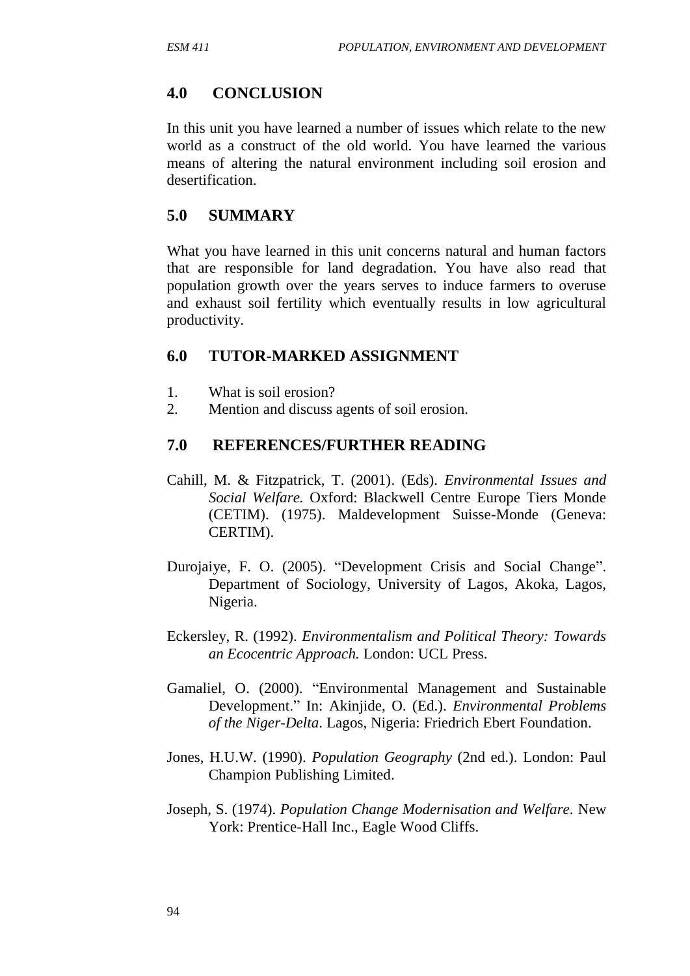## **4.0 CONCLUSION**

In this unit you have learned a number of issues which relate to the new world as a construct of the old world. You have learned the various means of altering the natural environment including soil erosion and desertification.

#### **5.0 SUMMARY**

What you have learned in this unit concerns natural and human factors that are responsible for land degradation. You have also read that population growth over the years serves to induce farmers to overuse and exhaust soil fertility which eventually results in low agricultural productivity.

#### **6.0 TUTOR-MARKED ASSIGNMENT**

- 1. What is soil erosion?
- 2. Mention and discuss agents of soil erosion.

#### **7.0 REFERENCES/FURTHER READING**

- Cahill, M. & Fitzpatrick, T. (2001). (Eds). *Environmental Issues and Social Welfare.* Oxford: Blackwell Centre Europe Tiers Monde (CETIM). (1975). Maldevelopment Suisse-Monde (Geneva: CERTIM).
- Durojaiye, F. O. (2005). "Development Crisis and Social Change". Department of Sociology, University of Lagos, Akoka, Lagos, Nigeria.
- Eckersley, R. (1992). *Environmentalism and Political Theory: Towards an Ecocentric Approach.* London: UCL Press.
- Gamaliel, O. (2000). "Environmental Management and Sustainable Development." In: Akinjide, O. (Ed.). *Environmental Problems of the Niger-Delta*. Lagos, Nigeria: Friedrich Ebert Foundation.
- Jones, H.U.W. (1990). *Population Geography* (2nd ed.). London: Paul Champion Publishing Limited.
- Joseph, S. (1974). *Population Change Modernisation and Welfare.* New York: Prentice-Hall Inc., Eagle Wood Cliffs.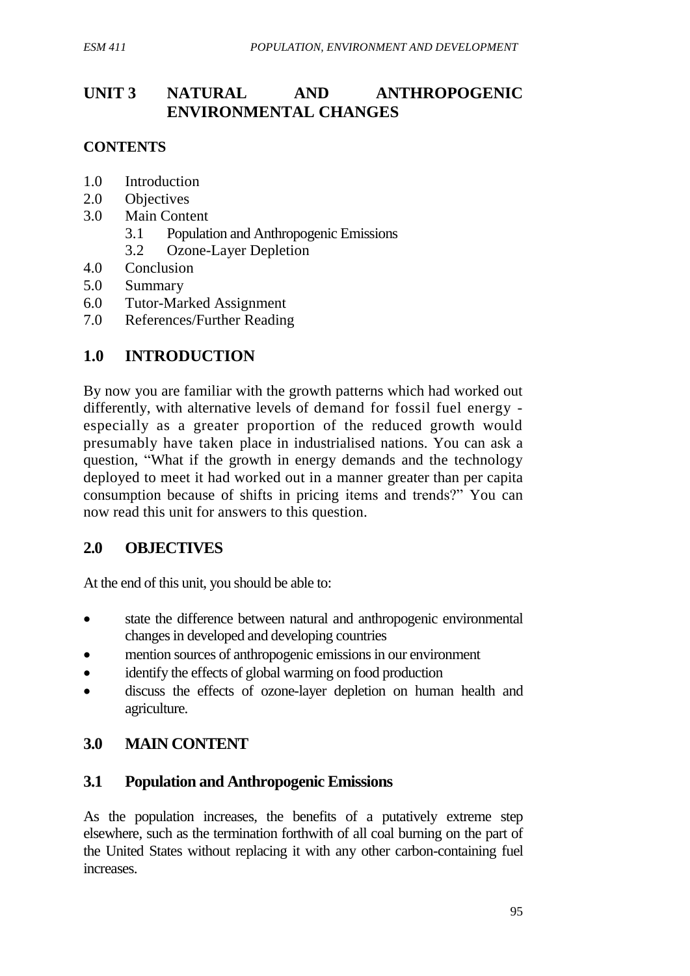## **UNIT 3 NATURAL AND ANTHROPOGENIC ENVIRONMENTAL CHANGES**

#### **CONTENTS**

- 1.0 Introduction
- 2.0 Objectives
- 3.0 Main Content
	- 3.1 Population and Anthropogenic Emissions
	- 3.2 Ozone-Layer Depletion
- 4.0 Conclusion
- 5.0 Summary
- 6.0 Tutor-Marked Assignment
- 7.0 References/Further Reading

## **1.0 INTRODUCTION**

By now you are familiar with the growth patterns which had worked out differently, with alternative levels of demand for fossil fuel energy especially as a greater proportion of the reduced growth would presumably have taken place in industrialised nations. You can ask a question, "What if the growth in energy demands and the technology deployed to meet it had worked out in a manner greater than per capita consumption because of shifts in pricing items and trends?" You can now read this unit for answers to this question.

#### **2.0 OBJECTIVES**

At the end of this unit, you should be able to:

- state the difference between natural and anthropogenic environmental changes in developed and developing countries
- mention sources of anthropogenic emissions in our environment
- identify the effects of global warming on food production
- discuss the effects of ozone-layer depletion on human health and agriculture.

# **3.0 MAIN CONTENT**

#### **3.1 Population and Anthropogenic Emissions**

As the population increases, the benefits of a putatively extreme step elsewhere, such as the termination forthwith of all coal burning on the part of the United States without replacing it with any other carbon-containing fuel increases.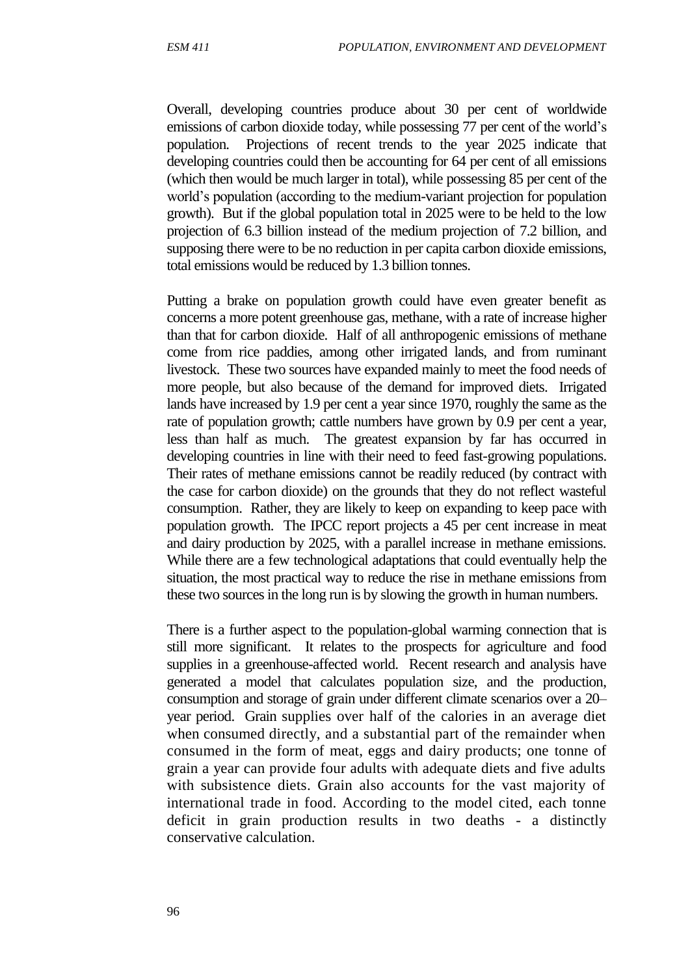Overall, developing countries produce about 30 per cent of worldwide emissions of carbon dioxide today, while possessing 77 per cent of the world's population. Projections of recent trends to the year 2025 indicate that developing countries could then be accounting for 64 per cent of all emissions (which then would be much larger in total), while possessing 85 per cent of the world's population (according to the medium-variant projection for population growth). But if the global population total in 2025 were to be held to the low projection of 6.3 billion instead of the medium projection of 7.2 billion, and supposing there were to be no reduction in per capita carbon dioxide emissions, total emissions would be reduced by 1.3 billion tonnes.

Putting a brake on population growth could have even greater benefit as concerns a more potent greenhouse gas, methane, with a rate of increase higher than that for carbon dioxide. Half of all anthropogenic emissions of methane come from rice paddies, among other irrigated lands, and from ruminant livestock. These two sources have expanded mainly to meet the food needs of more people, but also because of the demand for improved diets. Irrigated lands have increased by 1.9 per cent a year since 1970, roughly the same as the rate of population growth; cattle numbers have grown by 0.9 per cent a year, less than half as much. The greatest expansion by far has occurred in developing countries in line with their need to feed fast-growing populations. Their rates of methane emissions cannot be readily reduced (by contract with the case for carbon dioxide) on the grounds that they do not reflect wasteful consumption. Rather, they are likely to keep on expanding to keep pace with population growth. The IPCC report projects a 45 per cent increase in meat and dairy production by 2025, with a parallel increase in methane emissions. While there are a few technological adaptations that could eventually help the situation, the most practical way to reduce the rise in methane emissions from these two sources in the long run is by slowing the growth in human numbers.

There is a further aspect to the population-global warming connection that is still more significant. It relates to the prospects for agriculture and food supplies in a greenhouse-affected world. Recent research and analysis have generated a model that calculates population size, and the production, consumption and storage of grain under different climate scenarios over a 20– year period. Grain supplies over half of the calories in an average diet when consumed directly, and a substantial part of the remainder when consumed in the form of meat, eggs and dairy products; one tonne of grain a year can provide four adults with adequate diets and five adults with subsistence diets. Grain also accounts for the vast majority of international trade in food. According to the model cited, each tonne deficit in grain production results in two deaths *-* a distinctly conservative calculation.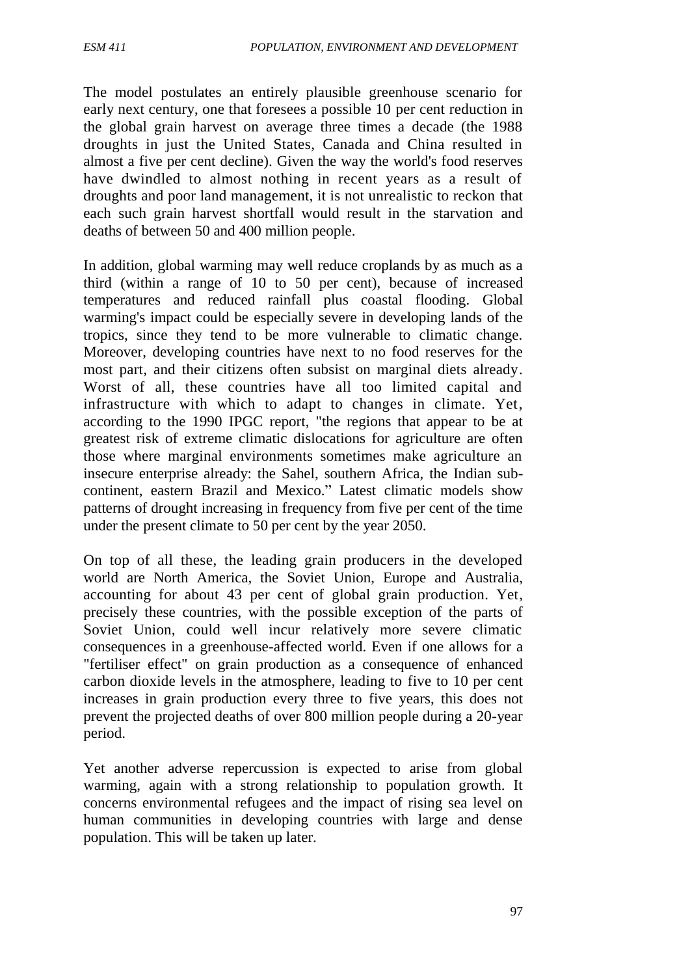The model postulates an entirely plausible greenhouse scenario for early next century, one that foresees a possible 10 per cent reduction in the global grain harvest on average three times a decade (the 1988 droughts in just the United States, Canada and China resulted in almost a five per cent decline). Given the way the world's food reserves have dwindled to almost nothing in recent years as a result of droughts and poor land management, it is not unrealistic to reckon that each such grain harvest shortfall would result in the starvation and deaths of between 50 and 400 million people.

In addition, global warming may well reduce croplands by as much as a third (within a range of 10 to 50 per cent), because of increased temperatures and reduced rainfall plus coastal flooding. Global warming's impact could be especially severe in developing lands of the tropics, since they tend to be more vulnerable to climatic change. Moreover, developing countries have next to no food reserves for the most part, and their citizens often subsist on marginal diets already. Worst of all, these countries have all too limited capital and infrastructure with which to adapt to changes in climate. Yet, according to the 1990 IPGC report, "the regions that appear to be at greatest risk of extreme climatic dislocations for agriculture are often those where marginal environments sometimes make agriculture an insecure enterprise already: the Sahel, southern Africa, the Indian subcontinent, eastern Brazil and Mexico." Latest climatic models show patterns of drought increasing in frequency from five per cent of the time under the present climate to 50 per cent by the year 2050.

On top of all these, the leading grain producers in the developed world are North America, the Soviet Union, Europe and Australia, accounting for about 43 per cent of global grain production. Yet, precisely these countries, with the possible exception of the parts of Soviet Union, could well incur relatively more severe climatic consequences in a greenhouse-affected world. Even if one allows for a "fertiliser effect" on grain production as a consequence of enhanced carbon dioxide levels in the atmosphere, leading to five to 10 per cent increases in grain production every three to five years, this does not prevent the projected deaths of over 800 million people during a 20-year period.

Yet another adverse repercussion is expected to arise from global warming, again with a strong relationship to population growth. It concerns environmental refugees and the impact of rising sea level on human communities in developing countries with large and dense population. This will be taken up later.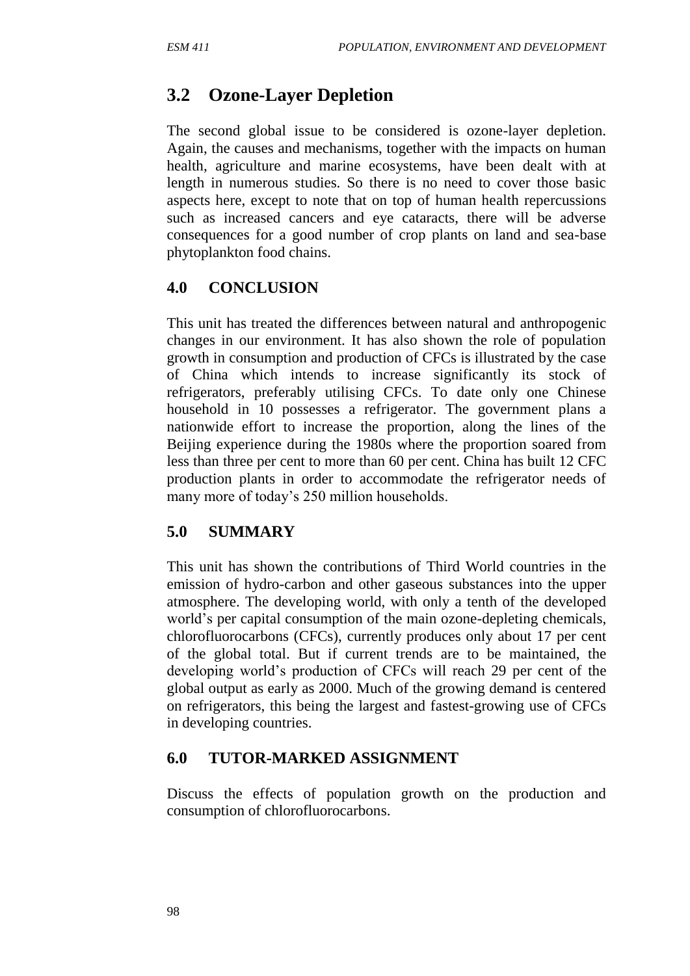# **3.2 Ozone-Layer Depletion**

The second global issue to be considered is ozone-layer depletion. Again, the causes and mechanisms, together with the impacts on human health, agriculture and marine ecosystems, have been dealt with at length in numerous studies. So there is no need to cover those basic aspects here, except to note that on top of human health repercussions such as increased cancers and eye cataracts, there will be adverse consequences for a good number of crop plants on land and sea-base phytoplankton food chains.

#### **4.0 CONCLUSION**

This unit has treated the differences between natural and anthropogenic changes in our environment. It has also shown the role of population growth in consumption and production of CFCs is illustrated by the case of China which intends to increase significantly its stock of refrigerators, preferably utilising CFCs. To date only one Chinese household in 10 possesses a refrigerator. The government plans a nationwide effort to increase the proportion, along the lines of the Beijing experience during the 1980s where the proportion soared from less than three per cent to more than 60 per cent. China has built 12 CFC production plants in order to accommodate the refrigerator needs of many more of today's 250 million households.

#### **5.0 SUMMARY**

This unit has shown the contributions of Third World countries in the emission of hydro-carbon and other gaseous substances into the upper atmosphere. The developing world, with only a tenth of the developed world's per capital consumption of the main ozone-depleting chemicals, chlorofluorocarbons (CFCs), currently produces only about 17 per cent of the global total. But if current trends are to be maintained, the developing world's production of CFCs will reach 29 per cent of the global output as early as 2000. Much of the growing demand is centered on refrigerators, this being the largest and fastest-growing use of CFCs in developing countries.

#### **6.0 TUTOR-MARKED ASSIGNMENT**

Discuss the effects of population growth on the production and consumption of chlorofluorocarbons.